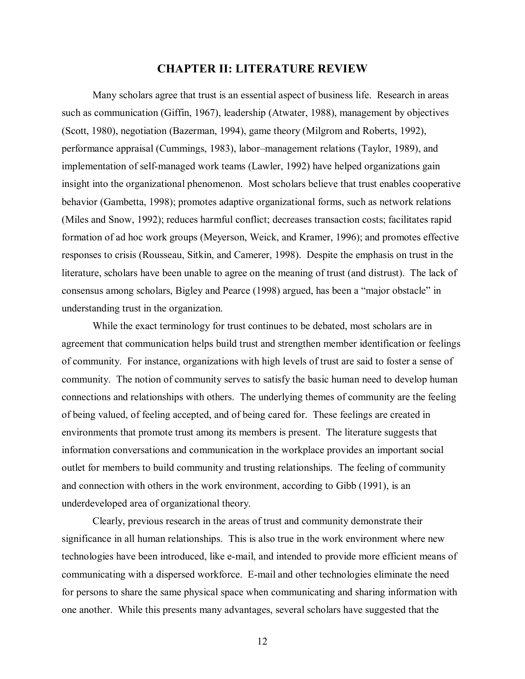## **CHAPTER II: LITERATURE REVIEW**

Many scholars agree that trust is an essential aspect of business life. Research in areas such as communication (Giffin, 1967), leadership (Atwater, 1988), management by objectives (Scott, 1980), negotiation (Bazerman, 1994), game theory (Milgrom and Roberts, 1992), performance appraisal (Cummings, 1983), labor–management relations (Taylor, 1989), and implementation of self-managed work teams (Lawler, 1992) have helped organizations gain insight into the organizational phenomenon. Most scholars believe that trust enables cooperative behavior (Gambetta, 1998); promotes adaptive organizational forms, such as network relations (Miles and Snow, 1992); reduces harmful conflict; decreases transaction costs; facilitates rapid formation of ad hoc work groups (Meyerson, Weick, and Kramer, 1996); and promotes effective responses to crisis (Rousseau, Sitkin, and Camerer, 1998). Despite the emphasis on trust in the literature, scholars have been unable to agree on the meaning of trust (and distrust). The lack of consensus among scholars, Bigley and Pearce (1998) argued, has been a "major obstacle" in understanding trust in the organization.

While the exact terminology for trust continues to be debated, most scholars are in agreement that communication helps build trust and strengthen member identification or feelings of community. For instance, organizations with high levels of trust are said to foster a sense of community. The notion of community serves to satisfy the basic human need to develop human connections and relationships with others. The underlying themes of community are the feeling of being valued, of feeling accepted, and of being cared for. These feelings are created in environments that promote trust among its members is present. The literature suggests that information conversations and communication in the workplace provides an important social outlet for members to build community and trusting relationships. The feeling of community and connection with others in the work environment, according to Gibb (1991), is an underdeveloped area of organizational theory.

Clearly, previous research in the areas of trust and community demonstrate their significance in all human relationships. This is also true in the work environment where new technologies have been introduced, like e-mail, and intended to provide more efficient means of communicating with a dispersed workforce. E-mail and other technologies eliminate the need for persons to share the same physical space when communicating and sharing information with one another. While this presents many advantages, several scholars have suggested that the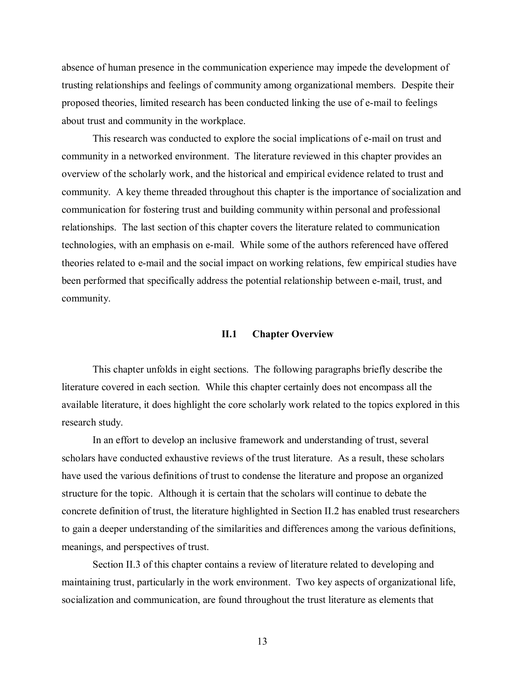absence of human presence in the communication experience may impede the development of trusting relationships and feelings of community among organizational members. Despite their proposed theories, limited research has been conducted linking the use of e-mail to feelings about trust and community in the workplace.

This research was conducted to explore the social implications of e-mail on trust and community in a networked environment. The literature reviewed in this chapter provides an overview of the scholarly work, and the historical and empirical evidence related to trust and community. A key theme threaded throughout this chapter is the importance of socialization and communication for fostering trust and building community within personal and professional relationships. The last section of this chapter covers the literature related to communication technologies, with an emphasis on e-mail. While some of the authors referenced have offered theories related to e-mail and the social impact on working relations, few empirical studies have been performed that specifically address the potential relationship between e-mail, trust, and community.

## **II.1 Chapter Overview**

This chapter unfolds in eight sections. The following paragraphs briefly describe the literature covered in each section. While this chapter certainly does not encompass all the available literature, it does highlight the core scholarly work related to the topics explored in this research study.

In an effort to develop an inclusive framework and understanding of trust, several scholars have conducted exhaustive reviews of the trust literature. As a result, these scholars have used the various definitions of trust to condense the literature and propose an organized structure for the topic. Although it is certain that the scholars will continue to debate the concrete definition of trust, the literature highlighted in Section II.2 has enabled trust researchers to gain a deeper understanding of the similarities and differences among the various definitions, meanings, and perspectives of trust.

Section II.3 of this chapter contains a review of literature related to developing and maintaining trust, particularly in the work environment. Two key aspects of organizational life, socialization and communication, are found throughout the trust literature as elements that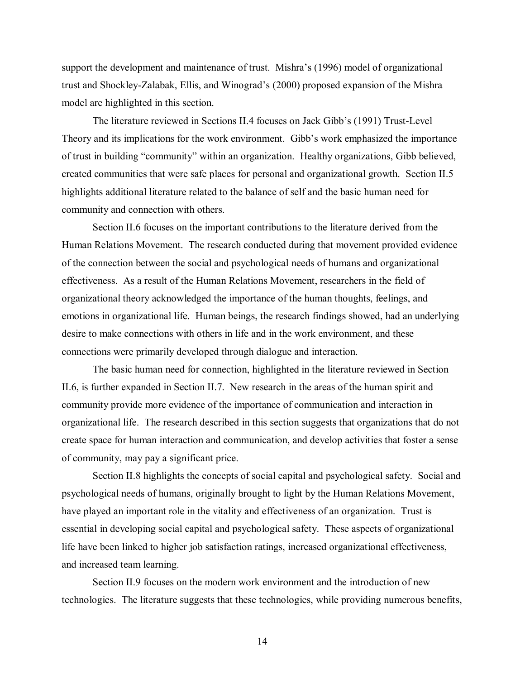support the development and maintenance of trust. Mishra's (1996) model of organizational trust and Shockley-Zalabak, Ellis, and Winograd's (2000) proposed expansion of the Mishra model are highlighted in this section.

The literature reviewed in Sections II.4 focuses on Jack Gibb's (1991) Trust-Level Theory and its implications for the work environment. Gibb's work emphasized the importance of trust in building "community" within an organization. Healthy organizations, Gibb believed, created communities that were safe places for personal and organizational growth. Section II.5 highlights additional literature related to the balance of self and the basic human need for community and connection with others.

Section II.6 focuses on the important contributions to the literature derived from the Human Relations Movement. The research conducted during that movement provided evidence of the connection between the social and psychological needs of humans and organizational effectiveness. As a result of the Human Relations Movement, researchers in the field of organizational theory acknowledged the importance of the human thoughts, feelings, and emotions in organizational life. Human beings, the research findings showed, had an underlying desire to make connections with others in life and in the work environment, and these connections were primarily developed through dialogue and interaction.

The basic human need for connection, highlighted in the literature reviewed in Section II.6, is further expanded in Section II.7. New research in the areas of the human spirit and community provide more evidence of the importance of communication and interaction in organizational life. The research described in this section suggests that organizations that do not create space for human interaction and communication, and develop activities that foster a sense of community, may pay a significant price.

Section II.8 highlights the concepts of social capital and psychological safety. Social and psychological needs of humans, originally brought to light by the Human Relations Movement, have played an important role in the vitality and effectiveness of an organization. Trust is essential in developing social capital and psychological safety. These aspects of organizational life have been linked to higher job satisfaction ratings, increased organizational effectiveness, and increased team learning.

Section II.9 focuses on the modern work environment and the introduction of new technologies. The literature suggests that these technologies, while providing numerous benefits,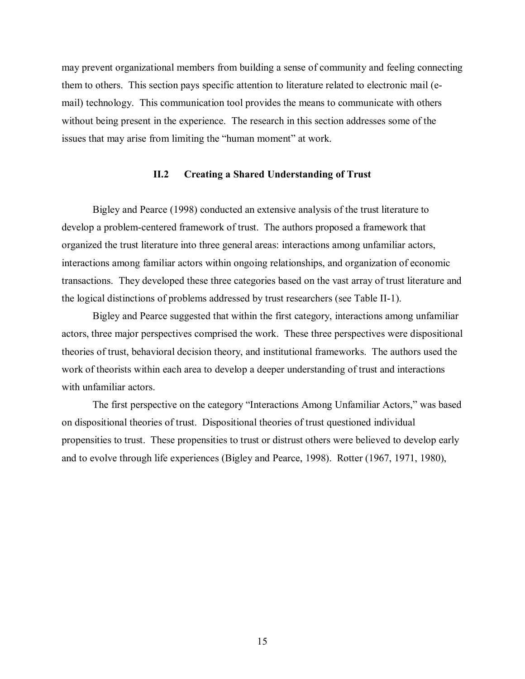may prevent organizational members from building a sense of community and feeling connecting them to others. This section pays specific attention to literature related to electronic mail (email) technology. This communication tool provides the means to communicate with others without being present in the experience. The research in this section addresses some of the issues that may arise from limiting the "human moment" at work.

## **II.2 Creating a Shared Understanding of Trust**

Bigley and Pearce (1998) conducted an extensive analysis of the trust literature to develop a problem-centered framework of trust. The authors proposed a framework that organized the trust literature into three general areas: interactions among unfamiliar actors, interactions among familiar actors within ongoing relationships, and organization of economic transactions. They developed these three categories based on the vast array of trust literature and the logical distinctions of problems addressed by trust researchers (see Table II-1).

Bigley and Pearce suggested that within the first category, interactions among unfamiliar actors, three major perspectives comprised the work. These three perspectives were dispositional theories of trust, behavioral decision theory, and institutional frameworks. The authors used the work of theorists within each area to develop a deeper understanding of trust and interactions with unfamiliar actors.

The first perspective on the category "Interactions Among Unfamiliar Actors," was based on dispositional theories of trust. Dispositional theories of trust questioned individual propensities to trust. These propensities to trust or distrust others were believed to develop early and to evolve through life experiences (Bigley and Pearce, 1998). Rotter (1967, 1971, 1980),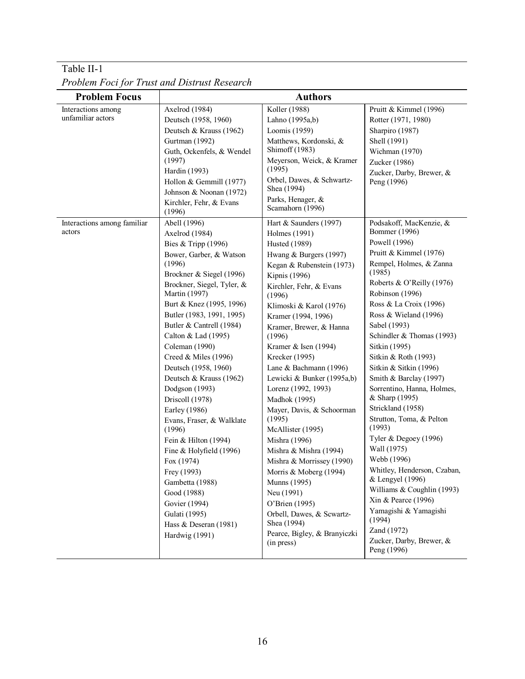| <b>Problem Focus</b>                                                             | <b>Authors</b>                                                                                                                                                                                                                                                                                                                                                                                                                                                                                                                                                                                                                                                                                                                                                                                                                          |                                                                                                                                                                                                                                                                                                                                                                                                                                                                                                                                                                                                                                                                                                                                                                                                                                        |                                                                                                                                                                                                                                                                                                                                                                                                                                                                                                                                                                                                                                                                                                                                                                                                                          |  |  |
|----------------------------------------------------------------------------------|-----------------------------------------------------------------------------------------------------------------------------------------------------------------------------------------------------------------------------------------------------------------------------------------------------------------------------------------------------------------------------------------------------------------------------------------------------------------------------------------------------------------------------------------------------------------------------------------------------------------------------------------------------------------------------------------------------------------------------------------------------------------------------------------------------------------------------------------|----------------------------------------------------------------------------------------------------------------------------------------------------------------------------------------------------------------------------------------------------------------------------------------------------------------------------------------------------------------------------------------------------------------------------------------------------------------------------------------------------------------------------------------------------------------------------------------------------------------------------------------------------------------------------------------------------------------------------------------------------------------------------------------------------------------------------------------|--------------------------------------------------------------------------------------------------------------------------------------------------------------------------------------------------------------------------------------------------------------------------------------------------------------------------------------------------------------------------------------------------------------------------------------------------------------------------------------------------------------------------------------------------------------------------------------------------------------------------------------------------------------------------------------------------------------------------------------------------------------------------------------------------------------------------|--|--|
| Interactions among<br>unfamiliar actors<br>Interactions among familiar<br>actors | Axelrod (1984)<br>Deutsch (1958, 1960)<br>Deutsch & Krauss (1962)<br>Gurtman (1992)<br>Guth, Ockenfels, & Wendel<br>(1997)<br>Hardin (1993)<br>Hollon & Gemmill (1977)<br>Johnson & Noonan (1972)<br>Kirchler, Fehr, & Evans<br>(1996)<br>Abell (1996)<br>Axelrod (1984)<br>Bies & Tripp (1996)<br>Bower, Garber, & Watson<br>(1996)<br>Brockner & Siegel (1996)<br>Brockner, Siegel, Tyler, &<br>Martin (1997)<br>Burt & Knez (1995, 1996)<br>Butler (1983, 1991, 1995)<br>Butler & Cantrell (1984)<br>Calton & Lad (1995)<br>Coleman (1990)<br>Creed & Miles (1996)<br>Deutsch (1958, 1960)<br>Deutsch & Krauss (1962)<br>Dodgson (1993)<br>Driscoll (1978)<br>Earley (1986)<br>Evans, Fraser, & Walklate<br>(1996)<br>Fein & Hilton (1994)<br>Fine & Holyfield (1996)<br>Fox (1974)<br>Frey (1993)<br>Gambetta (1988)<br>Good (1988) | Koller (1988)<br>Lahno (1995a,b)<br>Loomis (1959)<br>Matthews, Kordonski, &<br>Shimoff (1983)<br>Meyerson, Weick, & Kramer<br>(1995)<br>Orbel, Dawes, & Schwartz-<br>Shea (1994)<br>Parks, Henager, &<br>Scamahorn (1996)<br>Hart & Saunders (1997)<br>Holmes (1991)<br><b>Husted</b> (1989)<br>Hwang & Burgers (1997)<br>Kegan & Rubenstein (1973)<br>Kipnis (1996)<br>Kirchler, Fehr, & Evans<br>(1996)<br>Klimoski & Karol (1976)<br>Kramer (1994, 1996)<br>Kramer, Brewer, & Hanna<br>(1996)<br>Kramer & Isen (1994)<br>Krecker (1995)<br>Lane & Bachmann (1996)<br>Lewicki & Bunker (1995a,b)<br>Lorenz (1992, 1993)<br>Madhok (1995)<br>Mayer, Davis, & Schoorman<br>(1995)<br>McAllister (1995)<br>Mishra (1996)<br>Mishra & Mishra (1994)<br>Mishra & Morrissey (1990)<br>Morris & Moberg (1994)<br>Munns (1995)<br>Neu (1991) | Pruitt & Kimmel (1996)<br>Rotter (1971, 1980)<br>Sharpiro (1987)<br>Shell (1991)<br>Wichman (1970)<br>Zucker (1986)<br>Zucker, Darby, Brewer, &<br>Peng (1996)<br>Podsakoff, MacKenzie, &<br><b>Bommer</b> (1996)<br>Powell (1996)<br>Pruitt & Kimmel (1976)<br>Rempel, Holmes, & Zanna<br>(1985)<br>Roberts & O'Reilly (1976)<br>Robinson (1996)<br>Ross & La Croix (1996)<br>Ross & Wieland (1996)<br>Sabel (1993)<br>Schindler & Thomas (1993)<br>Sitkin (1995)<br>Sitkin & Roth (1993)<br>Sitkin & Sitkin (1996)<br>Smith & Barclay (1997)<br>Sorrentino, Hanna, Holmes,<br>& Sharp (1995)<br>Strickland (1958)<br>Strutton, Toma, & Pelton<br>(1993)<br>Tyler & Degoey (1996)<br>Wall (1975)<br>Webb (1996)<br>Whitley, Henderson, Czaban,<br>& Lengyel (1996)<br>Williams & Coughlin (1993)<br>Xin & Pearce (1996) |  |  |
|                                                                                  | Govier (1994)<br>Gulati (1995)<br>Hass & Deseran (1981)<br>Hardwig (1991)                                                                                                                                                                                                                                                                                                                                                                                                                                                                                                                                                                                                                                                                                                                                                               | O'Brien (1995)<br>Orbell, Dawes, & Scwartz-<br>Shea (1994)<br>Pearce, Bigley, & Branyiczki<br>(in press)                                                                                                                                                                                                                                                                                                                                                                                                                                                                                                                                                                                                                                                                                                                               | Yamagishi & Yamagishi<br>(1994)<br>Zand (1972)<br>Zucker, Darby, Brewer, &                                                                                                                                                                                                                                                                                                                                                                                                                                                                                                                                                                                                                                                                                                                                               |  |  |
|                                                                                  |                                                                                                                                                                                                                                                                                                                                                                                                                                                                                                                                                                                                                                                                                                                                                                                                                                         |                                                                                                                                                                                                                                                                                                                                                                                                                                                                                                                                                                                                                                                                                                                                                                                                                                        | Peng (1996)                                                                                                                                                                                                                                                                                                                                                                                                                                                                                                                                                                                                                                                                                                                                                                                                              |  |  |

Table II-1 *Problem Foci for Trust and Distrust Research*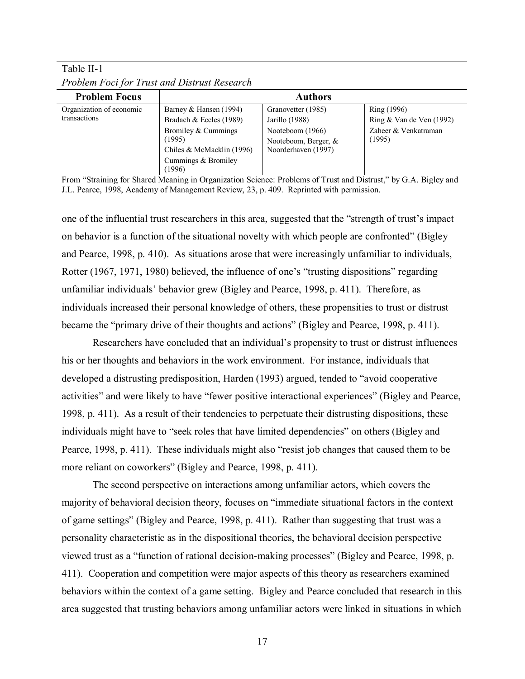| <b>Problem Focus</b>     | <b>Authors</b>                |                      |                            |  |  |
|--------------------------|-------------------------------|----------------------|----------------------------|--|--|
| Organization of economic | Barney & Hansen (1994)        | Granovetter (1985)   | Ring (1996)                |  |  |
| transactions             | Bradach & Eccles (1989)       | Jarillo (1988)       | Ring $&$ Van de Ven (1992) |  |  |
|                          | Bromiley & Cummings           | Nooteboom (1966)     | Zaheer & Venkatraman       |  |  |
|                          | (1995)                        | Nooteboom, Berger, & | (1995)                     |  |  |
|                          | Chiles & McMacklin (1996)     | Noorderhaven (1997)  |                            |  |  |
|                          | Cummings & Bromiley<br>(1996) |                      |                            |  |  |

Table II-1 *Problem Foci for Trust and Distrust Research* 

From "Straining for Shared Meaning in Organization Science: Problems of Trust and Distrust," by G.A. Bigley and J.L. Pearce, 1998, Academy of Management Review, 23, p. 409. Reprinted with permission.

one of the influential trust researchers in this area, suggested that the "strength of trust's impact on behavior is a function of the situational novelty with which people are confronted" (Bigley and Pearce, 1998, p. 410). As situations arose that were increasingly unfamiliar to individuals, Rotter (1967, 1971, 1980) believed, the influence of one's "trusting dispositions" regarding unfamiliar individuals' behavior grew (Bigley and Pearce, 1998, p. 411). Therefore, as individuals increased their personal knowledge of others, these propensities to trust or distrust became the "primary drive of their thoughts and actions" (Bigley and Pearce, 1998, p. 411).

Researchers have concluded that an individual's propensity to trust or distrust influences his or her thoughts and behaviors in the work environment. For instance, individuals that developed a distrusting predisposition, Harden (1993) argued, tended to "avoid cooperative activities" and were likely to have "fewer positive interactional experiences" (Bigley and Pearce, 1998, p. 411). As a result of their tendencies to perpetuate their distrusting dispositions, these individuals might have to "seek roles that have limited dependencies" on others (Bigley and Pearce, 1998, p. 411). These individuals might also "resist job changes that caused them to be more reliant on coworkers" (Bigley and Pearce, 1998, p. 411).

The second perspective on interactions among unfamiliar actors, which covers the majority of behavioral decision theory, focuses on "immediate situational factors in the context of game settings" (Bigley and Pearce, 1998, p. 411). Rather than suggesting that trust was a personality characteristic as in the dispositional theories, the behavioral decision perspective viewed trust as a "function of rational decision-making processes" (Bigley and Pearce, 1998, p. 411). Cooperation and competition were major aspects of this theory as researchers examined behaviors within the context of a game setting. Bigley and Pearce concluded that research in this area suggested that trusting behaviors among unfamiliar actors were linked in situations in which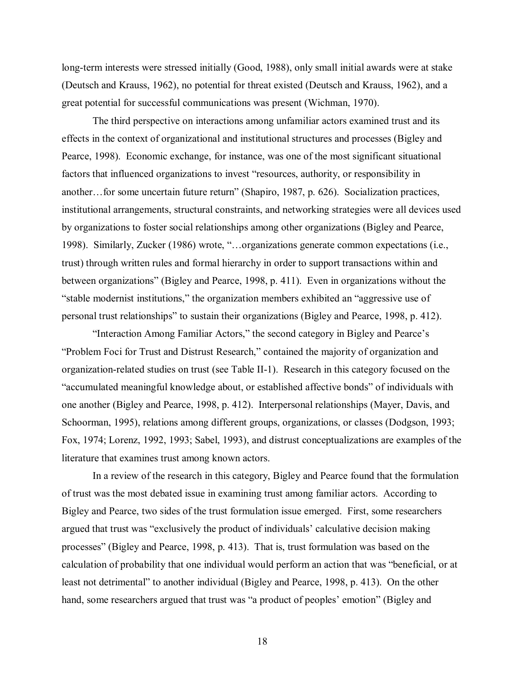long-term interests were stressed initially (Good, 1988), only small initial awards were at stake (Deutsch and Krauss, 1962), no potential for threat existed (Deutsch and Krauss, 1962), and a great potential for successful communications was present (Wichman, 1970).

The third perspective on interactions among unfamiliar actors examined trust and its effects in the context of organizational and institutional structures and processes (Bigley and Pearce, 1998). Economic exchange, for instance, was one of the most significant situational factors that influenced organizations to invest "resources, authority, or responsibility in another…for some uncertain future return" (Shapiro, 1987, p. 626). Socialization practices, institutional arrangements, structural constraints, and networking strategies were all devices used by organizations to foster social relationships among other organizations (Bigley and Pearce, 1998). Similarly, Zucker (1986) wrote, "…organizations generate common expectations (i.e., trust) through written rules and formal hierarchy in order to support transactions within and between organizations" (Bigley and Pearce, 1998, p. 411). Even in organizations without the "stable modernist institutions," the organization members exhibited an "aggressive use of personal trust relationships" to sustain their organizations (Bigley and Pearce, 1998, p. 412).

"Interaction Among Familiar Actors," the second category in Bigley and Pearce's "Problem Foci for Trust and Distrust Research," contained the majority of organization and organization-related studies on trust (see Table II-1). Research in this category focused on the "accumulated meaningful knowledge about, or established affective bonds" of individuals with one another (Bigley and Pearce, 1998, p. 412). Interpersonal relationships (Mayer, Davis, and Schoorman, 1995), relations among different groups, organizations, or classes (Dodgson, 1993; Fox, 1974; Lorenz, 1992, 1993; Sabel, 1993), and distrust conceptualizations are examples of the literature that examines trust among known actors.

In a review of the research in this category, Bigley and Pearce found that the formulation of trust was the most debated issue in examining trust among familiar actors. According to Bigley and Pearce, two sides of the trust formulation issue emerged. First, some researchers argued that trust was "exclusively the product of individuals' calculative decision making processes" (Bigley and Pearce, 1998, p. 413). That is, trust formulation was based on the calculation of probability that one individual would perform an action that was "beneficial, or at least not detrimental" to another individual (Bigley and Pearce, 1998, p. 413). On the other hand, some researchers argued that trust was "a product of peoples' emotion" (Bigley and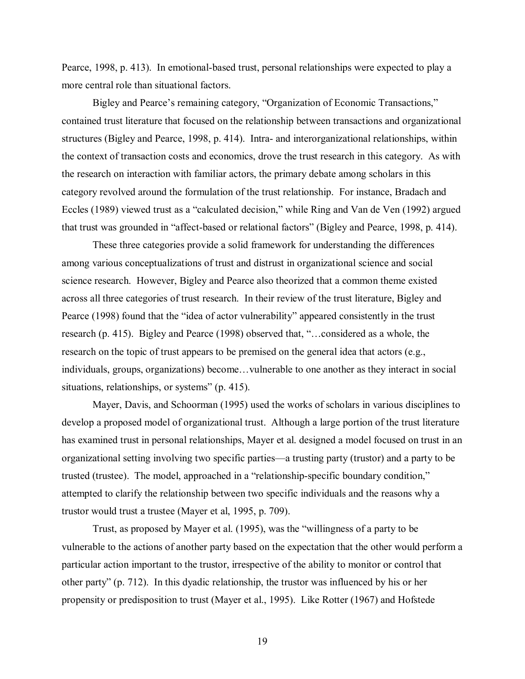Pearce, 1998, p. 413). In emotional-based trust, personal relationships were expected to play a more central role than situational factors.

Bigley and Pearce's remaining category, "Organization of Economic Transactions," contained trust literature that focused on the relationship between transactions and organizational structures (Bigley and Pearce, 1998, p. 414). Intra- and interorganizational relationships, within the context of transaction costs and economics, drove the trust research in this category. As with the research on interaction with familiar actors, the primary debate among scholars in this category revolved around the formulation of the trust relationship. For instance, Bradach and Eccles (1989) viewed trust as a "calculated decision," while Ring and Van de Ven (1992) argued that trust was grounded in "affect-based or relational factors" (Bigley and Pearce, 1998, p. 414).

These three categories provide a solid framework for understanding the differences among various conceptualizations of trust and distrust in organizational science and social science research. However, Bigley and Pearce also theorized that a common theme existed across all three categories of trust research. In their review of the trust literature, Bigley and Pearce (1998) found that the "idea of actor vulnerability" appeared consistently in the trust research (p. 415). Bigley and Pearce (1998) observed that, "…considered as a whole, the research on the topic of trust appears to be premised on the general idea that actors (e.g., individuals, groups, organizations) become…vulnerable to one another as they interact in social situations, relationships, or systems" (p. 415).

Mayer, Davis, and Schoorman (1995) used the works of scholars in various disciplines to develop a proposed model of organizational trust. Although a large portion of the trust literature has examined trust in personal relationships, Mayer et al. designed a model focused on trust in an organizational setting involving two specific parties—a trusting party (trustor) and a party to be trusted (trustee). The model, approached in a "relationship-specific boundary condition," attempted to clarify the relationship between two specific individuals and the reasons why a trustor would trust a trustee (Mayer et al, 1995, p. 709).

 Trust, as proposed by Mayer et al. (1995), was the "willingness of a party to be vulnerable to the actions of another party based on the expectation that the other would perform a particular action important to the trustor, irrespective of the ability to monitor or control that other party" (p. 712). In this dyadic relationship, the trustor was influenced by his or her propensity or predisposition to trust (Mayer et al., 1995). Like Rotter (1967) and Hofstede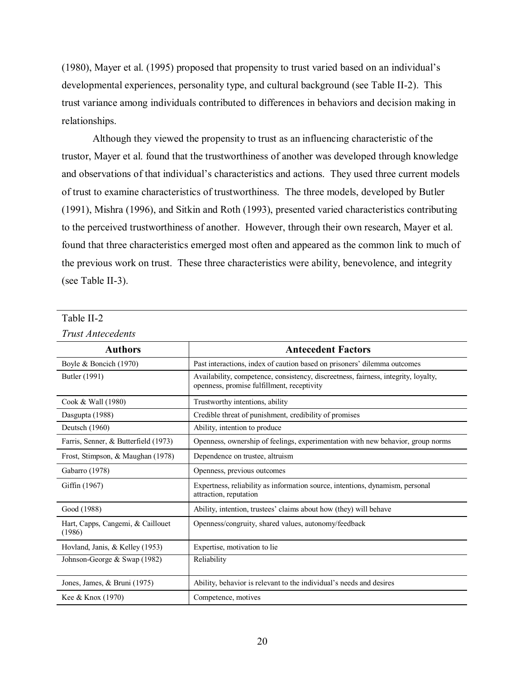(1980), Mayer et al. (1995) proposed that propensity to trust varied based on an individual's developmental experiences, personality type, and cultural background (see Table II-2). This trust variance among individuals contributed to differences in behaviors and decision making in relationships.

Although they viewed the propensity to trust as an influencing characteristic of the trustor, Mayer et al. found that the trustworthiness of another was developed through knowledge and observations of that individual's characteristics and actions. They used three current models of trust to examine characteristics of trustworthiness. The three models, developed by Butler (1991), Mishra (1996), and Sitkin and Roth (1993), presented varied characteristics contributing to the perceived trustworthiness of another. However, through their own research, Mayer et al. found that three characteristics emerged most often and appeared as the common link to much of the previous work on trust. These three characteristics were ability, benevolence, and integrity (see Table II-3).

| Trust Antecedents                           |                                                                                                                                  |
|---------------------------------------------|----------------------------------------------------------------------------------------------------------------------------------|
| <b>Authors</b>                              | <b>Antecedent Factors</b>                                                                                                        |
| Boyle & Boncich (1970)                      | Past interactions, index of caution based on prisoners' dilemma outcomes                                                         |
| Butler (1991)                               | Availability, competence, consistency, discreetness, fairness, integrity, loyalty,<br>openness, promise fulfillment, receptivity |
| Cook & Wall (1980)                          | Trustworthy intentions, ability                                                                                                  |
| Dasgupta (1988)                             | Credible threat of punishment, credibility of promises                                                                           |
| Deutsch (1960)                              | Ability, intention to produce                                                                                                    |
| Farris, Senner, & Butterfield (1973)        | Openness, ownership of feelings, experimentation with new behavior, group norms                                                  |
| Frost, Stimpson, & Maughan (1978)           | Dependence on trustee, altruism                                                                                                  |
| Gabarro (1978)                              | Openness, previous outcomes                                                                                                      |
| Giffin (1967)                               | Expertness, reliability as information source, intentions, dynamism, personal<br>attraction, reputation                          |
| Good (1988)                                 | Ability, intention, trustees' claims about how (they) will behave                                                                |
| Hart, Capps, Cangemi, & Caillouet<br>(1986) | Openness/congruity, shared values, autonomy/feedback                                                                             |
| Hovland, Janis, & Kelley (1953)             | Expertise, motivation to lie                                                                                                     |
| Johnson-George & Swap (1982)                | Reliability                                                                                                                      |
| Jones, James, & Bruni (1975)                | Ability, behavior is relevant to the individual's needs and desires                                                              |
| Kee & Knox (1970)                           | Competence, motives                                                                                                              |

## Table II-2

*Trust Antecedents*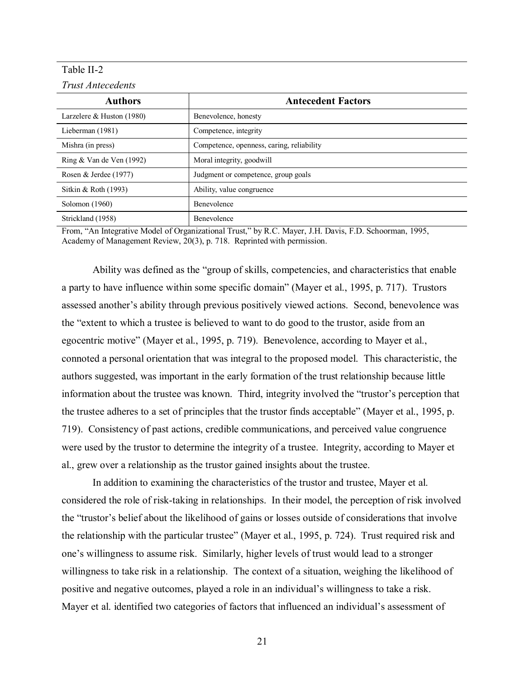## Table II-2

*Trust Antecedents* 

| <b>Authors</b>              | <b>Antecedent Factors</b>                 |  |
|-----------------------------|-------------------------------------------|--|
| Larzelere $&$ Huston (1980) | Benevolence, honesty                      |  |
| Lieberman (1981)            | Competence, integrity                     |  |
| Mishra (in press)           | Competence, openness, caring, reliability |  |
| Ring $&$ Van de Ven (1992)  | Moral integrity, goodwill                 |  |
| Rosen & Jerdee $(1977)$     | Judgment or competence, group goals       |  |
| Sitkin & Roth (1993)        | Ability, value congruence                 |  |
| Solomon (1960)              | Benevolence                               |  |
| Strickland (1958)           | Benevolence                               |  |

From, "An Integrative Model of Organizational Trust," by R.C. Mayer, J.H. Davis, F.D. Schoorman, 1995, Academy of Management Review, 20(3), p. 718. Reprinted with permission.

Ability was defined as the "group of skills, competencies, and characteristics that enable a party to have influence within some specific domain" (Mayer et al., 1995, p. 717). Trustors assessed another's ability through previous positively viewed actions. Second, benevolence was the "extent to which a trustee is believed to want to do good to the trustor, aside from an egocentric motive" (Mayer et al., 1995, p. 719). Benevolence, according to Mayer et al., connoted a personal orientation that was integral to the proposed model. This characteristic, the authors suggested, was important in the early formation of the trust relationship because little information about the trustee was known. Third, integrity involved the "trustor's perception that the trustee adheres to a set of principles that the trustor finds acceptable" (Mayer et al., 1995, p. 719). Consistency of past actions, credible communications, and perceived value congruence were used by the trustor to determine the integrity of a trustee. Integrity, according to Mayer et al., grew over a relationship as the trustor gained insights about the trustee.

In addition to examining the characteristics of the trustor and trustee, Mayer et al. considered the role of risk-taking in relationships. In their model, the perception of risk involved the "trustor's belief about the likelihood of gains or losses outside of considerations that involve the relationship with the particular trustee" (Mayer et al., 1995, p. 724). Trust required risk and one's willingness to assume risk. Similarly, higher levels of trust would lead to a stronger willingness to take risk in a relationship. The context of a situation, weighing the likelihood of positive and negative outcomes, played a role in an individual's willingness to take a risk. Mayer et al. identified two categories of factors that influenced an individual's assessment of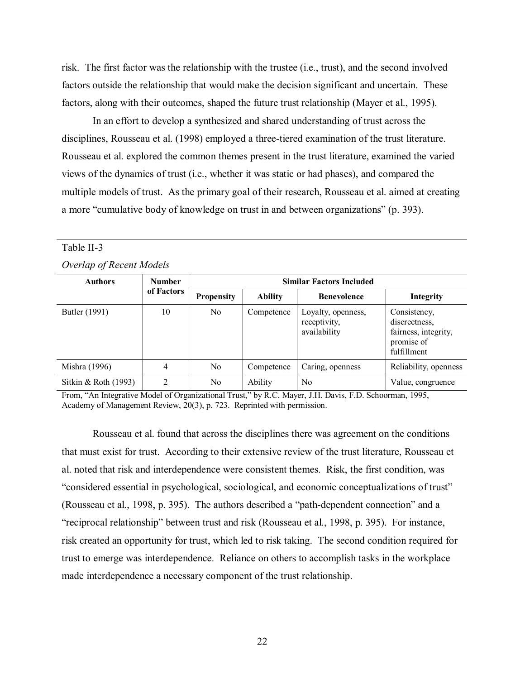risk. The first factor was the relationship with the trustee (i.e., trust), and the second involved factors outside the relationship that would make the decision significant and uncertain. These factors, along with their outcomes, shaped the future trust relationship (Mayer et al., 1995).

In an effort to develop a synthesized and shared understanding of trust across the disciplines, Rousseau et al. (1998) employed a three-tiered examination of the trust literature. Rousseau et al. explored the common themes present in the trust literature, examined the varied views of the dynamics of trust (i.e., whether it was static or had phases), and compared the multiple models of trust. As the primary goal of their research, Rousseau et al. aimed at creating a more "cumulative body of knowledge on trust in and between organizations" (p. 393).

| Overlap of Recent Models |                             |                                 |                |                                                    |                                                                                    |  |
|--------------------------|-----------------------------|---------------------------------|----------------|----------------------------------------------------|------------------------------------------------------------------------------------|--|
| <b>Authors</b>           | <b>Number</b><br>of Factors | <b>Similar Factors Included</b> |                |                                                    |                                                                                    |  |
|                          |                             | <b>Propensity</b>               | <b>Ability</b> | <b>Benevolence</b>                                 | Integrity                                                                          |  |
| Butler (1991)            | 10                          | N <sub>0</sub>                  | Competence     | Loyalty, openness,<br>receptivity,<br>availability | Consistency,<br>discreetness.<br>fairness, integrity,<br>promise of<br>fulfillment |  |
| Mishra (1996)            | 4                           | N <sub>0</sub>                  | Competence     | Caring, openness                                   | Reliability, openness                                                              |  |
| Sitkin & Roth $(1993)$   | $\overline{2}$              | N <sub>0</sub>                  | Ability        | No                                                 | Value, congruence                                                                  |  |

Table II-3

From, "An Integrative Model of Organizational Trust," by R.C. Mayer, J.H. Davis, F.D. Schoorman, 1995, Academy of Management Review, 20(3), p. 723. Reprinted with permission.

 Rousseau et al. found that across the disciplines there was agreement on the conditions that must exist for trust. According to their extensive review of the trust literature, Rousseau et al. noted that risk and interdependence were consistent themes. Risk, the first condition, was "considered essential in psychological, sociological, and economic conceptualizations of trust" (Rousseau et al., 1998, p. 395). The authors described a "path-dependent connection" and a "reciprocal relationship" between trust and risk (Rousseau et al., 1998, p. 395). For instance, risk created an opportunity for trust, which led to risk taking. The second condition required for trust to emerge was interdependence. Reliance on others to accomplish tasks in the workplace made interdependence a necessary component of the trust relationship.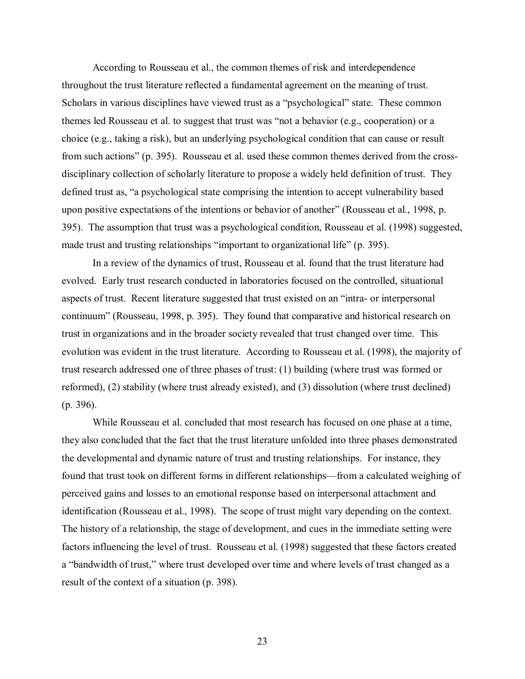According to Rousseau et al., the common themes of risk and interdependence throughout the trust literature reflected a fundamental agreement on the meaning of trust. Scholars in various disciplines have viewed trust as a "psychological" state. These common themes led Rousseau et al. to suggest that trust was "not a behavior (e.g., cooperation) or a choice (e.g., taking a risk), but an underlying psychological condition that can cause or result from such actions" (p. 395). Rousseau et al. used these common themes derived from the crossdisciplinary collection of scholarly literature to propose a widely held definition of trust. They defined trust as, "a psychological state comprising the intention to accept vulnerability based upon positive expectations of the intentions or behavior of another" (Rousseau et al., 1998, p. 395). The assumption that trust was a psychological condition, Rousseau et al. (1998) suggested, made trust and trusting relationships "important to organizational life" (p. 395).

 In a review of the dynamics of trust, Rousseau et al. found that the trust literature had evolved. Early trust research conducted in laboratories focused on the controlled, situational aspects of trust. Recent literature suggested that trust existed on an "intra- or interpersonal continuum" (Rousseau, 1998, p. 395). They found that comparative and historical research on trust in organizations and in the broader society revealed that trust changed over time. This evolution was evident in the trust literature. According to Rousseau et al. (1998), the majority of trust research addressed one of three phases of trust: (1) building (where trust was formed or reformed), (2) stability (where trust already existed), and (3) dissolution (where trust declined) (p. 396).

While Rousseau et al. concluded that most research has focused on one phase at a time, they also concluded that the fact that the trust literature unfolded into three phases demonstrated the developmental and dynamic nature of trust and trusting relationships. For instance, they found that trust took on different forms in different relationships—from a calculated weighing of perceived gains and losses to an emotional response based on interpersonal attachment and identification (Rousseau et al., 1998). The scope of trust might vary depending on the context. The history of a relationship, the stage of development, and cues in the immediate setting were factors influencing the level of trust. Rousseau et al. (1998) suggested that these factors created a "bandwidth of trust," where trust developed over time and where levels of trust changed as a result of the context of a situation (p. 398).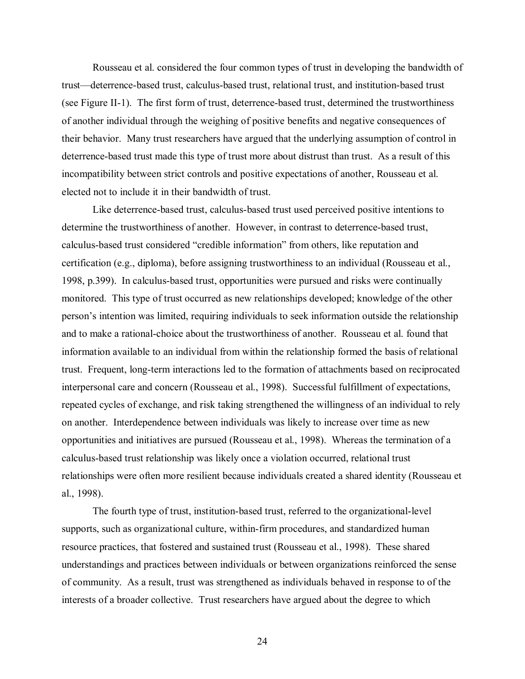Rousseau et al. considered the four common types of trust in developing the bandwidth of trust—deterrence-based trust, calculus-based trust, relational trust, and institution-based trust (see Figure II-1). The first form of trust, deterrence-based trust, determined the trustworthiness of another individual through the weighing of positive benefits and negative consequences of their behavior. Many trust researchers have argued that the underlying assumption of control in deterrence-based trust made this type of trust more about distrust than trust. As a result of this incompatibility between strict controls and positive expectations of another, Rousseau et al. elected not to include it in their bandwidth of trust.

Like deterrence-based trust, calculus-based trust used perceived positive intentions to determine the trustworthiness of another. However, in contrast to deterrence-based trust, calculus-based trust considered "credible information" from others, like reputation and certification (e.g., diploma), before assigning trustworthiness to an individual (Rousseau et al., 1998, p.399). In calculus-based trust, opportunities were pursued and risks were continually monitored. This type of trust occurred as new relationships developed; knowledge of the other person's intention was limited, requiring individuals to seek information outside the relationship and to make a rational-choice about the trustworthiness of another. Rousseau et al. found that information available to an individual from within the relationship formed the basis of relational trust. Frequent, long-term interactions led to the formation of attachments based on reciprocated interpersonal care and concern (Rousseau et al., 1998). Successful fulfillment of expectations, repeated cycles of exchange, and risk taking strengthened the willingness of an individual to rely on another. Interdependence between individuals was likely to increase over time as new opportunities and initiatives are pursued (Rousseau et al., 1998). Whereas the termination of a calculus-based trust relationship was likely once a violation occurred, relational trust relationships were often more resilient because individuals created a shared identity (Rousseau et al., 1998).

The fourth type of trust, institution-based trust, referred to the organizational-level supports, such as organizational culture, within-firm procedures, and standardized human resource practices, that fostered and sustained trust (Rousseau et al., 1998). These shared understandings and practices between individuals or between organizations reinforced the sense of community. As a result, trust was strengthened as individuals behaved in response to of the interests of a broader collective. Trust researchers have argued about the degree to which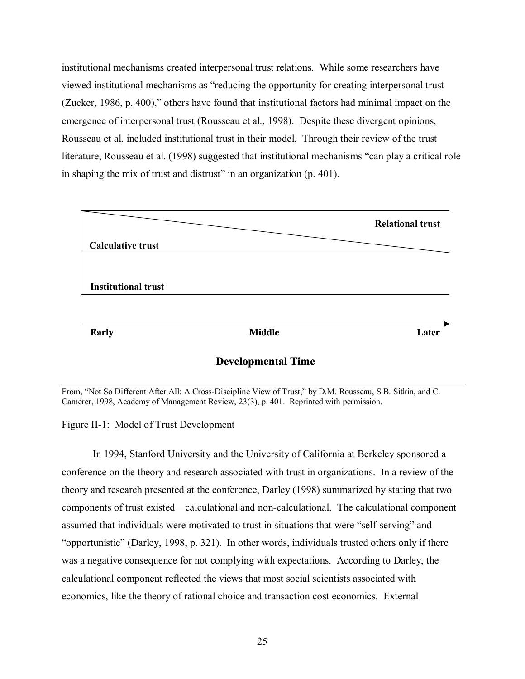institutional mechanisms created interpersonal trust relations. While some researchers have viewed institutional mechanisms as "reducing the opportunity for creating interpersonal trust (Zucker, 1986, p. 400)," others have found that institutional factors had minimal impact on the emergence of interpersonal trust (Rousseau et al., 1998). Despite these divergent opinions, Rousseau et al. included institutional trust in their model. Through their review of the trust literature, Rousseau et al. (1998) suggested that institutional mechanisms "can play a critical role in shaping the mix of trust and distrust" in an organization (p. 401).



From, "Not So Different After All: A Cross-Discipline View of Trust," by D.M. Rousseau, S.B. Sitkin, and C. Camerer, 1998, Academy of Management Review, 23(3), p. 401. Reprinted with permission.

Figure II-1: Model of Trust Development

In 1994, Stanford University and the University of California at Berkeley sponsored a conference on the theory and research associated with trust in organizations. In a review of the theory and research presented at the conference, Darley (1998) summarized by stating that two components of trust existed—calculational and non-calculational. The calculational component assumed that individuals were motivated to trust in situations that were "self-serving" and "opportunistic" (Darley, 1998, p. 321). In other words, individuals trusted others only if there was a negative consequence for not complying with expectations. According to Darley, the calculational component reflected the views that most social scientists associated with economics, like the theory of rational choice and transaction cost economics. External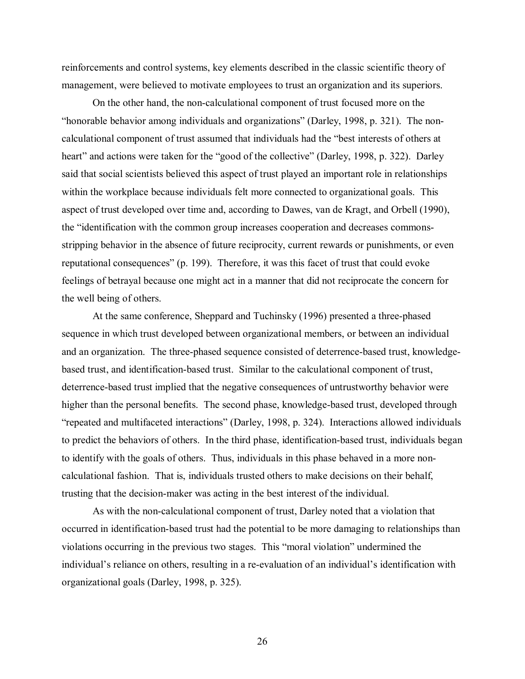reinforcements and control systems, key elements described in the classic scientific theory of management, were believed to motivate employees to trust an organization and its superiors.

On the other hand, the non-calculational component of trust focused more on the "honorable behavior among individuals and organizations" (Darley, 1998, p. 321). The noncalculational component of trust assumed that individuals had the "best interests of others at heart" and actions were taken for the "good of the collective" (Darley, 1998, p. 322). Darley said that social scientists believed this aspect of trust played an important role in relationships within the workplace because individuals felt more connected to organizational goals. This aspect of trust developed over time and, according to Dawes, van de Kragt, and Orbell (1990), the "identification with the common group increases cooperation and decreases commonsstripping behavior in the absence of future reciprocity, current rewards or punishments, or even reputational consequences" (p. 199). Therefore, it was this facet of trust that could evoke feelings of betrayal because one might act in a manner that did not reciprocate the concern for the well being of others.

At the same conference, Sheppard and Tuchinsky (1996) presented a three-phased sequence in which trust developed between organizational members, or between an individual and an organization. The three-phased sequence consisted of deterrence-based trust, knowledgebased trust, and identification-based trust. Similar to the calculational component of trust, deterrence-based trust implied that the negative consequences of untrustworthy behavior were higher than the personal benefits. The second phase, knowledge-based trust, developed through "repeated and multifaceted interactions" (Darley, 1998, p. 324). Interactions allowed individuals to predict the behaviors of others. In the third phase, identification-based trust, individuals began to identify with the goals of others. Thus, individuals in this phase behaved in a more noncalculational fashion. That is, individuals trusted others to make decisions on their behalf, trusting that the decision-maker was acting in the best interest of the individual.

As with the non-calculational component of trust, Darley noted that a violation that occurred in identification-based trust had the potential to be more damaging to relationships than violations occurring in the previous two stages. This "moral violation" undermined the individual's reliance on others, resulting in a re-evaluation of an individual's identification with organizational goals (Darley, 1998, p. 325).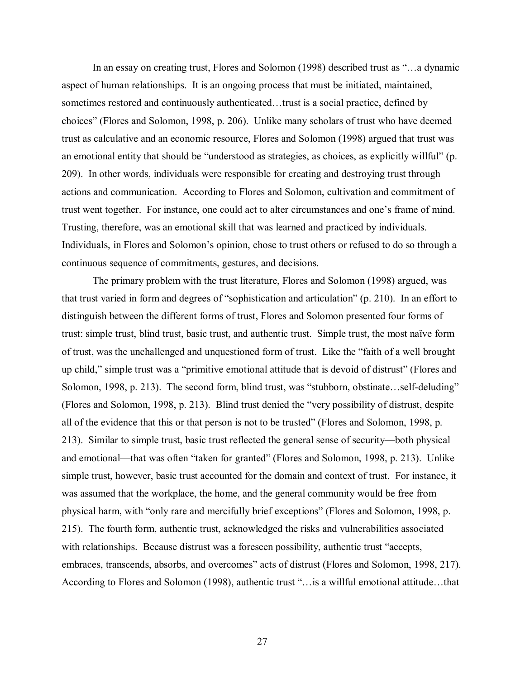In an essay on creating trust, Flores and Solomon (1998) described trust as "…a dynamic aspect of human relationships. It is an ongoing process that must be initiated, maintained, sometimes restored and continuously authenticated…trust is a social practice, defined by choices" (Flores and Solomon, 1998, p. 206). Unlike many scholars of trust who have deemed trust as calculative and an economic resource, Flores and Solomon (1998) argued that trust was an emotional entity that should be "understood as strategies, as choices, as explicitly willful" (p. 209). In other words, individuals were responsible for creating and destroying trust through actions and communication. According to Flores and Solomon, cultivation and commitment of trust went together. For instance, one could act to alter circumstances and one's frame of mind. Trusting, therefore, was an emotional skill that was learned and practiced by individuals. Individuals, in Flores and Solomon's opinion, chose to trust others or refused to do so through a continuous sequence of commitments, gestures, and decisions.

The primary problem with the trust literature, Flores and Solomon (1998) argued, was that trust varied in form and degrees of "sophistication and articulation" (p. 210). In an effort to distinguish between the different forms of trust, Flores and Solomon presented four forms of trust: simple trust, blind trust, basic trust, and authentic trust. Simple trust, the most naïve form of trust, was the unchallenged and unquestioned form of trust. Like the "faith of a well brought up child," simple trust was a "primitive emotional attitude that is devoid of distrust" (Flores and Solomon, 1998, p. 213). The second form, blind trust, was "stubborn, obstinate...self-deluding" (Flores and Solomon, 1998, p. 213). Blind trust denied the "very possibility of distrust, despite all of the evidence that this or that person is not to be trusted" (Flores and Solomon, 1998, p. 213). Similar to simple trust, basic trust reflected the general sense of security—both physical and emotional—that was often "taken for granted" (Flores and Solomon, 1998, p. 213). Unlike simple trust, however, basic trust accounted for the domain and context of trust. For instance, it was assumed that the workplace, the home, and the general community would be free from physical harm, with "only rare and mercifully brief exceptions" (Flores and Solomon, 1998, p. 215). The fourth form, authentic trust, acknowledged the risks and vulnerabilities associated with relationships. Because distrust was a foreseen possibility, authentic trust "accepts, embraces, transcends, absorbs, and overcomes" acts of distrust (Flores and Solomon, 1998, 217). According to Flores and Solomon (1998), authentic trust "…is a willful emotional attitude…that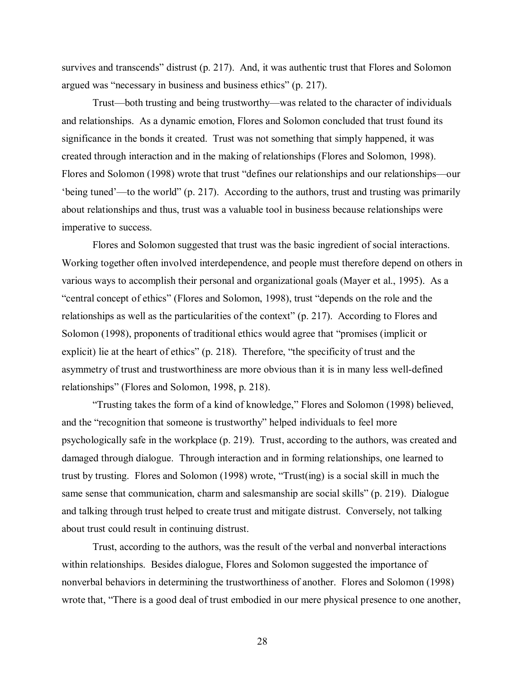survives and transcends" distrust (p. 217). And, it was authentic trust that Flores and Solomon argued was "necessary in business and business ethics" (p. 217).

Trust—both trusting and being trustworthy—was related to the character of individuals and relationships. As a dynamic emotion, Flores and Solomon concluded that trust found its significance in the bonds it created. Trust was not something that simply happened, it was created through interaction and in the making of relationships (Flores and Solomon, 1998). Flores and Solomon (1998) wrote that trust "defines our relationships and our relationships—our 'being tuned'—to the world" (p. 217). According to the authors, trust and trusting was primarily about relationships and thus, trust was a valuable tool in business because relationships were imperative to success.

Flores and Solomon suggested that trust was the basic ingredient of social interactions. Working together often involved interdependence, and people must therefore depend on others in various ways to accomplish their personal and organizational goals (Mayer et al., 1995). As a "central concept of ethics" (Flores and Solomon, 1998), trust "depends on the role and the relationships as well as the particularities of the context" (p. 217). According to Flores and Solomon (1998), proponents of traditional ethics would agree that "promises (implicit or explicit) lie at the heart of ethics" (p. 218). Therefore, "the specificity of trust and the asymmetry of trust and trustworthiness are more obvious than it is in many less well-defined relationships" (Flores and Solomon, 1998, p. 218).

"Trusting takes the form of a kind of knowledge," Flores and Solomon (1998) believed, and the "recognition that someone is trustworthy" helped individuals to feel more psychologically safe in the workplace (p. 219). Trust, according to the authors, was created and damaged through dialogue. Through interaction and in forming relationships, one learned to trust by trusting. Flores and Solomon (1998) wrote, "Trust(ing) is a social skill in much the same sense that communication, charm and salesmanship are social skills" (p. 219). Dialogue and talking through trust helped to create trust and mitigate distrust. Conversely, not talking about trust could result in continuing distrust.

Trust, according to the authors, was the result of the verbal and nonverbal interactions within relationships. Besides dialogue, Flores and Solomon suggested the importance of nonverbal behaviors in determining the trustworthiness of another. Flores and Solomon (1998) wrote that, "There is a good deal of trust embodied in our mere physical presence to one another,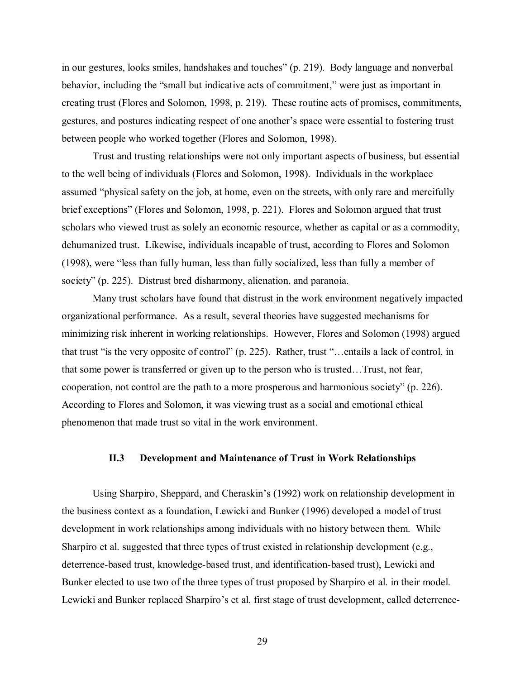in our gestures, looks smiles, handshakes and touches" (p. 219). Body language and nonverbal behavior, including the "small but indicative acts of commitment," were just as important in creating trust (Flores and Solomon, 1998, p. 219). These routine acts of promises, commitments, gestures, and postures indicating respect of one another's space were essential to fostering trust between people who worked together (Flores and Solomon, 1998).

Trust and trusting relationships were not only important aspects of business, but essential to the well being of individuals (Flores and Solomon, 1998). Individuals in the workplace assumed "physical safety on the job, at home, even on the streets, with only rare and mercifully brief exceptions" (Flores and Solomon, 1998, p. 221). Flores and Solomon argued that trust scholars who viewed trust as solely an economic resource, whether as capital or as a commodity, dehumanized trust. Likewise, individuals incapable of trust, according to Flores and Solomon (1998), were "less than fully human, less than fully socialized, less than fully a member of society" (p. 225). Distrust bred disharmony, alienation, and paranoia.

Many trust scholars have found that distrust in the work environment negatively impacted organizational performance. As a result, several theories have suggested mechanisms for minimizing risk inherent in working relationships. However, Flores and Solomon (1998) argued that trust "is the very opposite of control" (p. 225). Rather, trust "…entails a lack of control, in that some power is transferred or given up to the person who is trusted…Trust, not fear, cooperation, not control are the path to a more prosperous and harmonious society" (p. 226). According to Flores and Solomon, it was viewing trust as a social and emotional ethical phenomenon that made trust so vital in the work environment.

# **II.3 Development and Maintenance of Trust in Work Relationships**

 Using Sharpiro, Sheppard, and Cheraskin's (1992) work on relationship development in the business context as a foundation, Lewicki and Bunker (1996) developed a model of trust development in work relationships among individuals with no history between them. While Sharpiro et al. suggested that three types of trust existed in relationship development (e.g., deterrence-based trust, knowledge-based trust, and identification-based trust), Lewicki and Bunker elected to use two of the three types of trust proposed by Sharpiro et al. in their model. Lewicki and Bunker replaced Sharpiro's et al. first stage of trust development, called deterrence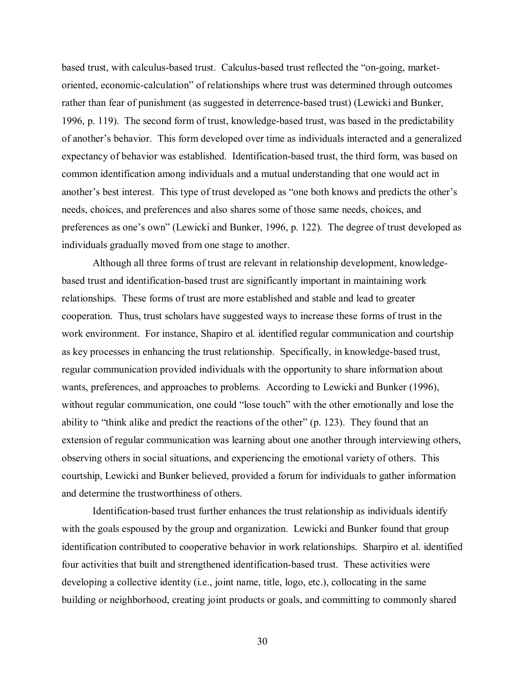based trust, with calculus-based trust. Calculus-based trust reflected the "on-going, marketoriented, economic-calculation" of relationships where trust was determined through outcomes rather than fear of punishment (as suggested in deterrence-based trust) (Lewicki and Bunker, 1996, p. 119). The second form of trust, knowledge-based trust, was based in the predictability of another's behavior. This form developed over time as individuals interacted and a generalized expectancy of behavior was established. Identification-based trust, the third form, was based on common identification among individuals and a mutual understanding that one would act in another's best interest. This type of trust developed as "one both knows and predicts the other's needs, choices, and preferences and also shares some of those same needs, choices, and preferences as one's own" (Lewicki and Bunker, 1996, p. 122). The degree of trust developed as individuals gradually moved from one stage to another.

Although all three forms of trust are relevant in relationship development, knowledgebased trust and identification-based trust are significantly important in maintaining work relationships. These forms of trust are more established and stable and lead to greater cooperation. Thus, trust scholars have suggested ways to increase these forms of trust in the work environment. For instance, Shapiro et al. identified regular communication and courtship as key processes in enhancing the trust relationship. Specifically, in knowledge-based trust, regular communication provided individuals with the opportunity to share information about wants, preferences, and approaches to problems. According to Lewicki and Bunker (1996), without regular communication, one could "lose touch" with the other emotionally and lose the ability to "think alike and predict the reactions of the other" (p. 123). They found that an extension of regular communication was learning about one another through interviewing others, observing others in social situations, and experiencing the emotional variety of others. This courtship, Lewicki and Bunker believed, provided a forum for individuals to gather information and determine the trustworthiness of others.

Identification-based trust further enhances the trust relationship as individuals identify with the goals espoused by the group and organization. Lewicki and Bunker found that group identification contributed to cooperative behavior in work relationships. Sharpiro et al. identified four activities that built and strengthened identification-based trust. These activities were developing a collective identity (i.e., joint name, title, logo, etc.), collocating in the same building or neighborhood, creating joint products or goals, and committing to commonly shared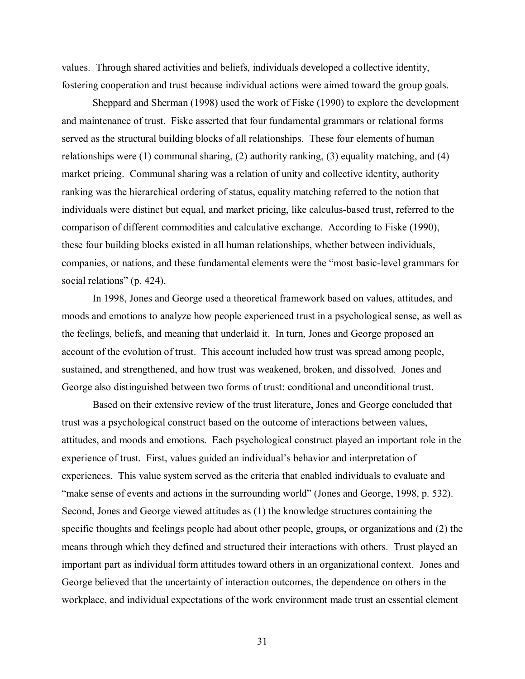values. Through shared activities and beliefs, individuals developed a collective identity, fostering cooperation and trust because individual actions were aimed toward the group goals.

Sheppard and Sherman (1998) used the work of Fiske (1990) to explore the development and maintenance of trust. Fiske asserted that four fundamental grammars or relational forms served as the structural building blocks of all relationships. These four elements of human relationships were (1) communal sharing, (2) authority ranking, (3) equality matching, and (4) market pricing. Communal sharing was a relation of unity and collective identity, authority ranking was the hierarchical ordering of status, equality matching referred to the notion that individuals were distinct but equal, and market pricing, like calculus-based trust, referred to the comparison of different commodities and calculative exchange. According to Fiske (1990), these four building blocks existed in all human relationships, whether between individuals, companies, or nations, and these fundamental elements were the "most basic-level grammars for social relations" (p. 424).

In 1998, Jones and George used a theoretical framework based on values, attitudes, and moods and emotions to analyze how people experienced trust in a psychological sense, as well as the feelings, beliefs, and meaning that underlaid it. In turn, Jones and George proposed an account of the evolution of trust. This account included how trust was spread among people, sustained, and strengthened, and how trust was weakened, broken, and dissolved. Jones and George also distinguished between two forms of trust: conditional and unconditional trust.

Based on their extensive review of the trust literature, Jones and George concluded that trust was a psychological construct based on the outcome of interactions between values, attitudes, and moods and emotions. Each psychological construct played an important role in the experience of trust. First, values guided an individual's behavior and interpretation of experiences. This value system served as the criteria that enabled individuals to evaluate and "make sense of events and actions in the surrounding world" (Jones and George, 1998, p. 532). Second, Jones and George viewed attitudes as (1) the knowledge structures containing the specific thoughts and feelings people had about other people, groups, or organizations and (2) the means through which they defined and structured their interactions with others. Trust played an important part as individual form attitudes toward others in an organizational context. Jones and George believed that the uncertainty of interaction outcomes, the dependence on others in the workplace, and individual expectations of the work environment made trust an essential element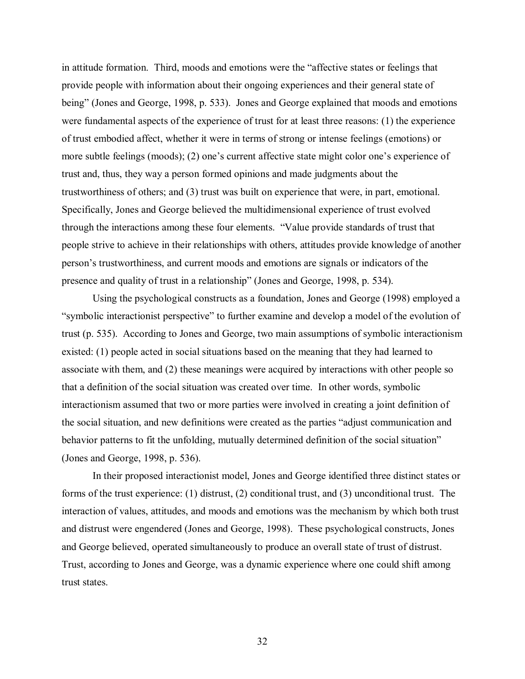in attitude formation. Third, moods and emotions were the "affective states or feelings that provide people with information about their ongoing experiences and their general state of being" (Jones and George, 1998, p. 533). Jones and George explained that moods and emotions were fundamental aspects of the experience of trust for at least three reasons: (1) the experience of trust embodied affect, whether it were in terms of strong or intense feelings (emotions) or more subtle feelings (moods); (2) one's current affective state might color one's experience of trust and, thus, they way a person formed opinions and made judgments about the trustworthiness of others; and (3) trust was built on experience that were, in part, emotional. Specifically, Jones and George believed the multidimensional experience of trust evolved through the interactions among these four elements. "Value provide standards of trust that people strive to achieve in their relationships with others, attitudes provide knowledge of another person's trustworthiness, and current moods and emotions are signals or indicators of the presence and quality of trust in a relationship" (Jones and George, 1998, p. 534).

Using the psychological constructs as a foundation, Jones and George (1998) employed a "symbolic interactionist perspective" to further examine and develop a model of the evolution of trust (p. 535). According to Jones and George, two main assumptions of symbolic interactionism existed: (1) people acted in social situations based on the meaning that they had learned to associate with them, and (2) these meanings were acquired by interactions with other people so that a definition of the social situation was created over time. In other words, symbolic interactionism assumed that two or more parties were involved in creating a joint definition of the social situation, and new definitions were created as the parties "adjust communication and behavior patterns to fit the unfolding, mutually determined definition of the social situation" (Jones and George, 1998, p. 536).

In their proposed interactionist model, Jones and George identified three distinct states or forms of the trust experience: (1) distrust, (2) conditional trust, and (3) unconditional trust. The interaction of values, attitudes, and moods and emotions was the mechanism by which both trust and distrust were engendered (Jones and George, 1998). These psychological constructs, Jones and George believed, operated simultaneously to produce an overall state of trust of distrust. Trust, according to Jones and George, was a dynamic experience where one could shift among trust states.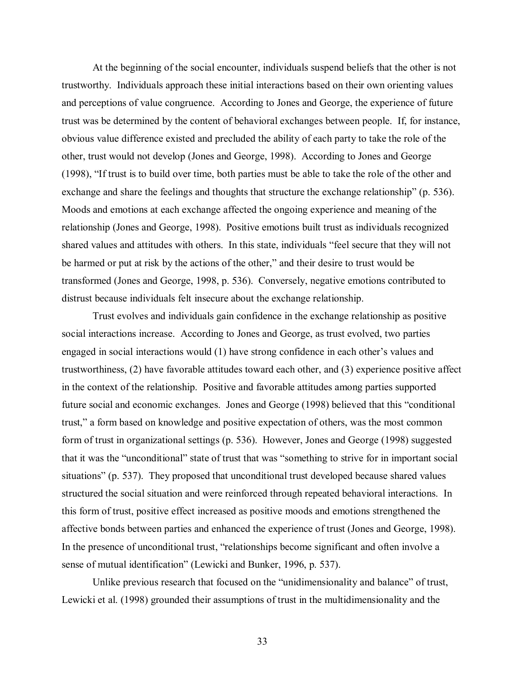At the beginning of the social encounter, individuals suspend beliefs that the other is not trustworthy. Individuals approach these initial interactions based on their own orienting values and perceptions of value congruence. According to Jones and George, the experience of future trust was be determined by the content of behavioral exchanges between people. If, for instance, obvious value difference existed and precluded the ability of each party to take the role of the other, trust would not develop (Jones and George, 1998). According to Jones and George (1998), "If trust is to build over time, both parties must be able to take the role of the other and exchange and share the feelings and thoughts that structure the exchange relationship" (p. 536). Moods and emotions at each exchange affected the ongoing experience and meaning of the relationship (Jones and George, 1998). Positive emotions built trust as individuals recognized shared values and attitudes with others. In this state, individuals "feel secure that they will not be harmed or put at risk by the actions of the other," and their desire to trust would be transformed (Jones and George, 1998, p. 536). Conversely, negative emotions contributed to distrust because individuals felt insecure about the exchange relationship.

Trust evolves and individuals gain confidence in the exchange relationship as positive social interactions increase. According to Jones and George, as trust evolved, two parties engaged in social interactions would (1) have strong confidence in each other's values and trustworthiness, (2) have favorable attitudes toward each other, and (3) experience positive affect in the context of the relationship. Positive and favorable attitudes among parties supported future social and economic exchanges. Jones and George (1998) believed that this "conditional trust," a form based on knowledge and positive expectation of others, was the most common form of trust in organizational settings (p. 536). However, Jones and George (1998) suggested that it was the "unconditional" state of trust that was "something to strive for in important social situations" (p. 537). They proposed that unconditional trust developed because shared values structured the social situation and were reinforced through repeated behavioral interactions. In this form of trust, positive effect increased as positive moods and emotions strengthened the affective bonds between parties and enhanced the experience of trust (Jones and George, 1998). In the presence of unconditional trust, "relationships become significant and often involve a sense of mutual identification" (Lewicki and Bunker, 1996, p. 537).

 Unlike previous research that focused on the "unidimensionality and balance" of trust, Lewicki et al. (1998) grounded their assumptions of trust in the multidimensionality and the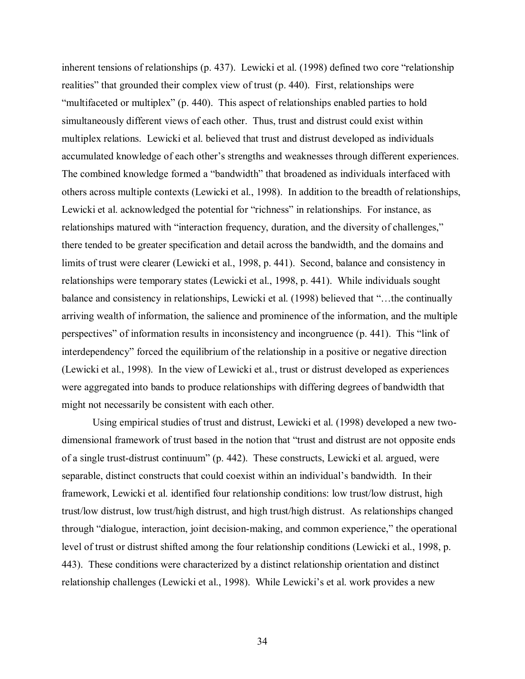inherent tensions of relationships (p. 437). Lewicki et al. (1998) defined two core "relationship realities" that grounded their complex view of trust (p. 440). First, relationships were "multifaceted or multiplex" (p. 440). This aspect of relationships enabled parties to hold simultaneously different views of each other. Thus, trust and distrust could exist within multiplex relations. Lewicki et al. believed that trust and distrust developed as individuals accumulated knowledge of each other's strengths and weaknesses through different experiences. The combined knowledge formed a "bandwidth" that broadened as individuals interfaced with others across multiple contexts (Lewicki et al., 1998). In addition to the breadth of relationships, Lewicki et al. acknowledged the potential for "richness" in relationships. For instance, as relationships matured with "interaction frequency, duration, and the diversity of challenges," there tended to be greater specification and detail across the bandwidth, and the domains and limits of trust were clearer (Lewicki et al., 1998, p. 441). Second, balance and consistency in relationships were temporary states (Lewicki et al., 1998, p. 441). While individuals sought balance and consistency in relationships, Lewicki et al. (1998) believed that "…the continually arriving wealth of information, the salience and prominence of the information, and the multiple perspectives" of information results in inconsistency and incongruence (p. 441). This "link of interdependency" forced the equilibrium of the relationship in a positive or negative direction (Lewicki et al., 1998). In the view of Lewicki et al., trust or distrust developed as experiences were aggregated into bands to produce relationships with differing degrees of bandwidth that might not necessarily be consistent with each other.

 Using empirical studies of trust and distrust, Lewicki et al. (1998) developed a new twodimensional framework of trust based in the notion that "trust and distrust are not opposite ends of a single trust-distrust continuum" (p. 442). These constructs, Lewicki et al. argued, were separable, distinct constructs that could coexist within an individual's bandwidth. In their framework, Lewicki et al. identified four relationship conditions: low trust/low distrust, high trust/low distrust, low trust/high distrust, and high trust/high distrust. As relationships changed through "dialogue, interaction, joint decision-making, and common experience," the operational level of trust or distrust shifted among the four relationship conditions (Lewicki et al., 1998, p. 443). These conditions were characterized by a distinct relationship orientation and distinct relationship challenges (Lewicki et al., 1998). While Lewicki's et al. work provides a new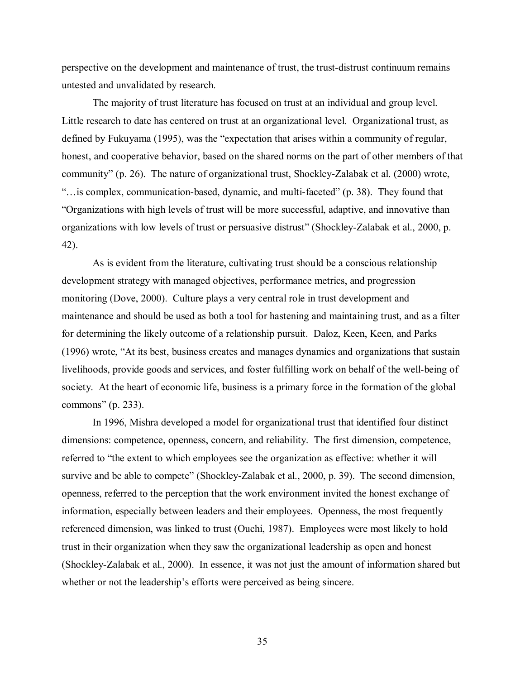perspective on the development and maintenance of trust, the trust-distrust continuum remains untested and unvalidated by research.

The majority of trust literature has focused on trust at an individual and group level. Little research to date has centered on trust at an organizational level. Organizational trust, as defined by Fukuyama (1995), was the "expectation that arises within a community of regular, honest, and cooperative behavior, based on the shared norms on the part of other members of that community" (p. 26). The nature of organizational trust, Shockley-Zalabak et al. (2000) wrote, "…is complex, communication-based, dynamic, and multi-faceted" (p. 38). They found that "Organizations with high levels of trust will be more successful, adaptive, and innovative than organizations with low levels of trust or persuasive distrust" (Shockley-Zalabak et al., 2000, p. 42).

As is evident from the literature, cultivating trust should be a conscious relationship development strategy with managed objectives, performance metrics, and progression monitoring (Dove, 2000). Culture plays a very central role in trust development and maintenance and should be used as both a tool for hastening and maintaining trust, and as a filter for determining the likely outcome of a relationship pursuit. Daloz, Keen, Keen, and Parks (1996) wrote, "At its best, business creates and manages dynamics and organizations that sustain livelihoods, provide goods and services, and foster fulfilling work on behalf of the well-being of society. At the heart of economic life, business is a primary force in the formation of the global commons" (p. 233).

In 1996, Mishra developed a model for organizational trust that identified four distinct dimensions: competence, openness, concern, and reliability. The first dimension, competence, referred to "the extent to which employees see the organization as effective: whether it will survive and be able to compete" (Shockley-Zalabak et al., 2000, p. 39). The second dimension, openness, referred to the perception that the work environment invited the honest exchange of information, especially between leaders and their employees. Openness, the most frequently referenced dimension, was linked to trust (Ouchi, 1987). Employees were most likely to hold trust in their organization when they saw the organizational leadership as open and honest (Shockley-Zalabak et al., 2000). In essence, it was not just the amount of information shared but whether or not the leadership's efforts were perceived as being sincere.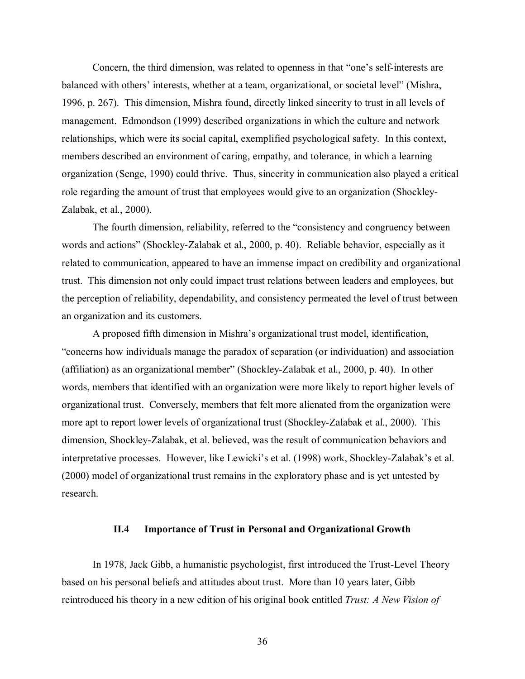Concern, the third dimension, was related to openness in that "one's self-interests are balanced with others' interests, whether at a team, organizational, or societal level" (Mishra, 1996, p. 267). This dimension, Mishra found, directly linked sincerity to trust in all levels of management. Edmondson (1999) described organizations in which the culture and network relationships, which were its social capital, exemplified psychological safety. In this context, members described an environment of caring, empathy, and tolerance, in which a learning organization (Senge, 1990) could thrive. Thus, sincerity in communication also played a critical role regarding the amount of trust that employees would give to an organization (Shockley-Zalabak, et al., 2000).

The fourth dimension, reliability, referred to the "consistency and congruency between words and actions" (Shockley-Zalabak et al., 2000, p. 40). Reliable behavior, especially as it related to communication, appeared to have an immense impact on credibility and organizational trust. This dimension not only could impact trust relations between leaders and employees, but the perception of reliability, dependability, and consistency permeated the level of trust between an organization and its customers.

A proposed fifth dimension in Mishra's organizational trust model, identification, "concerns how individuals manage the paradox of separation (or individuation) and association (affiliation) as an organizational member" (Shockley-Zalabak et al., 2000, p. 40). In other words, members that identified with an organization were more likely to report higher levels of organizational trust. Conversely, members that felt more alienated from the organization were more apt to report lower levels of organizational trust (Shockley-Zalabak et al., 2000). This dimension, Shockley-Zalabak, et al. believed, was the result of communication behaviors and interpretative processes. However, like Lewicki's et al. (1998) work, Shockley-Zalabak's et al. (2000) model of organizational trust remains in the exploratory phase and is yet untested by research.

## **II.4 Importance of Trust in Personal and Organizational Growth**

In 1978, Jack Gibb, a humanistic psychologist, first introduced the Trust-Level Theory based on his personal beliefs and attitudes about trust. More than 10 years later, Gibb reintroduced his theory in a new edition of his original book entitled *Trust: A New Vision of*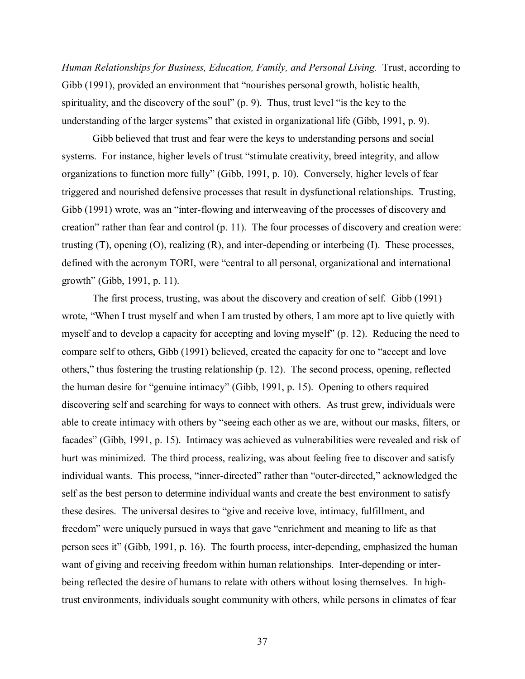*Human Relationships for Business, Education, Family, and Personal Living.* Trust, according to Gibb (1991), provided an environment that "nourishes personal growth, holistic health, spirituality, and the discovery of the soul" (p. 9). Thus, trust level "is the key to the understanding of the larger systems" that existed in organizational life (Gibb, 1991, p. 9).

Gibb believed that trust and fear were the keys to understanding persons and social systems. For instance, higher levels of trust "stimulate creativity, breed integrity, and allow organizations to function more fully" (Gibb, 1991, p. 10). Conversely, higher levels of fear triggered and nourished defensive processes that result in dysfunctional relationships. Trusting, Gibb (1991) wrote, was an "inter-flowing and interweaving of the processes of discovery and creation" rather than fear and control (p. 11). The four processes of discovery and creation were: trusting (T), opening (O), realizing (R), and inter-depending or interbeing (I). These processes, defined with the acronym TORI, were "central to all personal, organizational and international growth" (Gibb, 1991, p. 11).

The first process, trusting, was about the discovery and creation of self. Gibb (1991) wrote, "When I trust myself and when I am trusted by others, I am more apt to live quietly with myself and to develop a capacity for accepting and loving myself" (p. 12). Reducing the need to compare self to others, Gibb (1991) believed, created the capacity for one to "accept and love others," thus fostering the trusting relationship (p. 12). The second process, opening, reflected the human desire for "genuine intimacy" (Gibb, 1991, p. 15). Opening to others required discovering self and searching for ways to connect with others. As trust grew, individuals were able to create intimacy with others by "seeing each other as we are, without our masks, filters, or facades" (Gibb, 1991, p. 15). Intimacy was achieved as vulnerabilities were revealed and risk of hurt was minimized. The third process, realizing, was about feeling free to discover and satisfy individual wants. This process, "inner-directed" rather than "outer-directed," acknowledged the self as the best person to determine individual wants and create the best environment to satisfy these desires. The universal desires to "give and receive love, intimacy, fulfillment, and freedom" were uniquely pursued in ways that gave "enrichment and meaning to life as that person sees it" (Gibb, 1991, p. 16). The fourth process, inter-depending, emphasized the human want of giving and receiving freedom within human relationships. Inter-depending or interbeing reflected the desire of humans to relate with others without losing themselves. In hightrust environments, individuals sought community with others, while persons in climates of fear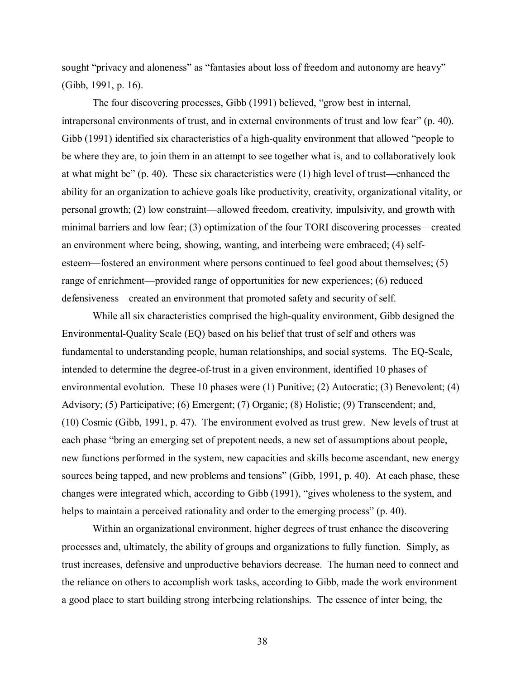sought "privacy and aloneness" as "fantasies about loss of freedom and autonomy are heavy" (Gibb, 1991, p. 16).

The four discovering processes, Gibb (1991) believed, "grow best in internal, intrapersonal environments of trust, and in external environments of trust and low fear" (p. 40). Gibb (1991) identified six characteristics of a high-quality environment that allowed "people to be where they are, to join them in an attempt to see together what is, and to collaboratively look at what might be" (p. 40). These six characteristics were (1) high level of trust—enhanced the ability for an organization to achieve goals like productivity, creativity, organizational vitality, or personal growth; (2) low constraint—allowed freedom, creativity, impulsivity, and growth with minimal barriers and low fear; (3) optimization of the four TORI discovering processes—created an environment where being, showing, wanting, and interbeing were embraced; (4) selfesteem—fostered an environment where persons continued to feel good about themselves; (5) range of enrichment—provided range of opportunities for new experiences; (6) reduced defensiveness—created an environment that promoted safety and security of self.

While all six characteristics comprised the high-quality environment, Gibb designed the Environmental-Quality Scale (EQ) based on his belief that trust of self and others was fundamental to understanding people, human relationships, and social systems. The EQ-Scale, intended to determine the degree-of-trust in a given environment, identified 10 phases of environmental evolution. These 10 phases were (1) Punitive; (2) Autocratic; (3) Benevolent; (4) Advisory; (5) Participative; (6) Emergent; (7) Organic; (8) Holistic; (9) Transcendent; and, (10) Cosmic (Gibb, 1991, p. 47). The environment evolved as trust grew. New levels of trust at each phase "bring an emerging set of prepotent needs, a new set of assumptions about people, new functions performed in the system, new capacities and skills become ascendant, new energy sources being tapped, and new problems and tensions" (Gibb, 1991, p. 40). At each phase, these changes were integrated which, according to Gibb (1991), "gives wholeness to the system, and helps to maintain a perceived rationality and order to the emerging process" (p. 40).

Within an organizational environment, higher degrees of trust enhance the discovering processes and, ultimately, the ability of groups and organizations to fully function. Simply, as trust increases, defensive and unproductive behaviors decrease. The human need to connect and the reliance on others to accomplish work tasks, according to Gibb, made the work environment a good place to start building strong interbeing relationships. The essence of inter being, the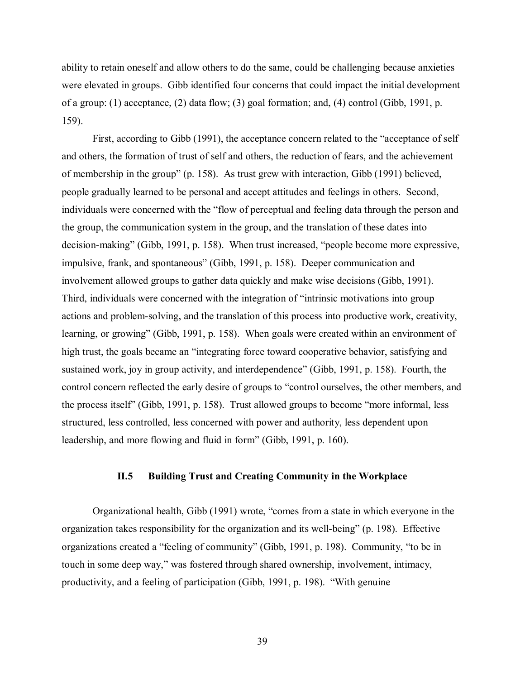ability to retain oneself and allow others to do the same, could be challenging because anxieties were elevated in groups. Gibb identified four concerns that could impact the initial development of a group: (1) acceptance, (2) data flow; (3) goal formation; and, (4) control (Gibb, 1991, p. 159).

First, according to Gibb (1991), the acceptance concern related to the "acceptance of self and others, the formation of trust of self and others, the reduction of fears, and the achievement of membership in the group" (p. 158). As trust grew with interaction, Gibb (1991) believed, people gradually learned to be personal and accept attitudes and feelings in others. Second, individuals were concerned with the "flow of perceptual and feeling data through the person and the group, the communication system in the group, and the translation of these dates into decision-making" (Gibb, 1991, p. 158). When trust increased, "people become more expressive, impulsive, frank, and spontaneous" (Gibb, 1991, p. 158). Deeper communication and involvement allowed groups to gather data quickly and make wise decisions (Gibb, 1991). Third, individuals were concerned with the integration of "intrinsic motivations into group actions and problem-solving, and the translation of this process into productive work, creativity, learning, or growing" (Gibb, 1991, p. 158). When goals were created within an environment of high trust, the goals became an "integrating force toward cooperative behavior, satisfying and sustained work, joy in group activity, and interdependence" (Gibb, 1991, p. 158). Fourth, the control concern reflected the early desire of groups to "control ourselves, the other members, and the process itself" (Gibb, 1991, p. 158). Trust allowed groups to become "more informal, less structured, less controlled, less concerned with power and authority, less dependent upon leadership, and more flowing and fluid in form" (Gibb, 1991, p. 160).

## **II.5 Building Trust and Creating Community in the Workplace**

Organizational health, Gibb (1991) wrote, "comes from a state in which everyone in the organization takes responsibility for the organization and its well-being" (p. 198). Effective organizations created a "feeling of community" (Gibb, 1991, p. 198). Community, "to be in touch in some deep way," was fostered through shared ownership, involvement, intimacy, productivity, and a feeling of participation (Gibb, 1991, p. 198). "With genuine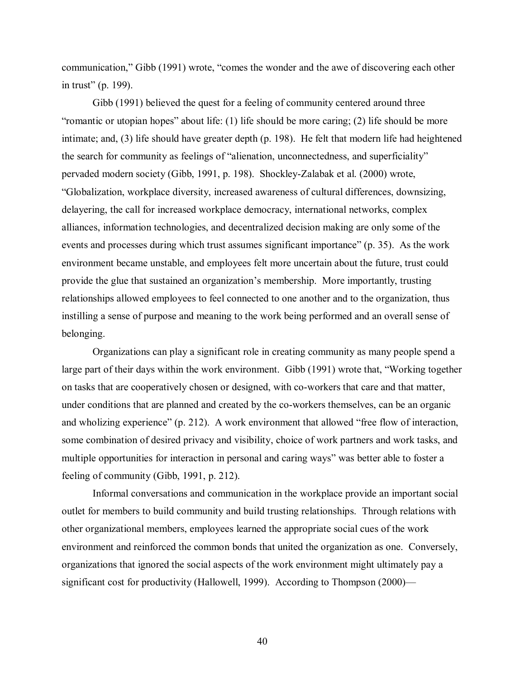communication," Gibb (1991) wrote, "comes the wonder and the awe of discovering each other in trust" (p. 199).

Gibb (1991) believed the quest for a feeling of community centered around three "romantic or utopian hopes" about life: (1) life should be more caring; (2) life should be more intimate; and, (3) life should have greater depth (p. 198). He felt that modern life had heightened the search for community as feelings of "alienation, unconnectedness, and superficiality" pervaded modern society (Gibb, 1991, p. 198). Shockley-Zalabak et al. (2000) wrote, "Globalization, workplace diversity, increased awareness of cultural differences, downsizing, delayering, the call for increased workplace democracy, international networks, complex alliances, information technologies, and decentralized decision making are only some of the events and processes during which trust assumes significant importance" (p. 35). As the work environment became unstable, and employees felt more uncertain about the future, trust could provide the glue that sustained an organization's membership. More importantly, trusting relationships allowed employees to feel connected to one another and to the organization, thus instilling a sense of purpose and meaning to the work being performed and an overall sense of belonging.

Organizations can play a significant role in creating community as many people spend a large part of their days within the work environment. Gibb (1991) wrote that, "Working together on tasks that are cooperatively chosen or designed, with co-workers that care and that matter, under conditions that are planned and created by the co-workers themselves, can be an organic and wholizing experience" (p. 212). A work environment that allowed "free flow of interaction, some combination of desired privacy and visibility, choice of work partners and work tasks, and multiple opportunities for interaction in personal and caring ways" was better able to foster a feeling of community (Gibb, 1991, p. 212).

Informal conversations and communication in the workplace provide an important social outlet for members to build community and build trusting relationships. Through relations with other organizational members, employees learned the appropriate social cues of the work environment and reinforced the common bonds that united the organization as one. Conversely, organizations that ignored the social aspects of the work environment might ultimately pay a significant cost for productivity (Hallowell, 1999). According to Thompson (2000)—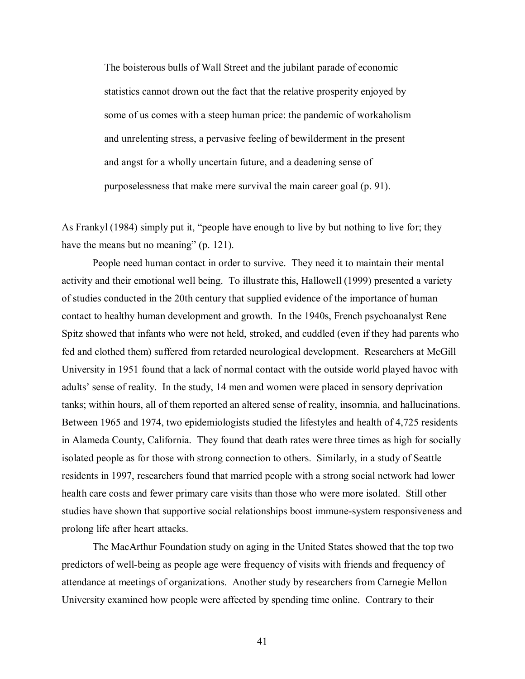The boisterous bulls of Wall Street and the jubilant parade of economic statistics cannot drown out the fact that the relative prosperity enjoyed by some of us comes with a steep human price: the pandemic of workaholism and unrelenting stress, a pervasive feeling of bewilderment in the present and angst for a wholly uncertain future, and a deadening sense of purposelessness that make mere survival the main career goal (p. 91).

As Frankyl (1984) simply put it, "people have enough to live by but nothing to live for; they have the means but no meaning" (p. 121).

People need human contact in order to survive. They need it to maintain their mental activity and their emotional well being. To illustrate this, Hallowell (1999) presented a variety of studies conducted in the 20th century that supplied evidence of the importance of human contact to healthy human development and growth. In the 1940s, French psychoanalyst Rene Spitz showed that infants who were not held, stroked, and cuddled (even if they had parents who fed and clothed them) suffered from retarded neurological development. Researchers at McGill University in 1951 found that a lack of normal contact with the outside world played havoc with adults' sense of reality. In the study, 14 men and women were placed in sensory deprivation tanks; within hours, all of them reported an altered sense of reality, insomnia, and hallucinations. Between 1965 and 1974, two epidemiologists studied the lifestyles and health of 4,725 residents in Alameda County, California. They found that death rates were three times as high for socially isolated people as for those with strong connection to others. Similarly, in a study of Seattle residents in 1997, researchers found that married people with a strong social network had lower health care costs and fewer primary care visits than those who were more isolated. Still other studies have shown that supportive social relationships boost immune-system responsiveness and prolong life after heart attacks.

The MacArthur Foundation study on aging in the United States showed that the top two predictors of well-being as people age were frequency of visits with friends and frequency of attendance at meetings of organizations. Another study by researchers from Carnegie Mellon University examined how people were affected by spending time online. Contrary to their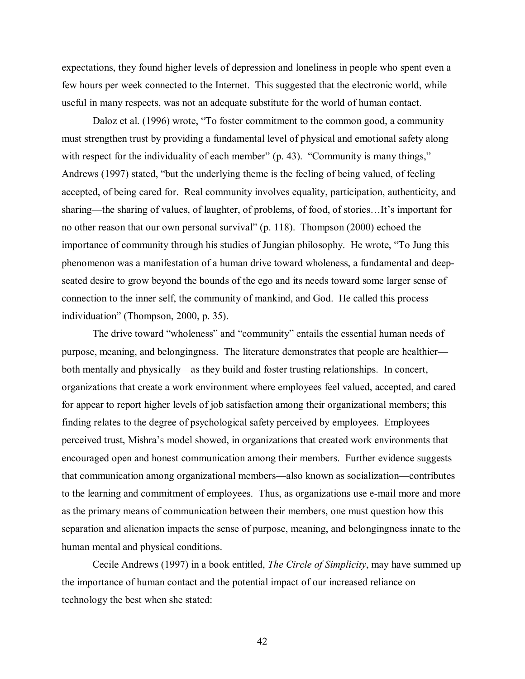expectations, they found higher levels of depression and loneliness in people who spent even a few hours per week connected to the Internet. This suggested that the electronic world, while useful in many respects, was not an adequate substitute for the world of human contact.

Daloz et al. (1996) wrote, "To foster commitment to the common good, a community must strengthen trust by providing a fundamental level of physical and emotional safety along with respect for the individuality of each member" (p. 43). "Community is many things," Andrews (1997) stated, "but the underlying theme is the feeling of being valued, of feeling accepted, of being cared for. Real community involves equality, participation, authenticity, and sharing—the sharing of values, of laughter, of problems, of food, of stories…It's important for no other reason that our own personal survival" (p. 118). Thompson (2000) echoed the importance of community through his studies of Jungian philosophy. He wrote, "To Jung this phenomenon was a manifestation of a human drive toward wholeness, a fundamental and deepseated desire to grow beyond the bounds of the ego and its needs toward some larger sense of connection to the inner self, the community of mankind, and God. He called this process individuation" (Thompson, 2000, p. 35).

The drive toward "wholeness" and "community" entails the essential human needs of purpose, meaning, and belongingness. The literature demonstrates that people are healthier both mentally and physically—as they build and foster trusting relationships. In concert, organizations that create a work environment where employees feel valued, accepted, and cared for appear to report higher levels of job satisfaction among their organizational members; this finding relates to the degree of psychological safety perceived by employees. Employees perceived trust, Mishra's model showed, in organizations that created work environments that encouraged open and honest communication among their members. Further evidence suggests that communication among organizational members—also known as socialization—contributes to the learning and commitment of employees. Thus, as organizations use e-mail more and more as the primary means of communication between their members, one must question how this separation and alienation impacts the sense of purpose, meaning, and belongingness innate to the human mental and physical conditions.

Cecile Andrews (1997) in a book entitled, *The Circle of Simplicity*, may have summed up the importance of human contact and the potential impact of our increased reliance on technology the best when she stated: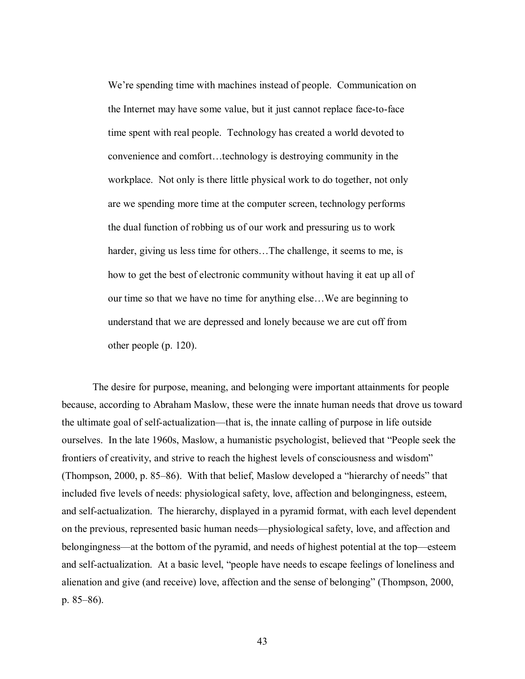We're spending time with machines instead of people. Communication on the Internet may have some value, but it just cannot replace face-to-face time spent with real people. Technology has created a world devoted to convenience and comfort…technology is destroying community in the workplace. Not only is there little physical work to do together, not only are we spending more time at the computer screen, technology performs the dual function of robbing us of our work and pressuring us to work harder, giving us less time for others...The challenge, it seems to me, is how to get the best of electronic community without having it eat up all of our time so that we have no time for anything else…We are beginning to understand that we are depressed and lonely because we are cut off from other people (p. 120).

The desire for purpose, meaning, and belonging were important attainments for people because, according to Abraham Maslow, these were the innate human needs that drove us toward the ultimate goal of self-actualization—that is, the innate calling of purpose in life outside ourselves. In the late 1960s, Maslow, a humanistic psychologist, believed that "People seek the frontiers of creativity, and strive to reach the highest levels of consciousness and wisdom" (Thompson, 2000, p. 85–86). With that belief, Maslow developed a "hierarchy of needs" that included five levels of needs: physiological safety, love, affection and belongingness, esteem, and self-actualization. The hierarchy, displayed in a pyramid format, with each level dependent on the previous, represented basic human needs—physiological safety, love, and affection and belongingness—at the bottom of the pyramid, and needs of highest potential at the top—esteem and self-actualization. At a basic level, "people have needs to escape feelings of loneliness and alienation and give (and receive) love, affection and the sense of belonging" (Thompson, 2000, p. 85–86).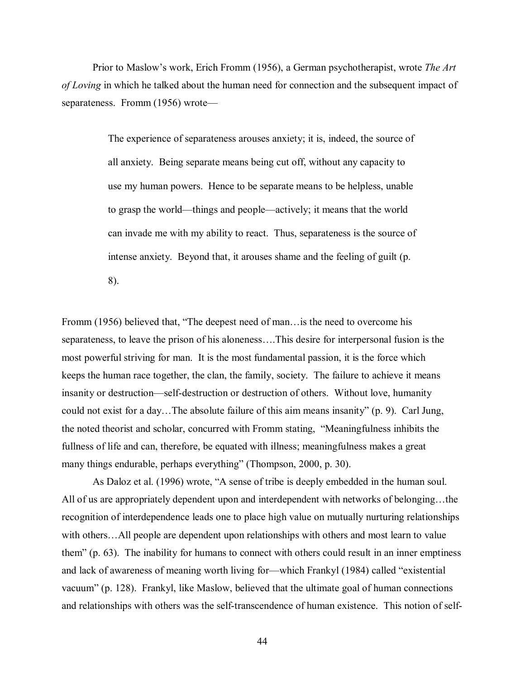Prior to Maslow's work, Erich Fromm (1956), a German psychotherapist, wrote *The Art of Loving* in which he talked about the human need for connection and the subsequent impact of separateness. Fromm (1956) wrote—

> The experience of separateness arouses anxiety; it is, indeed, the source of all anxiety. Being separate means being cut off, without any capacity to use my human powers. Hence to be separate means to be helpless, unable to grasp the world—things and people—actively; it means that the world can invade me with my ability to react. Thus, separateness is the source of intense anxiety. Beyond that, it arouses shame and the feeling of guilt (p. 8).

Fromm (1956) believed that, "The deepest need of man…is the need to overcome his separateness, to leave the prison of his aloneness….This desire for interpersonal fusion is the most powerful striving for man. It is the most fundamental passion, it is the force which keeps the human race together, the clan, the family, society. The failure to achieve it means insanity or destruction—self-destruction or destruction of others. Without love, humanity could not exist for a day…The absolute failure of this aim means insanity" (p. 9). Carl Jung, the noted theorist and scholar, concurred with Fromm stating, "Meaningfulness inhibits the fullness of life and can, therefore, be equated with illness; meaningfulness makes a great many things endurable, perhaps everything" (Thompson, 2000, p. 30).

As Daloz et al. (1996) wrote, "A sense of tribe is deeply embedded in the human soul. All of us are appropriately dependent upon and interdependent with networks of belonging…the recognition of interdependence leads one to place high value on mutually nurturing relationships with others...All people are dependent upon relationships with others and most learn to value them" (p. 63). The inability for humans to connect with others could result in an inner emptiness and lack of awareness of meaning worth living for—which Frankyl (1984) called "existential vacuum" (p. 128). Frankyl, like Maslow, believed that the ultimate goal of human connections and relationships with others was the self-transcendence of human existence. This notion of self-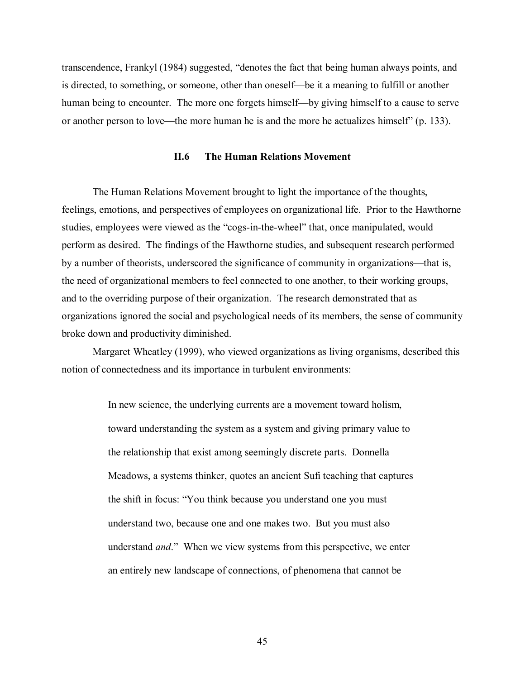transcendence, Frankyl (1984) suggested, "denotes the fact that being human always points, and is directed, to something, or someone, other than oneself—be it a meaning to fulfill or another human being to encounter. The more one forgets himself—by giving himself to a cause to serve or another person to love—the more human he is and the more he actualizes himself" (p. 133).

#### **II.6 The Human Relations Movement**

 The Human Relations Movement brought to light the importance of the thoughts, feelings, emotions, and perspectives of employees on organizational life. Prior to the Hawthorne studies, employees were viewed as the "cogs-in-the-wheel" that, once manipulated, would perform as desired. The findings of the Hawthorne studies, and subsequent research performed by a number of theorists, underscored the significance of community in organizations—that is, the need of organizational members to feel connected to one another, to their working groups, and to the overriding purpose of their organization. The research demonstrated that as organizations ignored the social and psychological needs of its members, the sense of community broke down and productivity diminished.

 Margaret Wheatley (1999), who viewed organizations as living organisms, described this notion of connectedness and its importance in turbulent environments:

> In new science, the underlying currents are a movement toward holism, toward understanding the system as a system and giving primary value to the relationship that exist among seemingly discrete parts. Donnella Meadows, a systems thinker, quotes an ancient Sufi teaching that captures the shift in focus: "You think because you understand one you must understand two, because one and one makes two. But you must also understand *and*." When we view systems from this perspective, we enter an entirely new landscape of connections, of phenomena that cannot be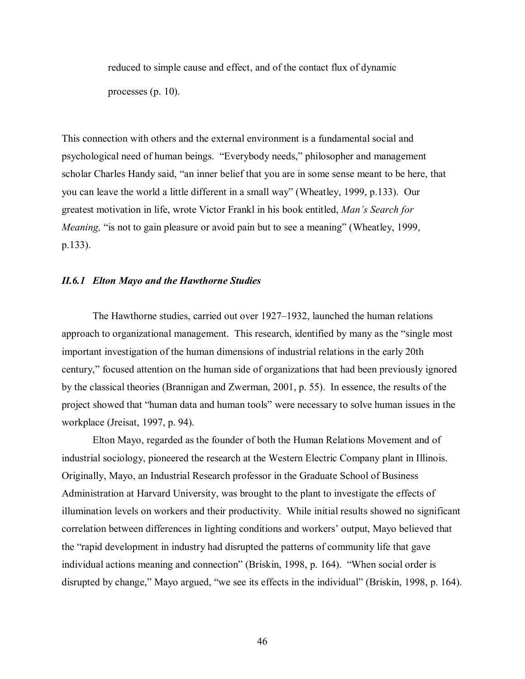reduced to simple cause and effect, and of the contact flux of dynamic processes (p. 10).

This connection with others and the external environment is a fundamental social and psychological need of human beings. "Everybody needs," philosopher and management scholar Charles Handy said, "an inner belief that you are in some sense meant to be here, that you can leave the world a little different in a small way" (Wheatley, 1999, p.133). Our greatest motivation in life, wrote Victor Frankl in his book entitled, *Man's Search for Meaning,* "is not to gain pleasure or avoid pain but to see a meaning" (Wheatley, 1999, p.133).

## *II.6.1 Elton Mayo and the Hawthorne Studies*

The Hawthorne studies, carried out over 1927–1932, launched the human relations approach to organizational management. This research, identified by many as the "single most important investigation of the human dimensions of industrial relations in the early 20th century," focused attention on the human side of organizations that had been previously ignored by the classical theories (Brannigan and Zwerman, 2001, p. 55). In essence, the results of the project showed that "human data and human tools" were necessary to solve human issues in the workplace (Jreisat, 1997, p. 94).

Elton Mayo, regarded as the founder of both the Human Relations Movement and of industrial sociology, pioneered the research at the Western Electric Company plant in Illinois. Originally, Mayo, an Industrial Research professor in the Graduate School of Business Administration at Harvard University, was brought to the plant to investigate the effects of illumination levels on workers and their productivity. While initial results showed no significant correlation between differences in lighting conditions and workers' output, Mayo believed that the "rapid development in industry had disrupted the patterns of community life that gave individual actions meaning and connection" (Briskin, 1998, p. 164). "When social order is disrupted by change," Mayo argued, "we see its effects in the individual" (Briskin, 1998, p. 164).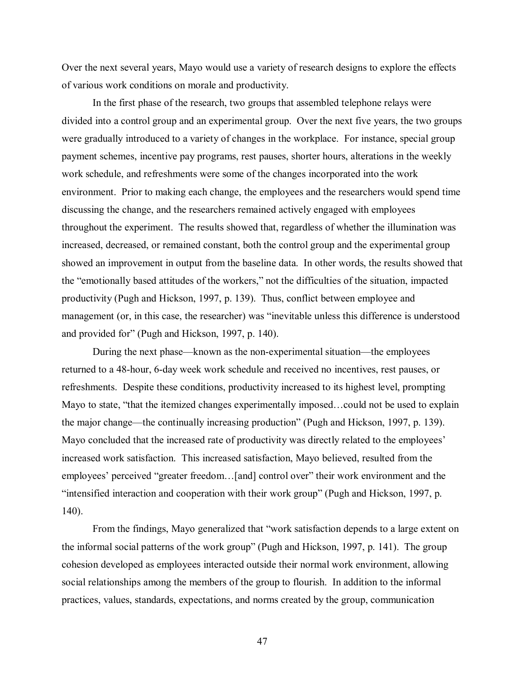Over the next several years, Mayo would use a variety of research designs to explore the effects of various work conditions on morale and productivity.

In the first phase of the research, two groups that assembled telephone relays were divided into a control group and an experimental group. Over the next five years, the two groups were gradually introduced to a variety of changes in the workplace. For instance, special group payment schemes, incentive pay programs, rest pauses, shorter hours, alterations in the weekly work schedule, and refreshments were some of the changes incorporated into the work environment. Prior to making each change, the employees and the researchers would spend time discussing the change, and the researchers remained actively engaged with employees throughout the experiment. The results showed that, regardless of whether the illumination was increased, decreased, or remained constant, both the control group and the experimental group showed an improvement in output from the baseline data. In other words, the results showed that the "emotionally based attitudes of the workers," not the difficulties of the situation, impacted productivity (Pugh and Hickson, 1997, p. 139). Thus, conflict between employee and management (or, in this case, the researcher) was "inevitable unless this difference is understood and provided for" (Pugh and Hickson, 1997, p. 140).

During the next phase—known as the non-experimental situation—the employees returned to a 48-hour, 6-day week work schedule and received no incentives, rest pauses, or refreshments. Despite these conditions, productivity increased to its highest level, prompting Mayo to state, "that the itemized changes experimentally imposed…could not be used to explain the major change—the continually increasing production" (Pugh and Hickson, 1997, p. 139). Mayo concluded that the increased rate of productivity was directly related to the employees' increased work satisfaction. This increased satisfaction, Mayo believed, resulted from the employees' perceived "greater freedom…[and] control over" their work environment and the "intensified interaction and cooperation with their work group" (Pugh and Hickson, 1997, p. 140).

From the findings, Mayo generalized that "work satisfaction depends to a large extent on the informal social patterns of the work group" (Pugh and Hickson, 1997, p. 141). The group cohesion developed as employees interacted outside their normal work environment, allowing social relationships among the members of the group to flourish. In addition to the informal practices, values, standards, expectations, and norms created by the group, communication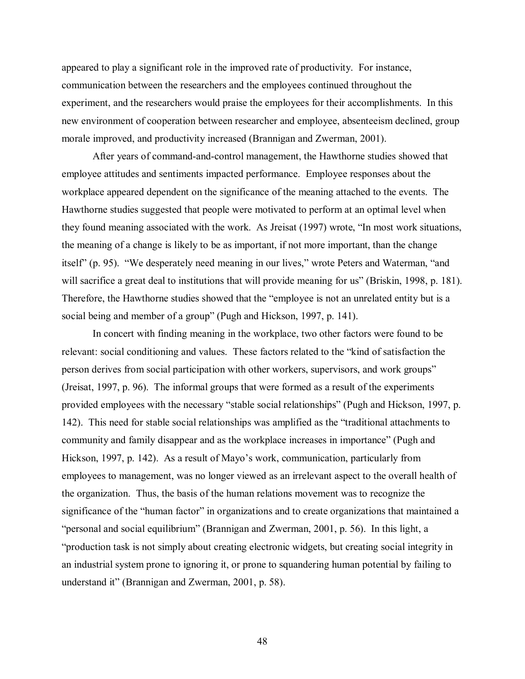appeared to play a significant role in the improved rate of productivity. For instance, communication between the researchers and the employees continued throughout the experiment, and the researchers would praise the employees for their accomplishments. In this new environment of cooperation between researcher and employee, absenteeism declined, group morale improved, and productivity increased (Brannigan and Zwerman, 2001).

After years of command-and-control management, the Hawthorne studies showed that employee attitudes and sentiments impacted performance. Employee responses about the workplace appeared dependent on the significance of the meaning attached to the events. The Hawthorne studies suggested that people were motivated to perform at an optimal level when they found meaning associated with the work. As Jreisat (1997) wrote, "In most work situations, the meaning of a change is likely to be as important, if not more important, than the change itself" (p. 95). "We desperately need meaning in our lives," wrote Peters and Waterman, "and will sacrifice a great deal to institutions that will provide meaning for us" (Briskin, 1998, p. 181). Therefore, the Hawthorne studies showed that the "employee is not an unrelated entity but is a social being and member of a group" (Pugh and Hickson, 1997, p. 141).

In concert with finding meaning in the workplace, two other factors were found to be relevant: social conditioning and values. These factors related to the "kind of satisfaction the person derives from social participation with other workers, supervisors, and work groups" (Jreisat, 1997, p. 96). The informal groups that were formed as a result of the experiments provided employees with the necessary "stable social relationships" (Pugh and Hickson, 1997, p. 142). This need for stable social relationships was amplified as the "traditional attachments to community and family disappear and as the workplace increases in importance" (Pugh and Hickson, 1997, p. 142). As a result of Mayo's work, communication, particularly from employees to management, was no longer viewed as an irrelevant aspect to the overall health of the organization. Thus, the basis of the human relations movement was to recognize the significance of the "human factor" in organizations and to create organizations that maintained a "personal and social equilibrium" (Brannigan and Zwerman, 2001, p. 56). In this light, a "production task is not simply about creating electronic widgets, but creating social integrity in an industrial system prone to ignoring it, or prone to squandering human potential by failing to understand it" (Brannigan and Zwerman, 2001, p. 58).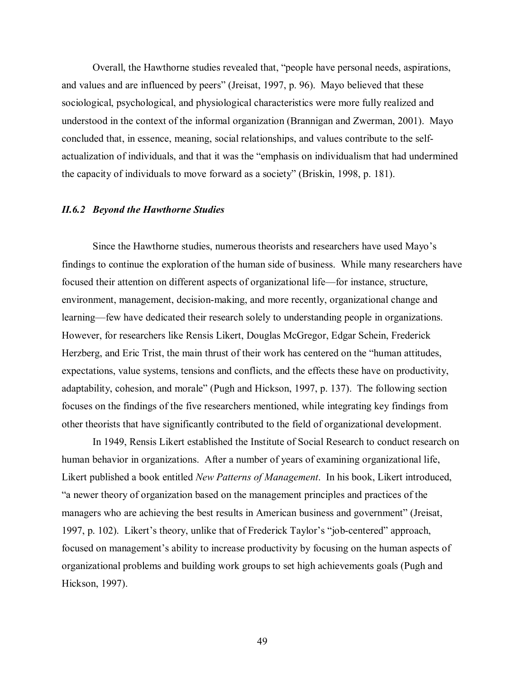Overall, the Hawthorne studies revealed that, "people have personal needs, aspirations, and values and are influenced by peers" (Jreisat, 1997, p. 96). Mayo believed that these sociological, psychological, and physiological characteristics were more fully realized and understood in the context of the informal organization (Brannigan and Zwerman, 2001). Mayo concluded that, in essence, meaning, social relationships, and values contribute to the selfactualization of individuals, and that it was the "emphasis on individualism that had undermined the capacity of individuals to move forward as a society" (Briskin, 1998, p. 181).

#### *II.6.2 Beyond the Hawthorne Studies*

Since the Hawthorne studies, numerous theorists and researchers have used Mayo's findings to continue the exploration of the human side of business. While many researchers have focused their attention on different aspects of organizational life—for instance, structure, environment, management, decision-making, and more recently, organizational change and learning—few have dedicated their research solely to understanding people in organizations. However, for researchers like Rensis Likert, Douglas McGregor, Edgar Schein, Frederick Herzberg, and Eric Trist, the main thrust of their work has centered on the "human attitudes, expectations, value systems, tensions and conflicts, and the effects these have on productivity, adaptability, cohesion, and morale" (Pugh and Hickson, 1997, p. 137). The following section focuses on the findings of the five researchers mentioned, while integrating key findings from other theorists that have significantly contributed to the field of organizational development.

In 1949, Rensis Likert established the Institute of Social Research to conduct research on human behavior in organizations. After a number of years of examining organizational life, Likert published a book entitled *New Patterns of Management*. In his book, Likert introduced, "a newer theory of organization based on the management principles and practices of the managers who are achieving the best results in American business and government" (Jreisat, 1997, p. 102). Likert's theory, unlike that of Frederick Taylor's "job-centered" approach, focused on management's ability to increase productivity by focusing on the human aspects of organizational problems and building work groups to set high achievements goals (Pugh and Hickson, 1997).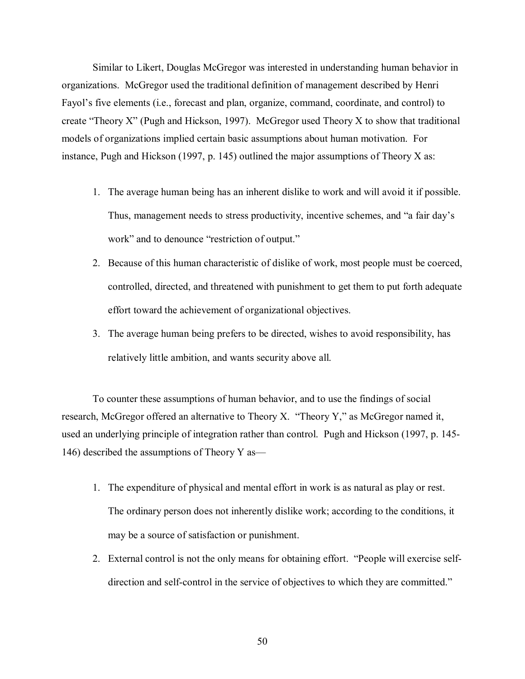Similar to Likert, Douglas McGregor was interested in understanding human behavior in organizations. McGregor used the traditional definition of management described by Henri Fayol's five elements (i.e., forecast and plan, organize, command, coordinate, and control) to create "Theory X" (Pugh and Hickson, 1997). McGregor used Theory X to show that traditional models of organizations implied certain basic assumptions about human motivation. For instance, Pugh and Hickson (1997, p. 145) outlined the major assumptions of Theory X as:

- 1. The average human being has an inherent dislike to work and will avoid it if possible. Thus, management needs to stress productivity, incentive schemes, and "a fair day's work" and to denounce "restriction of output."
- 2. Because of this human characteristic of dislike of work, most people must be coerced, controlled, directed, and threatened with punishment to get them to put forth adequate effort toward the achievement of organizational objectives.
- 3. The average human being prefers to be directed, wishes to avoid responsibility, has relatively little ambition, and wants security above all.

To counter these assumptions of human behavior, and to use the findings of social research, McGregor offered an alternative to Theory X. "Theory Y," as McGregor named it, used an underlying principle of integration rather than control. Pugh and Hickson (1997, p. 145- 146) described the assumptions of Theory Y as—

- 1. The expenditure of physical and mental effort in work is as natural as play or rest. The ordinary person does not inherently dislike work; according to the conditions, it may be a source of satisfaction or punishment.
- 2. External control is not the only means for obtaining effort. "People will exercise selfdirection and self-control in the service of objectives to which they are committed."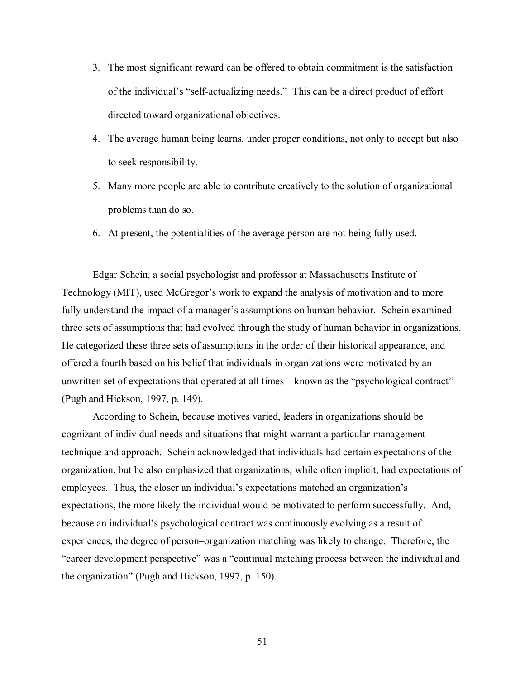- 3. The most significant reward can be offered to obtain commitment is the satisfaction of the individual's "self-actualizing needs." This can be a direct product of effort directed toward organizational objectives.
- 4. The average human being learns, under proper conditions, not only to accept but also to seek responsibility.
- 5. Many more people are able to contribute creatively to the solution of organizational problems than do so.
- 6. At present, the potentialities of the average person are not being fully used.

Edgar Schein, a social psychologist and professor at Massachusetts Institute of Technology (MIT), used McGregor's work to expand the analysis of motivation and to more fully understand the impact of a manager's assumptions on human behavior. Schein examined three sets of assumptions that had evolved through the study of human behavior in organizations. He categorized these three sets of assumptions in the order of their historical appearance, and offered a fourth based on his belief that individuals in organizations were motivated by an unwritten set of expectations that operated at all times—known as the "psychological contract" (Pugh and Hickson, 1997, p. 149).

According to Schein, because motives varied, leaders in organizations should be cognizant of individual needs and situations that might warrant a particular management technique and approach. Schein acknowledged that individuals had certain expectations of the organization, but he also emphasized that organizations, while often implicit, had expectations of employees. Thus, the closer an individual's expectations matched an organization's expectations, the more likely the individual would be motivated to perform successfully. And, because an individual's psychological contract was continuously evolving as a result of experiences, the degree of person–organization matching was likely to change. Therefore, the "career development perspective" was a "continual matching process between the individual and the organization" (Pugh and Hickson, 1997, p. 150).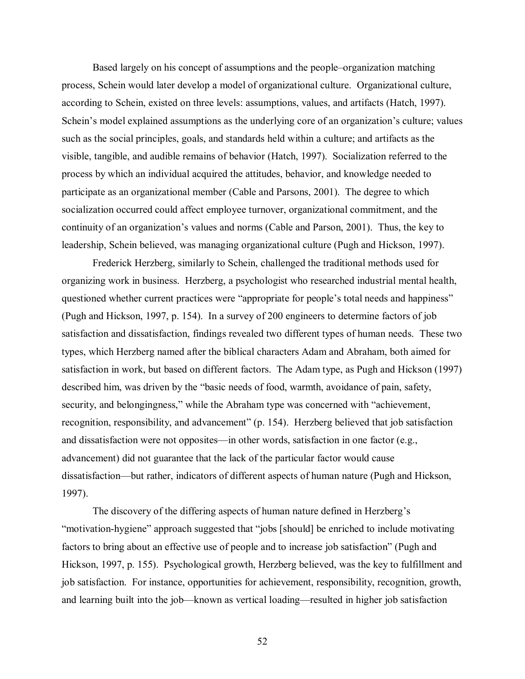Based largely on his concept of assumptions and the people–organization matching process, Schein would later develop a model of organizational culture. Organizational culture, according to Schein, existed on three levels: assumptions, values, and artifacts (Hatch, 1997). Schein's model explained assumptions as the underlying core of an organization's culture; values such as the social principles, goals, and standards held within a culture; and artifacts as the visible, tangible, and audible remains of behavior (Hatch, 1997). Socialization referred to the process by which an individual acquired the attitudes, behavior, and knowledge needed to participate as an organizational member (Cable and Parsons, 2001). The degree to which socialization occurred could affect employee turnover, organizational commitment, and the continuity of an organization's values and norms (Cable and Parson, 2001). Thus, the key to leadership, Schein believed, was managing organizational culture (Pugh and Hickson, 1997).

 Frederick Herzberg, similarly to Schein, challenged the traditional methods used for organizing work in business. Herzberg, a psychologist who researched industrial mental health, questioned whether current practices were "appropriate for people's total needs and happiness" (Pugh and Hickson, 1997, p. 154). In a survey of 200 engineers to determine factors of job satisfaction and dissatisfaction, findings revealed two different types of human needs. These two types, which Herzberg named after the biblical characters Adam and Abraham, both aimed for satisfaction in work, but based on different factors. The Adam type, as Pugh and Hickson (1997) described him, was driven by the "basic needs of food, warmth, avoidance of pain, safety, security, and belongingness," while the Abraham type was concerned with "achievement, recognition, responsibility, and advancement" (p. 154). Herzberg believed that job satisfaction and dissatisfaction were not opposites—in other words, satisfaction in one factor (e.g., advancement) did not guarantee that the lack of the particular factor would cause dissatisfaction—but rather, indicators of different aspects of human nature (Pugh and Hickson, 1997).

 The discovery of the differing aspects of human nature defined in Herzberg's "motivation-hygiene" approach suggested that "jobs [should] be enriched to include motivating factors to bring about an effective use of people and to increase job satisfaction" (Pugh and Hickson, 1997, p. 155). Psychological growth, Herzberg believed, was the key to fulfillment and job satisfaction. For instance, opportunities for achievement, responsibility, recognition, growth, and learning built into the job—known as vertical loading—resulted in higher job satisfaction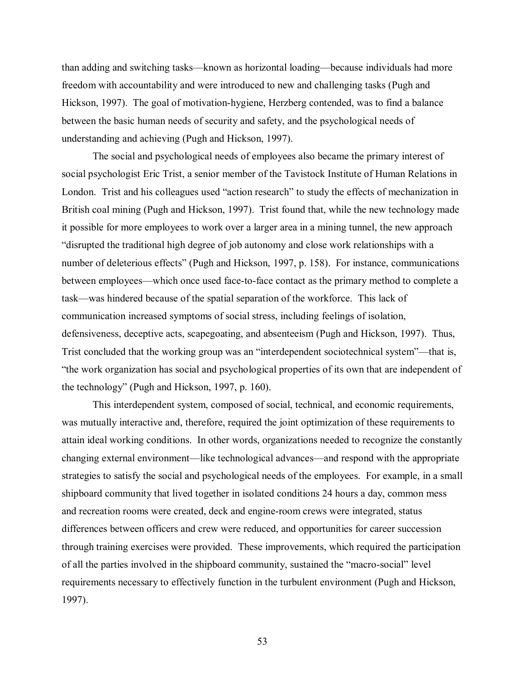than adding and switching tasks—known as horizontal loading—because individuals had more freedom with accountability and were introduced to new and challenging tasks (Pugh and Hickson, 1997). The goal of motivation-hygiene, Herzberg contended, was to find a balance between the basic human needs of security and safety, and the psychological needs of understanding and achieving (Pugh and Hickson, 1997).

 The social and psychological needs of employees also became the primary interest of social psychologist Eric Trist, a senior member of the Tavistock Institute of Human Relations in London. Trist and his colleagues used "action research" to study the effects of mechanization in British coal mining (Pugh and Hickson, 1997). Trist found that, while the new technology made it possible for more employees to work over a larger area in a mining tunnel, the new approach "disrupted the traditional high degree of job autonomy and close work relationships with a number of deleterious effects" (Pugh and Hickson, 1997, p. 158). For instance, communications between employees—which once used face-to-face contact as the primary method to complete a task—was hindered because of the spatial separation of the workforce. This lack of communication increased symptoms of social stress, including feelings of isolation, defensiveness, deceptive acts, scapegoating, and absenteeism (Pugh and Hickson, 1997). Thus, Trist concluded that the working group was an "interdependent sociotechnical system"—that is, "the work organization has social and psychological properties of its own that are independent of the technology" (Pugh and Hickson, 1997, p. 160).

This interdependent system, composed of social, technical, and economic requirements, was mutually interactive and, therefore, required the joint optimization of these requirements to attain ideal working conditions. In other words, organizations needed to recognize the constantly changing external environment—like technological advances—and respond with the appropriate strategies to satisfy the social and psychological needs of the employees. For example, in a small shipboard community that lived together in isolated conditions 24 hours a day, common mess and recreation rooms were created, deck and engine-room crews were integrated, status differences between officers and crew were reduced, and opportunities for career succession through training exercises were provided. These improvements, which required the participation of all the parties involved in the shipboard community, sustained the "macro-social" level requirements necessary to effectively function in the turbulent environment (Pugh and Hickson, 1997).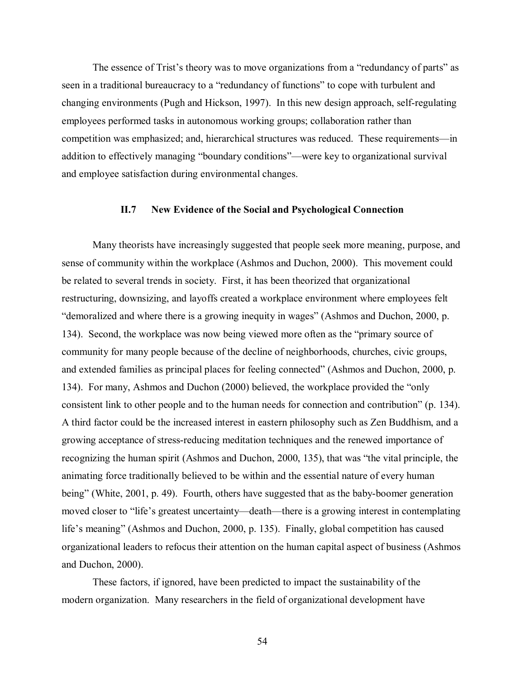The essence of Trist's theory was to move organizations from a "redundancy of parts" as seen in a traditional bureaucracy to a "redundancy of functions" to cope with turbulent and changing environments (Pugh and Hickson, 1997). In this new design approach, self-regulating employees performed tasks in autonomous working groups; collaboration rather than competition was emphasized; and, hierarchical structures was reduced. These requirements—in addition to effectively managing "boundary conditions"—were key to organizational survival and employee satisfaction during environmental changes.

## **II.7 New Evidence of the Social and Psychological Connection**

Many theorists have increasingly suggested that people seek more meaning, purpose, and sense of community within the workplace (Ashmos and Duchon, 2000). This movement could be related to several trends in society. First, it has been theorized that organizational restructuring, downsizing, and layoffs created a workplace environment where employees felt "demoralized and where there is a growing inequity in wages" (Ashmos and Duchon, 2000, p. 134). Second, the workplace was now being viewed more often as the "primary source of community for many people because of the decline of neighborhoods, churches, civic groups, and extended families as principal places for feeling connected" (Ashmos and Duchon, 2000, p. 134). For many, Ashmos and Duchon (2000) believed, the workplace provided the "only consistent link to other people and to the human needs for connection and contribution" (p. 134). A third factor could be the increased interest in eastern philosophy such as Zen Buddhism, and a growing acceptance of stress-reducing meditation techniques and the renewed importance of recognizing the human spirit (Ashmos and Duchon, 2000, 135), that was "the vital principle, the animating force traditionally believed to be within and the essential nature of every human being" (White, 2001, p. 49). Fourth, others have suggested that as the baby-boomer generation moved closer to "life's greatest uncertainty—death—there is a growing interest in contemplating life's meaning" (Ashmos and Duchon, 2000, p. 135). Finally, global competition has caused organizational leaders to refocus their attention on the human capital aspect of business (Ashmos and Duchon, 2000).

These factors, if ignored, have been predicted to impact the sustainability of the modern organization. Many researchers in the field of organizational development have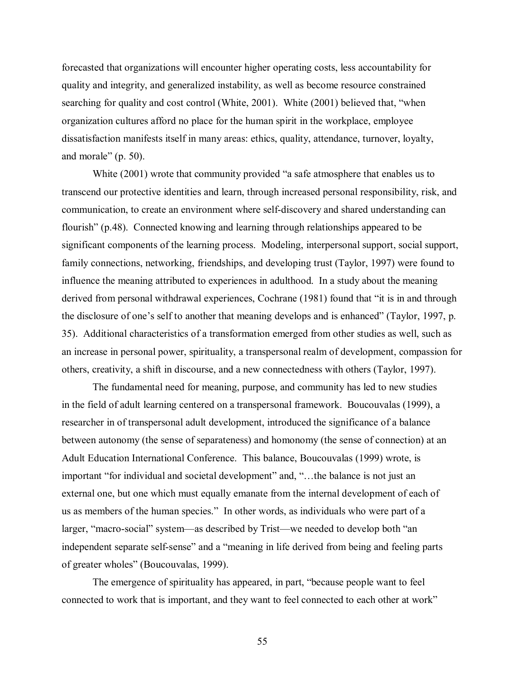forecasted that organizations will encounter higher operating costs, less accountability for quality and integrity, and generalized instability, as well as become resource constrained searching for quality and cost control (White, 2001). White (2001) believed that, "when organization cultures afford no place for the human spirit in the workplace, employee dissatisfaction manifests itself in many areas: ethics, quality, attendance, turnover, loyalty, and morale" (p. 50).

White (2001) wrote that community provided "a safe atmosphere that enables us to transcend our protective identities and learn, through increased personal responsibility, risk, and communication, to create an environment where self-discovery and shared understanding can flourish" (p.48). Connected knowing and learning through relationships appeared to be significant components of the learning process. Modeling, interpersonal support, social support, family connections, networking, friendships, and developing trust (Taylor, 1997) were found to influence the meaning attributed to experiences in adulthood. In a study about the meaning derived from personal withdrawal experiences, Cochrane (1981) found that "it is in and through the disclosure of one's self to another that meaning develops and is enhanced" (Taylor, 1997, p. 35). Additional characteristics of a transformation emerged from other studies as well, such as an increase in personal power, spirituality, a transpersonal realm of development, compassion for others, creativity, a shift in discourse, and a new connectedness with others (Taylor, 1997).

The fundamental need for meaning, purpose, and community has led to new studies in the field of adult learning centered on a transpersonal framework. Boucouvalas (1999), a researcher in of transpersonal adult development, introduced the significance of a balance between autonomy (the sense of separateness) and homonomy (the sense of connection) at an Adult Education International Conference. This balance, Boucouvalas (1999) wrote, is important "for individual and societal development" and, "...the balance is not just an external one, but one which must equally emanate from the internal development of each of us as members of the human species." In other words, as individuals who were part of a larger, "macro-social" system—as described by Trist—we needed to develop both "an independent separate self-sense" and a "meaning in life derived from being and feeling parts of greater wholes" (Boucouvalas, 1999).

The emergence of spirituality has appeared, in part, "because people want to feel connected to work that is important, and they want to feel connected to each other at work"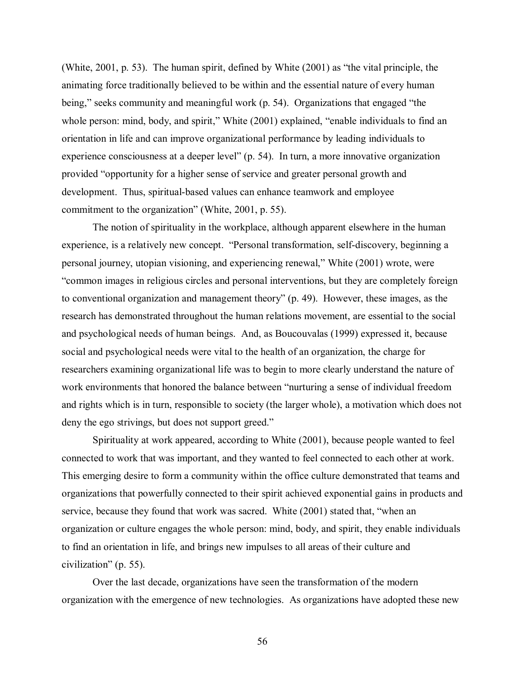(White, 2001, p. 53). The human spirit, defined by White (2001) as "the vital principle, the animating force traditionally believed to be within and the essential nature of every human being," seeks community and meaningful work (p. 54). Organizations that engaged "the whole person: mind, body, and spirit," White (2001) explained, "enable individuals to find an orientation in life and can improve organizational performance by leading individuals to experience consciousness at a deeper level" (p. 54). In turn, a more innovative organization provided "opportunity for a higher sense of service and greater personal growth and development. Thus, spiritual-based values can enhance teamwork and employee commitment to the organization" (White, 2001, p. 55).

The notion of spirituality in the workplace, although apparent elsewhere in the human experience, is a relatively new concept. "Personal transformation, self-discovery, beginning a personal journey, utopian visioning, and experiencing renewal," White (2001) wrote, were "common images in religious circles and personal interventions, but they are completely foreign to conventional organization and management theory" (p. 49). However, these images, as the research has demonstrated throughout the human relations movement, are essential to the social and psychological needs of human beings. And, as Boucouvalas (1999) expressed it, because social and psychological needs were vital to the health of an organization, the charge for researchers examining organizational life was to begin to more clearly understand the nature of work environments that honored the balance between "nurturing a sense of individual freedom and rights which is in turn, responsible to society (the larger whole), a motivation which does not deny the ego strivings, but does not support greed."

Spirituality at work appeared, according to White (2001), because people wanted to feel connected to work that was important, and they wanted to feel connected to each other at work. This emerging desire to form a community within the office culture demonstrated that teams and organizations that powerfully connected to their spirit achieved exponential gains in products and service, because they found that work was sacred. White (2001) stated that, "when an organization or culture engages the whole person: mind, body, and spirit, they enable individuals to find an orientation in life, and brings new impulses to all areas of their culture and civilization" (p. 55).

Over the last decade, organizations have seen the transformation of the modern organization with the emergence of new technologies. As organizations have adopted these new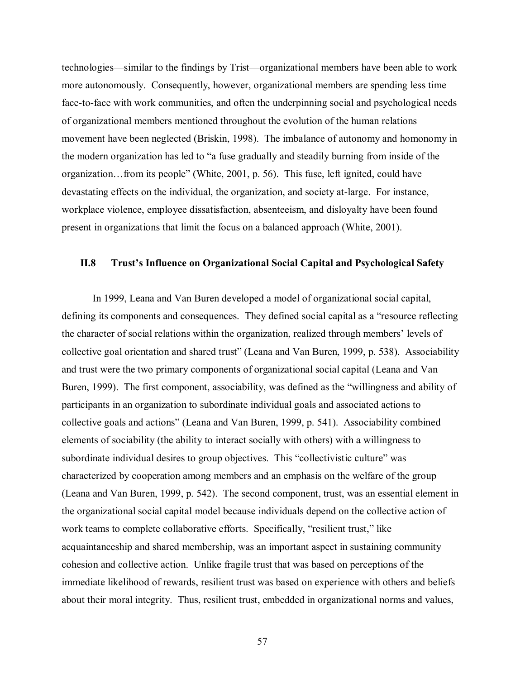technologies—similar to the findings by Trist—organizational members have been able to work more autonomously. Consequently, however, organizational members are spending less time face-to-face with work communities, and often the underpinning social and psychological needs of organizational members mentioned throughout the evolution of the human relations movement have been neglected (Briskin, 1998). The imbalance of autonomy and homonomy in the modern organization has led to "a fuse gradually and steadily burning from inside of the organization…from its people" (White, 2001, p. 56). This fuse, left ignited, could have devastating effects on the individual, the organization, and society at-large. For instance, workplace violence, employee dissatisfaction, absenteeism, and disloyalty have been found present in organizations that limit the focus on a balanced approach (White, 2001).

## **II.8 Trust's Influence on Organizational Social Capital and Psychological Safety**

 In 1999, Leana and Van Buren developed a model of organizational social capital, defining its components and consequences. They defined social capital as a "resource reflecting the character of social relations within the organization, realized through members' levels of collective goal orientation and shared trust" (Leana and Van Buren, 1999, p. 538). Associability and trust were the two primary components of organizational social capital (Leana and Van Buren, 1999). The first component, associability, was defined as the "willingness and ability of participants in an organization to subordinate individual goals and associated actions to collective goals and actions" (Leana and Van Buren, 1999, p. 541). Associability combined elements of sociability (the ability to interact socially with others) with a willingness to subordinate individual desires to group objectives. This "collectivistic culture" was characterized by cooperation among members and an emphasis on the welfare of the group (Leana and Van Buren, 1999, p. 542). The second component, trust, was an essential element in the organizational social capital model because individuals depend on the collective action of work teams to complete collaborative efforts. Specifically, "resilient trust," like acquaintanceship and shared membership, was an important aspect in sustaining community cohesion and collective action. Unlike fragile trust that was based on perceptions of the immediate likelihood of rewards, resilient trust was based on experience with others and beliefs about their moral integrity. Thus, resilient trust, embedded in organizational norms and values,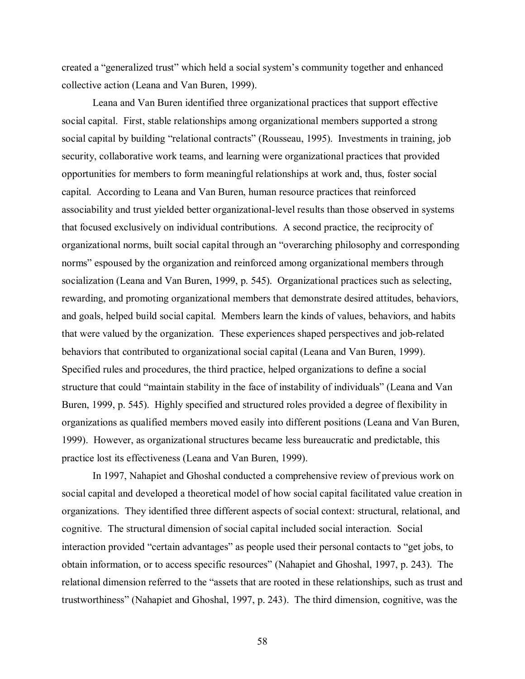created a "generalized trust" which held a social system's community together and enhanced collective action (Leana and Van Buren, 1999).

 Leana and Van Buren identified three organizational practices that support effective social capital. First, stable relationships among organizational members supported a strong social capital by building "relational contracts" (Rousseau, 1995). Investments in training, job security, collaborative work teams, and learning were organizational practices that provided opportunities for members to form meaningful relationships at work and, thus, foster social capital. According to Leana and Van Buren, human resource practices that reinforced associability and trust yielded better organizational-level results than those observed in systems that focused exclusively on individual contributions. A second practice, the reciprocity of organizational norms, built social capital through an "overarching philosophy and corresponding norms" espoused by the organization and reinforced among organizational members through socialization (Leana and Van Buren, 1999, p. 545). Organizational practices such as selecting, rewarding, and promoting organizational members that demonstrate desired attitudes, behaviors, and goals, helped build social capital. Members learn the kinds of values, behaviors, and habits that were valued by the organization. These experiences shaped perspectives and job-related behaviors that contributed to organizational social capital (Leana and Van Buren, 1999). Specified rules and procedures, the third practice, helped organizations to define a social structure that could "maintain stability in the face of instability of individuals" (Leana and Van Buren, 1999, p. 545). Highly specified and structured roles provided a degree of flexibility in organizations as qualified members moved easily into different positions (Leana and Van Buren, 1999). However, as organizational structures became less bureaucratic and predictable, this practice lost its effectiveness (Leana and Van Buren, 1999).

In 1997, Nahapiet and Ghoshal conducted a comprehensive review of previous work on social capital and developed a theoretical model of how social capital facilitated value creation in organizations. They identified three different aspects of social context: structural, relational, and cognitive. The structural dimension of social capital included social interaction. Social interaction provided "certain advantages" as people used their personal contacts to "get jobs, to obtain information, or to access specific resources" (Nahapiet and Ghoshal, 1997, p. 243). The relational dimension referred to the "assets that are rooted in these relationships, such as trust and trustworthiness" (Nahapiet and Ghoshal, 1997, p. 243). The third dimension, cognitive, was the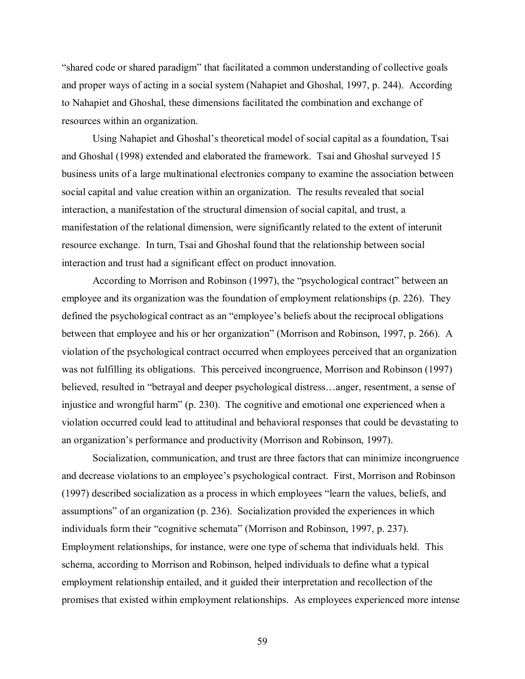"shared code or shared paradigm" that facilitated a common understanding of collective goals and proper ways of acting in a social system (Nahapiet and Ghoshal, 1997, p. 244). According to Nahapiet and Ghoshal, these dimensions facilitated the combination and exchange of resources within an organization.

 Using Nahapiet and Ghoshal's theoretical model of social capital as a foundation, Tsai and Ghoshal (1998) extended and elaborated the framework. Tsai and Ghoshal surveyed 15 business units of a large multinational electronics company to examine the association between social capital and value creation within an organization. The results revealed that social interaction, a manifestation of the structural dimension of social capital, and trust, a manifestation of the relational dimension, were significantly related to the extent of interunit resource exchange. In turn, Tsai and Ghoshal found that the relationship between social interaction and trust had a significant effect on product innovation.

 According to Morrison and Robinson (1997), the "psychological contract" between an employee and its organization was the foundation of employment relationships (p. 226). They defined the psychological contract as an "employee's beliefs about the reciprocal obligations between that employee and his or her organization" (Morrison and Robinson, 1997, p. 266). A violation of the psychological contract occurred when employees perceived that an organization was not fulfilling its obligations. This perceived incongruence, Morrison and Robinson (1997) believed, resulted in "betrayal and deeper psychological distress…anger, resentment, a sense of injustice and wrongful harm" (p. 230). The cognitive and emotional one experienced when a violation occurred could lead to attitudinal and behavioral responses that could be devastating to an organization's performance and productivity (Morrison and Robinson, 1997).

 Socialization, communication, and trust are three factors that can minimize incongruence and decrease violations to an employee's psychological contract. First, Morrison and Robinson (1997) described socialization as a process in which employees "learn the values, beliefs, and assumptions" of an organization (p. 236). Socialization provided the experiences in which individuals form their "cognitive schemata" (Morrison and Robinson, 1997, p. 237). Employment relationships, for instance, were one type of schema that individuals held. This schema, according to Morrison and Robinson, helped individuals to define what a typical employment relationship entailed, and it guided their interpretation and recollection of the promises that existed within employment relationships. As employees experienced more intense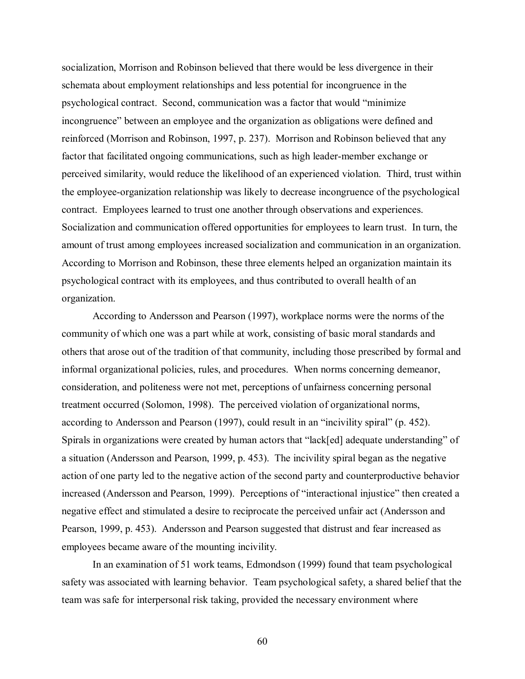socialization, Morrison and Robinson believed that there would be less divergence in their schemata about employment relationships and less potential for incongruence in the psychological contract. Second, communication was a factor that would "minimize incongruence" between an employee and the organization as obligations were defined and reinforced (Morrison and Robinson, 1997, p. 237). Morrison and Robinson believed that any factor that facilitated ongoing communications, such as high leader-member exchange or perceived similarity, would reduce the likelihood of an experienced violation. Third, trust within the employee-organization relationship was likely to decrease incongruence of the psychological contract. Employees learned to trust one another through observations and experiences. Socialization and communication offered opportunities for employees to learn trust. In turn, the amount of trust among employees increased socialization and communication in an organization. According to Morrison and Robinson, these three elements helped an organization maintain its psychological contract with its employees, and thus contributed to overall health of an organization.

 According to Andersson and Pearson (1997), workplace norms were the norms of the community of which one was a part while at work, consisting of basic moral standards and others that arose out of the tradition of that community, including those prescribed by formal and informal organizational policies, rules, and procedures. When norms concerning demeanor, consideration, and politeness were not met, perceptions of unfairness concerning personal treatment occurred (Solomon, 1998). The perceived violation of organizational norms, according to Andersson and Pearson (1997), could result in an "incivility spiral" (p. 452). Spirals in organizations were created by human actors that "lack[ed] adequate understanding" of a situation (Andersson and Pearson, 1999, p. 453). The incivility spiral began as the negative action of one party led to the negative action of the second party and counterproductive behavior increased (Andersson and Pearson, 1999). Perceptions of "interactional injustice" then created a negative effect and stimulated a desire to reciprocate the perceived unfair act (Andersson and Pearson, 1999, p. 453). Andersson and Pearson suggested that distrust and fear increased as employees became aware of the mounting incivility.

 In an examination of 51 work teams, Edmondson (1999) found that team psychological safety was associated with learning behavior. Team psychological safety, a shared belief that the team was safe for interpersonal risk taking, provided the necessary environment where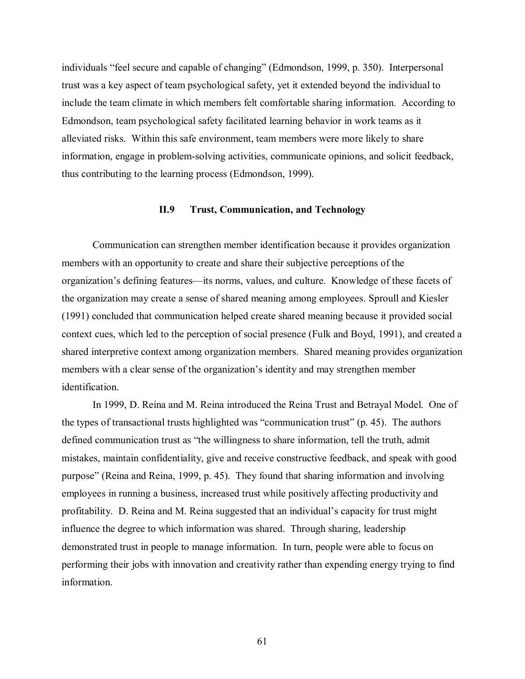individuals "feel secure and capable of changing" (Edmondson, 1999, p. 350). Interpersonal trust was a key aspect of team psychological safety, yet it extended beyond the individual to include the team climate in which members felt comfortable sharing information. According to Edmondson, team psychological safety facilitated learning behavior in work teams as it alleviated risks. Within this safe environment, team members were more likely to share information, engage in problem-solving activities, communicate opinions, and solicit feedback, thus contributing to the learning process (Edmondson, 1999).

#### **II.9 Trust, Communication, and Technology**

Communication can strengthen member identification because it provides organization members with an opportunity to create and share their subjective perceptions of the organization's defining features—its norms, values, and culture. Knowledge of these facets of the organization may create a sense of shared meaning among employees. Sproull and Kiesler (1991) concluded that communication helped create shared meaning because it provided social context cues, which led to the perception of social presence (Fulk and Boyd, 1991), and created a shared interpretive context among organization members. Shared meaning provides organization members with a clear sense of the organization's identity and may strengthen member identification.

In 1999, D. Reina and M. Reina introduced the Reina Trust and Betrayal Model. One of the types of transactional trusts highlighted was "communication trust" (p. 45). The authors defined communication trust as "the willingness to share information, tell the truth, admit mistakes, maintain confidentiality, give and receive constructive feedback, and speak with good purpose" (Reina and Reina, 1999, p. 45). They found that sharing information and involving employees in running a business, increased trust while positively affecting productivity and profitability. D. Reina and M. Reina suggested that an individual's capacity for trust might influence the degree to which information was shared. Through sharing, leadership demonstrated trust in people to manage information. In turn, people were able to focus on performing their jobs with innovation and creativity rather than expending energy trying to find information.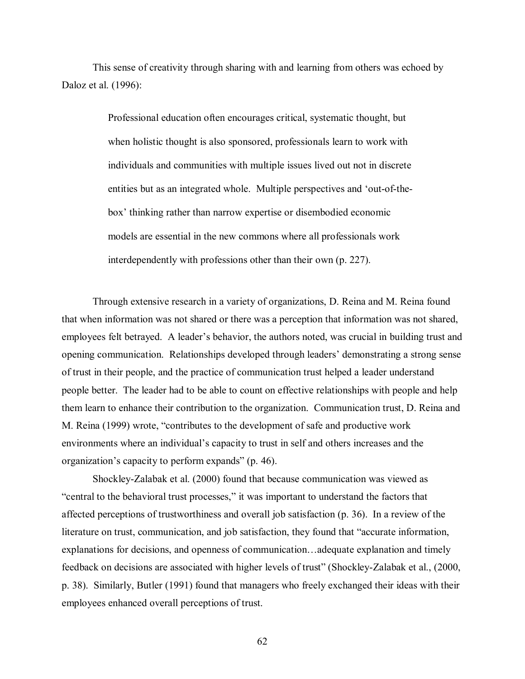This sense of creativity through sharing with and learning from others was echoed by Daloz et al. (1996):

> Professional education often encourages critical, systematic thought, but when holistic thought is also sponsored, professionals learn to work with individuals and communities with multiple issues lived out not in discrete entities but as an integrated whole. Multiple perspectives and 'out-of-thebox' thinking rather than narrow expertise or disembodied economic models are essential in the new commons where all professionals work interdependently with professions other than their own (p. 227).

Through extensive research in a variety of organizations, D. Reina and M. Reina found that when information was not shared or there was a perception that information was not shared, employees felt betrayed. A leader's behavior, the authors noted, was crucial in building trust and opening communication. Relationships developed through leaders' demonstrating a strong sense of trust in their people, and the practice of communication trust helped a leader understand people better. The leader had to be able to count on effective relationships with people and help them learn to enhance their contribution to the organization. Communication trust, D. Reina and M. Reina (1999) wrote, "contributes to the development of safe and productive work environments where an individual's capacity to trust in self and others increases and the organization's capacity to perform expands" (p. 46).

Shockley-Zalabak et al. (2000) found that because communication was viewed as "central to the behavioral trust processes," it was important to understand the factors that affected perceptions of trustworthiness and overall job satisfaction (p. 36). In a review of the literature on trust, communication, and job satisfaction, they found that "accurate information, explanations for decisions, and openness of communication…adequate explanation and timely feedback on decisions are associated with higher levels of trust" (Shockley-Zalabak et al., (2000, p. 38). Similarly, Butler (1991) found that managers who freely exchanged their ideas with their employees enhanced overall perceptions of trust.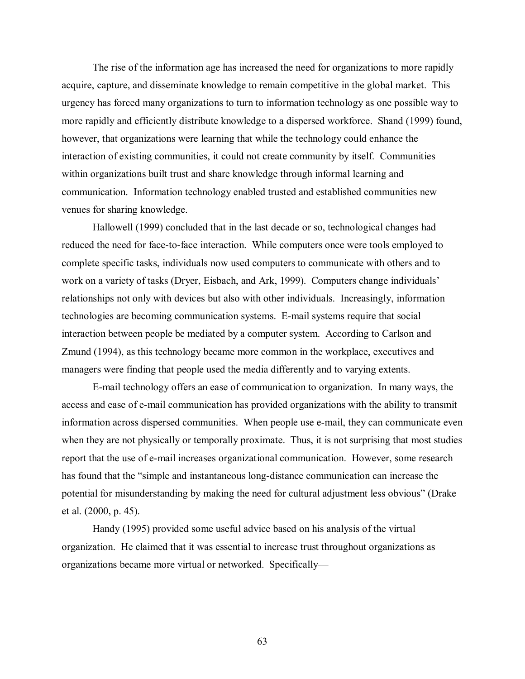The rise of the information age has increased the need for organizations to more rapidly acquire, capture, and disseminate knowledge to remain competitive in the global market. This urgency has forced many organizations to turn to information technology as one possible way to more rapidly and efficiently distribute knowledge to a dispersed workforce. Shand (1999) found, however, that organizations were learning that while the technology could enhance the interaction of existing communities, it could not create community by itself. Communities within organizations built trust and share knowledge through informal learning and communication. Information technology enabled trusted and established communities new venues for sharing knowledge.

Hallowell (1999) concluded that in the last decade or so, technological changes had reduced the need for face-to-face interaction. While computers once were tools employed to complete specific tasks, individuals now used computers to communicate with others and to work on a variety of tasks (Dryer, Eisbach, and Ark, 1999). Computers change individuals' relationships not only with devices but also with other individuals. Increasingly, information technologies are becoming communication systems. E-mail systems require that social interaction between people be mediated by a computer system. According to Carlson and Zmund (1994), as this technology became more common in the workplace, executives and managers were finding that people used the media differently and to varying extents.

 E-mail technology offers an ease of communication to organization. In many ways, the access and ease of e-mail communication has provided organizations with the ability to transmit information across dispersed communities. When people use e-mail, they can communicate even when they are not physically or temporally proximate. Thus, it is not surprising that most studies report that the use of e-mail increases organizational communication. However, some research has found that the "simple and instantaneous long-distance communication can increase the potential for misunderstanding by making the need for cultural adjustment less obvious" (Drake et al. (2000, p. 45).

 Handy (1995) provided some useful advice based on his analysis of the virtual organization. He claimed that it was essential to increase trust throughout organizations as organizations became more virtual or networked. Specifically—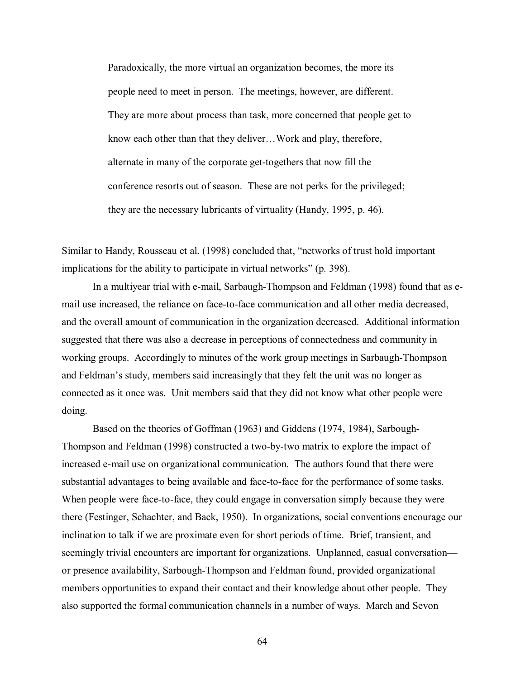Paradoxically, the more virtual an organization becomes, the more its people need to meet in person. The meetings, however, are different. They are more about process than task, more concerned that people get to know each other than that they deliver…Work and play, therefore, alternate in many of the corporate get-togethers that now fill the conference resorts out of season. These are not perks for the privileged; they are the necessary lubricants of virtuality (Handy, 1995, p. 46).

Similar to Handy, Rousseau et al. (1998) concluded that, "networks of trust hold important implications for the ability to participate in virtual networks" (p. 398).

In a multiyear trial with e-mail, Sarbaugh-Thompson and Feldman (1998) found that as email use increased, the reliance on face-to-face communication and all other media decreased, and the overall amount of communication in the organization decreased. Additional information suggested that there was also a decrease in perceptions of connectedness and community in working groups. Accordingly to minutes of the work group meetings in Sarbaugh-Thompson and Feldman's study, members said increasingly that they felt the unit was no longer as connected as it once was. Unit members said that they did not know what other people were doing.

 Based on the theories of Goffman (1963) and Giddens (1974, 1984), Sarbough-Thompson and Feldman (1998) constructed a two-by-two matrix to explore the impact of increased e-mail use on organizational communication. The authors found that there were substantial advantages to being available and face-to-face for the performance of some tasks. When people were face-to-face, they could engage in conversation simply because they were there (Festinger, Schachter, and Back, 1950). In organizations, social conventions encourage our inclination to talk if we are proximate even for short periods of time. Brief, transient, and seemingly trivial encounters are important for organizations. Unplanned, casual conversation or presence availability, Sarbough-Thompson and Feldman found, provided organizational members opportunities to expand their contact and their knowledge about other people. They also supported the formal communication channels in a number of ways. March and Sevon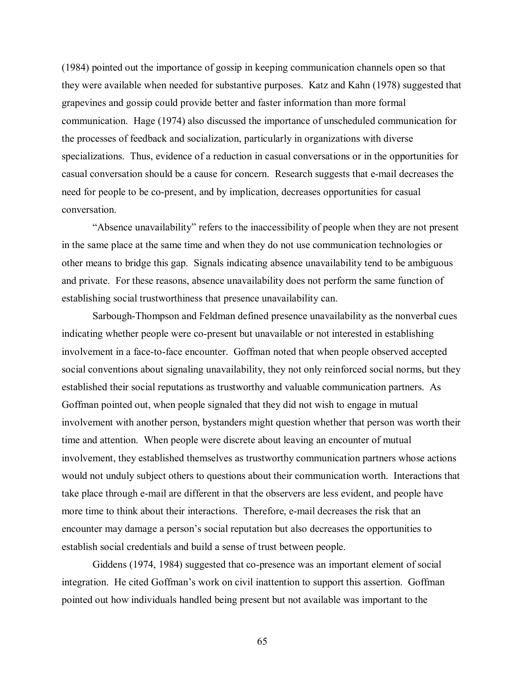(1984) pointed out the importance of gossip in keeping communication channels open so that they were available when needed for substantive purposes. Katz and Kahn (1978) suggested that grapevines and gossip could provide better and faster information than more formal communication. Hage (1974) also discussed the importance of unscheduled communication for the processes of feedback and socialization, particularly in organizations with diverse specializations. Thus, evidence of a reduction in casual conversations or in the opportunities for casual conversation should be a cause for concern. Research suggests that e-mail decreases the need for people to be co-present, and by implication, decreases opportunities for casual conversation.

"Absence unavailability" refers to the inaccessibility of people when they are not present in the same place at the same time and when they do not use communication technologies or other means to bridge this gap. Signals indicating absence unavailability tend to be ambiguous and private. For these reasons, absence unavailability does not perform the same function of establishing social trustworthiness that presence unavailability can.

Sarbough-Thompson and Feldman defined presence unavailability as the nonverbal cues indicating whether people were co-present but unavailable or not interested in establishing involvement in a face-to-face encounter. Goffman noted that when people observed accepted social conventions about signaling unavailability, they not only reinforced social norms, but they established their social reputations as trustworthy and valuable communication partners. As Goffman pointed out, when people signaled that they did not wish to engage in mutual involvement with another person, bystanders might question whether that person was worth their time and attention. When people were discrete about leaving an encounter of mutual involvement, they established themselves as trustworthy communication partners whose actions would not unduly subject others to questions about their communication worth. Interactions that take place through e-mail are different in that the observers are less evident, and people have more time to think about their interactions. Therefore, e-mail decreases the risk that an encounter may damage a person's social reputation but also decreases the opportunities to establish social credentials and build a sense of trust between people.

Giddens (1974, 1984) suggested that co-presence was an important element of social integration. He cited Goffman's work on civil inattention to support this assertion. Goffman pointed out how individuals handled being present but not available was important to the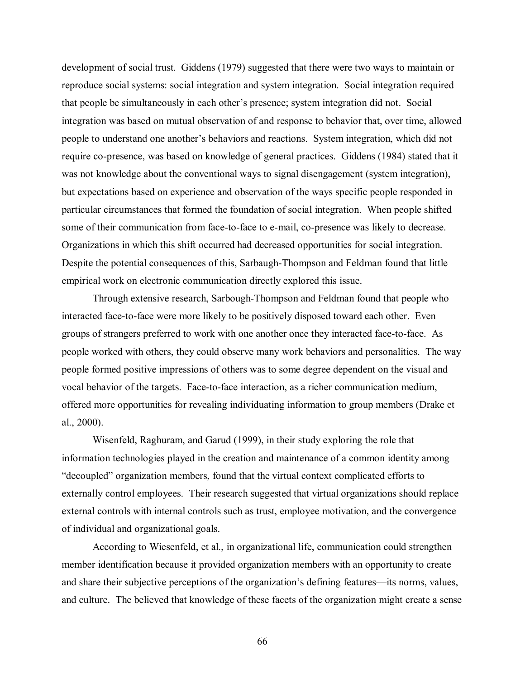development of social trust. Giddens (1979) suggested that there were two ways to maintain or reproduce social systems: social integration and system integration. Social integration required that people be simultaneously in each other's presence; system integration did not. Social integration was based on mutual observation of and response to behavior that, over time, allowed people to understand one another's behaviors and reactions. System integration, which did not require co-presence, was based on knowledge of general practices. Giddens (1984) stated that it was not knowledge about the conventional ways to signal disengagement (system integration), but expectations based on experience and observation of the ways specific people responded in particular circumstances that formed the foundation of social integration. When people shifted some of their communication from face-to-face to e-mail, co-presence was likely to decrease. Organizations in which this shift occurred had decreased opportunities for social integration. Despite the potential consequences of this, Sarbaugh-Thompson and Feldman found that little empirical work on electronic communication directly explored this issue.

Through extensive research, Sarbough-Thompson and Feldman found that people who interacted face-to-face were more likely to be positively disposed toward each other. Even groups of strangers preferred to work with one another once they interacted face-to-face. As people worked with others, they could observe many work behaviors and personalities. The way people formed positive impressions of others was to some degree dependent on the visual and vocal behavior of the targets. Face-to-face interaction, as a richer communication medium, offered more opportunities for revealing individuating information to group members (Drake et al., 2000).

Wisenfeld, Raghuram, and Garud (1999), in their study exploring the role that information technologies played in the creation and maintenance of a common identity among "decoupled" organization members, found that the virtual context complicated efforts to externally control employees. Their research suggested that virtual organizations should replace external controls with internal controls such as trust, employee motivation, and the convergence of individual and organizational goals.

According to Wiesenfeld, et al., in organizational life, communication could strengthen member identification because it provided organization members with an opportunity to create and share their subjective perceptions of the organization's defining features—its norms, values, and culture. The believed that knowledge of these facets of the organization might create a sense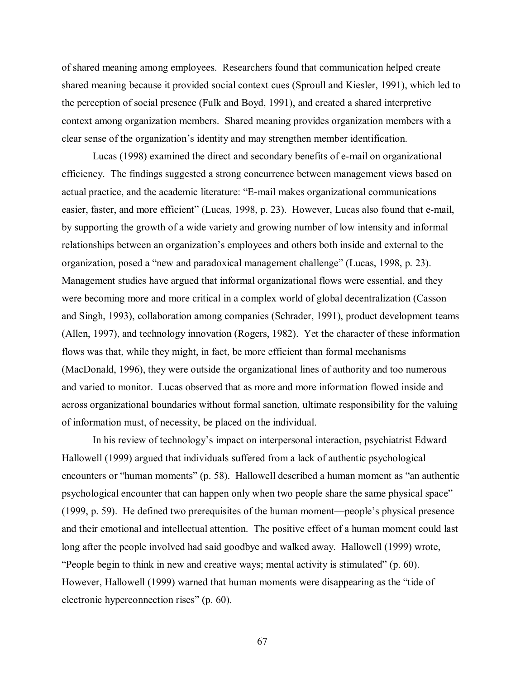of shared meaning among employees. Researchers found that communication helped create shared meaning because it provided social context cues (Sproull and Kiesler, 1991), which led to the perception of social presence (Fulk and Boyd, 1991), and created a shared interpretive context among organization members. Shared meaning provides organization members with a clear sense of the organization's identity and may strengthen member identification.

Lucas (1998) examined the direct and secondary benefits of e-mail on organizational efficiency. The findings suggested a strong concurrence between management views based on actual practice, and the academic literature: "E-mail makes organizational communications easier, faster, and more efficient" (Lucas, 1998, p. 23). However, Lucas also found that e-mail, by supporting the growth of a wide variety and growing number of low intensity and informal relationships between an organization's employees and others both inside and external to the organization, posed a "new and paradoxical management challenge" (Lucas, 1998, p. 23). Management studies have argued that informal organizational flows were essential, and they were becoming more and more critical in a complex world of global decentralization (Casson and Singh, 1993), collaboration among companies (Schrader, 1991), product development teams (Allen, 1997), and technology innovation (Rogers, 1982). Yet the character of these information flows was that, while they might, in fact, be more efficient than formal mechanisms (MacDonald, 1996), they were outside the organizational lines of authority and too numerous and varied to monitor. Lucas observed that as more and more information flowed inside and across organizational boundaries without formal sanction, ultimate responsibility for the valuing of information must, of necessity, be placed on the individual.

In his review of technology's impact on interpersonal interaction, psychiatrist Edward Hallowell (1999) argued that individuals suffered from a lack of authentic psychological encounters or "human moments" (p. 58). Hallowell described a human moment as "an authentic psychological encounter that can happen only when two people share the same physical space" (1999, p. 59). He defined two prerequisites of the human moment—people's physical presence and their emotional and intellectual attention. The positive effect of a human moment could last long after the people involved had said goodbye and walked away. Hallowell (1999) wrote, "People begin to think in new and creative ways; mental activity is stimulated" (p. 60). However, Hallowell (1999) warned that human moments were disappearing as the "tide of electronic hyperconnection rises" (p. 60).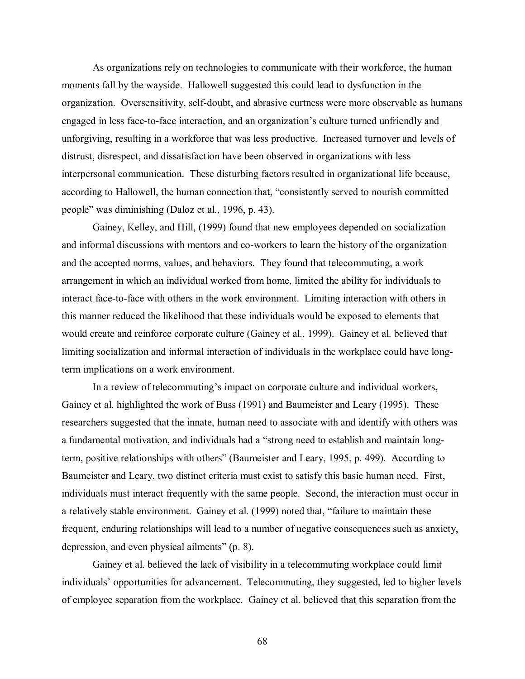As organizations rely on technologies to communicate with their workforce, the human moments fall by the wayside. Hallowell suggested this could lead to dysfunction in the organization. Oversensitivity, self-doubt, and abrasive curtness were more observable as humans engaged in less face-to-face interaction, and an organization's culture turned unfriendly and unforgiving, resulting in a workforce that was less productive. Increased turnover and levels of distrust, disrespect, and dissatisfaction have been observed in organizations with less interpersonal communication. These disturbing factors resulted in organizational life because, according to Hallowell, the human connection that, "consistently served to nourish committed people" was diminishing (Daloz et al., 1996, p. 43).

 Gainey, Kelley, and Hill, (1999) found that new employees depended on socialization and informal discussions with mentors and co-workers to learn the history of the organization and the accepted norms, values, and behaviors. They found that telecommuting, a work arrangement in which an individual worked from home, limited the ability for individuals to interact face-to-face with others in the work environment. Limiting interaction with others in this manner reduced the likelihood that these individuals would be exposed to elements that would create and reinforce corporate culture (Gainey et al., 1999). Gainey et al. believed that limiting socialization and informal interaction of individuals in the workplace could have longterm implications on a work environment.

In a review of telecommuting's impact on corporate culture and individual workers, Gainey et al. highlighted the work of Buss (1991) and Baumeister and Leary (1995). These researchers suggested that the innate, human need to associate with and identify with others was a fundamental motivation, and individuals had a "strong need to establish and maintain longterm, positive relationships with others" (Baumeister and Leary, 1995, p. 499). According to Baumeister and Leary, two distinct criteria must exist to satisfy this basic human need. First, individuals must interact frequently with the same people. Second, the interaction must occur in a relatively stable environment. Gainey et al. (1999) noted that, "failure to maintain these frequent, enduring relationships will lead to a number of negative consequences such as anxiety, depression, and even physical ailments" (p. 8).

 Gainey et al. believed the lack of visibility in a telecommuting workplace could limit individuals' opportunities for advancement. Telecommuting, they suggested, led to higher levels of employee separation from the workplace. Gainey et al. believed that this separation from the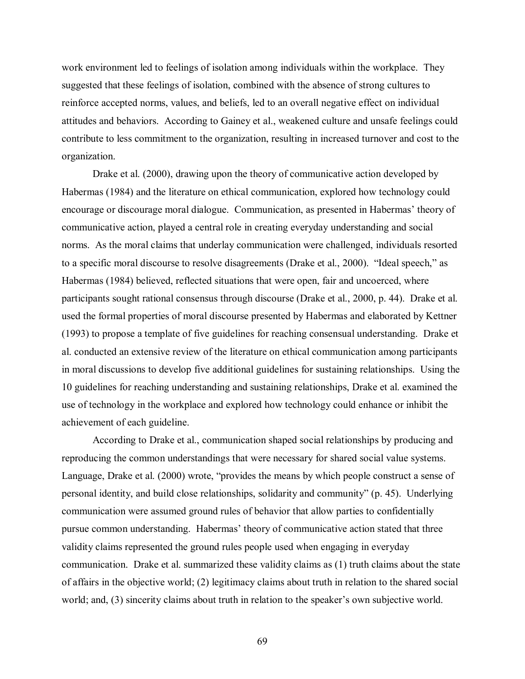work environment led to feelings of isolation among individuals within the workplace. They suggested that these feelings of isolation, combined with the absence of strong cultures to reinforce accepted norms, values, and beliefs, led to an overall negative effect on individual attitudes and behaviors. According to Gainey et al., weakened culture and unsafe feelings could contribute to less commitment to the organization, resulting in increased turnover and cost to the organization.

 Drake et al. (2000), drawing upon the theory of communicative action developed by Habermas (1984) and the literature on ethical communication, explored how technology could encourage or discourage moral dialogue. Communication, as presented in Habermas' theory of communicative action, played a central role in creating everyday understanding and social norms. As the moral claims that underlay communication were challenged, individuals resorted to a specific moral discourse to resolve disagreements (Drake et al., 2000). "Ideal speech," as Habermas (1984) believed, reflected situations that were open, fair and uncoerced, where participants sought rational consensus through discourse (Drake et al., 2000, p. 44). Drake et al. used the formal properties of moral discourse presented by Habermas and elaborated by Kettner (1993) to propose a template of five guidelines for reaching consensual understanding. Drake et al. conducted an extensive review of the literature on ethical communication among participants in moral discussions to develop five additional guidelines for sustaining relationships. Using the 10 guidelines for reaching understanding and sustaining relationships, Drake et al. examined the use of technology in the workplace and explored how technology could enhance or inhibit the achievement of each guideline.

 According to Drake et al., communication shaped social relationships by producing and reproducing the common understandings that were necessary for shared social value systems. Language, Drake et al. (2000) wrote, "provides the means by which people construct a sense of personal identity, and build close relationships, solidarity and community" (p. 45). Underlying communication were assumed ground rules of behavior that allow parties to confidentially pursue common understanding. Habermas' theory of communicative action stated that three validity claims represented the ground rules people used when engaging in everyday communication. Drake et al. summarized these validity claims as (1) truth claims about the state of affairs in the objective world; (2) legitimacy claims about truth in relation to the shared social world; and, (3) sincerity claims about truth in relation to the speaker's own subjective world.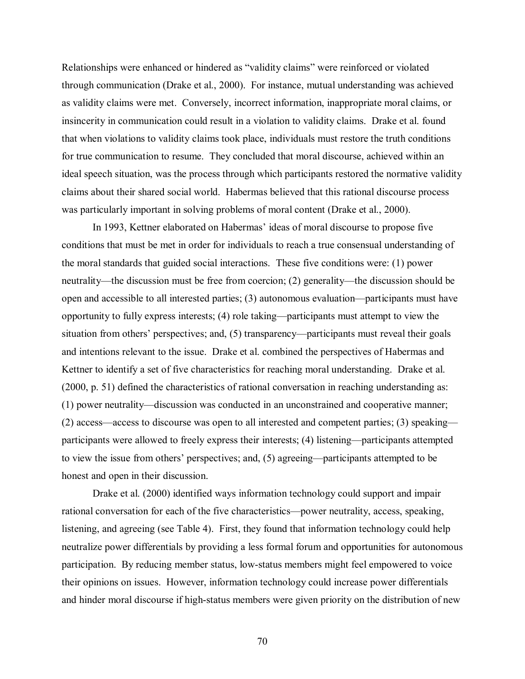Relationships were enhanced or hindered as "validity claims" were reinforced or violated through communication (Drake et al., 2000). For instance, mutual understanding was achieved as validity claims were met. Conversely, incorrect information, inappropriate moral claims, or insincerity in communication could result in a violation to validity claims. Drake et al. found that when violations to validity claims took place, individuals must restore the truth conditions for true communication to resume. They concluded that moral discourse, achieved within an ideal speech situation, was the process through which participants restored the normative validity claims about their shared social world. Habermas believed that this rational discourse process was particularly important in solving problems of moral content (Drake et al., 2000).

 In 1993, Kettner elaborated on Habermas' ideas of moral discourse to propose five conditions that must be met in order for individuals to reach a true consensual understanding of the moral standards that guided social interactions. These five conditions were: (1) power neutrality—the discussion must be free from coercion; (2) generality—the discussion should be open and accessible to all interested parties; (3) autonomous evaluation—participants must have opportunity to fully express interests; (4) role taking—participants must attempt to view the situation from others' perspectives; and, (5) transparency—participants must reveal their goals and intentions relevant to the issue. Drake et al. combined the perspectives of Habermas and Kettner to identify a set of five characteristics for reaching moral understanding. Drake et al. (2000, p. 51) defined the characteristics of rational conversation in reaching understanding as: (1) power neutrality—discussion was conducted in an unconstrained and cooperative manner; (2) access—access to discourse was open to all interested and competent parties; (3) speaking participants were allowed to freely express their interests; (4) listening—participants attempted to view the issue from others' perspectives; and, (5) agreeing—participants attempted to be honest and open in their discussion.

Drake et al. (2000) identified ways information technology could support and impair rational conversation for each of the five characteristics—power neutrality, access, speaking, listening, and agreeing (see Table 4). First, they found that information technology could help neutralize power differentials by providing a less formal forum and opportunities for autonomous participation. By reducing member status, low-status members might feel empowered to voice their opinions on issues. However, information technology could increase power differentials and hinder moral discourse if high-status members were given priority on the distribution of new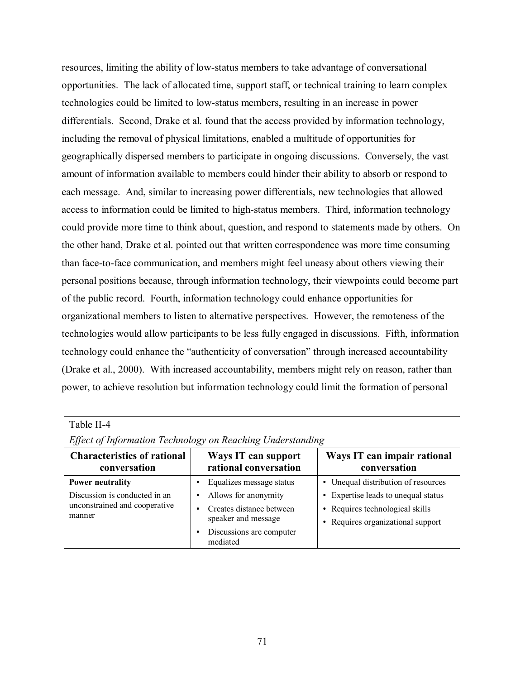resources, limiting the ability of low-status members to take advantage of conversational opportunities. The lack of allocated time, support staff, or technical training to learn complex technologies could be limited to low-status members, resulting in an increase in power differentials. Second, Drake et al. found that the access provided by information technology, including the removal of physical limitations, enabled a multitude of opportunities for geographically dispersed members to participate in ongoing discussions. Conversely, the vast amount of information available to members could hinder their ability to absorb or respond to each message. And, similar to increasing power differentials, new technologies that allowed access to information could be limited to high-status members. Third, information technology could provide more time to think about, question, and respond to statements made by others. On the other hand, Drake et al. pointed out that written correspondence was more time consuming than face-to-face communication, and members might feel uneasy about others viewing their personal positions because, through information technology, their viewpoints could become part of the public record. Fourth, information technology could enhance opportunities for organizational members to listen to alternative perspectives. However, the remoteness of the technologies would allow participants to be less fully engaged in discussions. Fifth, information technology could enhance the "authenticity of conversation" through increased accountability (Drake et al., 2000). With increased accountability, members might rely on reason, rather than power, to achieve resolution but information technology could limit the formation of personal

#### Table II-4 *Effect of Information Technology on Reaching Understanding*  **Characteristics of rational Ways IT can support**

| <b>Characteristics of rational</b><br>conversation                       | Ways IT can support<br>rational conversation                                                                                 | Ways IT can impair rational<br>conversation                                                                 |
|--------------------------------------------------------------------------|------------------------------------------------------------------------------------------------------------------------------|-------------------------------------------------------------------------------------------------------------|
| <b>Power neutrality</b>                                                  | Equalizes message status                                                                                                     | • Unequal distribution of resources                                                                         |
| Discussion is conducted in an<br>unconstrained and cooperative<br>manner | Allows for anonymity<br>$\bullet$<br>Creates distance between<br>speaker and message<br>Discussions are computer<br>mediated | • Expertise leads to unequal status<br>• Requires technological skills<br>• Requires organizational support |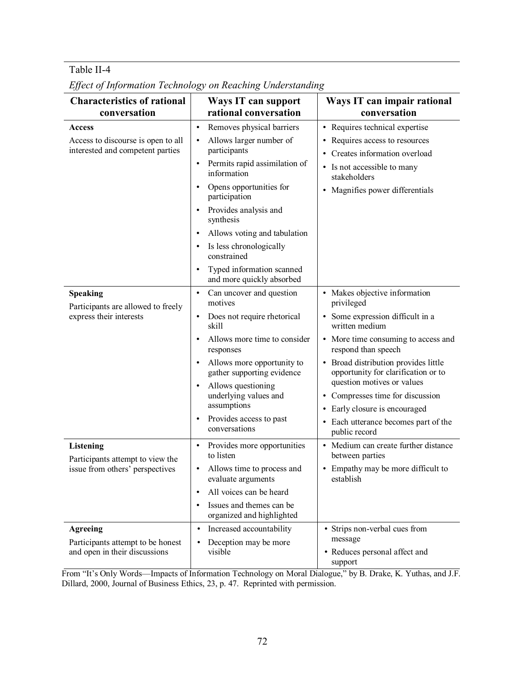# Table II-4

| <b>Characteristics of rational</b>                                                      | Ways IT can support                                                   | Ways IT can impair rational                                                 |
|-----------------------------------------------------------------------------------------|-----------------------------------------------------------------------|-----------------------------------------------------------------------------|
| conversation                                                                            | rational conversation                                                 | conversation                                                                |
| <b>Access</b>                                                                           | Removes physical barriers<br>$\bullet$                                | • Requires technical expertise                                              |
| Access to discourse is open to all                                                      | Allows larger number of<br>$\bullet$                                  | Requires access to resources                                                |
| interested and competent parties                                                        | participants                                                          | Creates information overload                                                |
|                                                                                         | Permits rapid assimilation of<br>$\bullet$<br>information             | • Is not accessible to many<br>stakeholders                                 |
|                                                                                         | Opens opportunities for<br>participation                              | • Magnifies power differentials                                             |
|                                                                                         | Provides analysis and<br>synthesis                                    |                                                                             |
|                                                                                         | Allows voting and tabulation                                          |                                                                             |
|                                                                                         | Is less chronologically<br>constrained                                |                                                                             |
|                                                                                         | Typed information scanned<br>$\bullet$<br>and more quickly absorbed   |                                                                             |
| <b>Speaking</b><br>Participants are allowed to freely<br>express their interests        | Can uncover and question<br>$\bullet$<br>motives                      | • Makes objective information<br>privileged                                 |
|                                                                                         | Does not require rhetorical<br>$\bullet$<br>skill                     | • Some expression difficult in a<br>written medium                          |
|                                                                                         | Allows more time to consider<br>responses                             | • More time consuming to access and<br>respond than speech                  |
|                                                                                         | Allows more opportunity to<br>$\bullet$<br>gather supporting evidence | • Broad distribution provides little<br>opportunity for clarification or to |
|                                                                                         | Allows questioning<br>underlying values and<br>assumptions            | question motives or values                                                  |
|                                                                                         |                                                                       | • Compresses time for discussion                                            |
|                                                                                         | Provides access to past                                               | Early closure is encouraged<br>$\bullet$                                    |
|                                                                                         | $\bullet$<br>conversations                                            | • Each utterance becomes part of the<br>public record                       |
| <b>Listening</b><br>Participants attempt to view the<br>issue from others' perspectives | Provides more opportunities<br>$\bullet$<br>to listen                 | • Medium can create further distance<br>between parties                     |
|                                                                                         | Allows time to process and<br>evaluate arguments                      | • Empathy may be more difficult to<br>establish                             |
|                                                                                         | All voices can be heard<br>$\bullet$                                  |                                                                             |
|                                                                                         | Issues and themes can be<br>$\bullet$<br>organized and highlighted    |                                                                             |
| <b>Agreeing</b>                                                                         | Increased accountability<br>$\bullet$                                 | • Strips non-verbal cues from                                               |
| Participants attempt to be honest                                                       | Deception may be more<br>$\bullet$                                    | message                                                                     |
| and open in their discussions                                                           | visible                                                               | • Reduces personal affect and<br>support                                    |

*Effect of Information Technology on Reaching Understanding* 

From "It's Only Words—Impacts of Information Technology on Moral Dialogue," by B. Drake, K. Yuthas, and J.F. Dillard, 2000, Journal of Business Ethics, 23, p. 47. Reprinted with permission.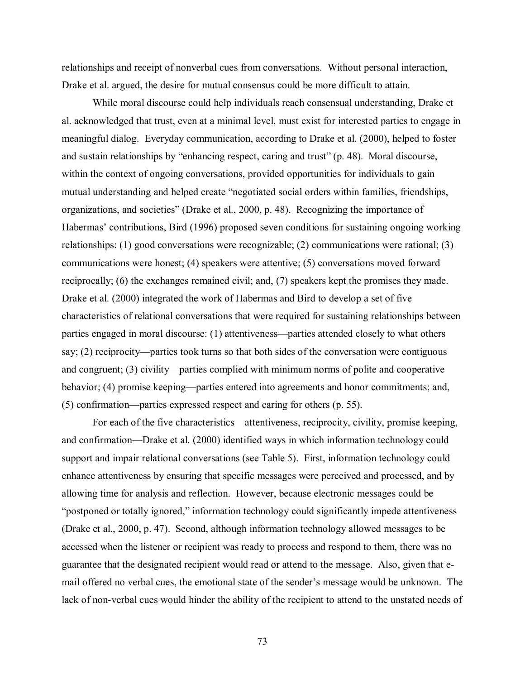relationships and receipt of nonverbal cues from conversations. Without personal interaction, Drake et al. argued, the desire for mutual consensus could be more difficult to attain.

While moral discourse could help individuals reach consensual understanding, Drake et al. acknowledged that trust, even at a minimal level, must exist for interested parties to engage in meaningful dialog. Everyday communication, according to Drake et al. (2000), helped to foster and sustain relationships by "enhancing respect, caring and trust" (p. 48). Moral discourse, within the context of ongoing conversations, provided opportunities for individuals to gain mutual understanding and helped create "negotiated social orders within families, friendships, organizations, and societies" (Drake et al., 2000, p. 48). Recognizing the importance of Habermas' contributions, Bird (1996) proposed seven conditions for sustaining ongoing working relationships: (1) good conversations were recognizable; (2) communications were rational; (3) communications were honest; (4) speakers were attentive; (5) conversations moved forward reciprocally; (6) the exchanges remained civil; and, (7) speakers kept the promises they made. Drake et al. (2000) integrated the work of Habermas and Bird to develop a set of five characteristics of relational conversations that were required for sustaining relationships between parties engaged in moral discourse: (1) attentiveness—parties attended closely to what others say; (2) reciprocity—parties took turns so that both sides of the conversation were contiguous and congruent; (3) civility—parties complied with minimum norms of polite and cooperative behavior; (4) promise keeping—parties entered into agreements and honor commitments; and, (5) confirmation—parties expressed respect and caring for others (p. 55).

 For each of the five characteristics—attentiveness, reciprocity, civility, promise keeping, and confirmation—Drake et al. (2000) identified ways in which information technology could support and impair relational conversations (see Table 5). First, information technology could enhance attentiveness by ensuring that specific messages were perceived and processed, and by allowing time for analysis and reflection. However, because electronic messages could be "postponed or totally ignored," information technology could significantly impede attentiveness (Drake et al., 2000, p. 47). Second, although information technology allowed messages to be accessed when the listener or recipient was ready to process and respond to them, there was no guarantee that the designated recipient would read or attend to the message. Also, given that email offered no verbal cues, the emotional state of the sender's message would be unknown. The lack of non-verbal cues would hinder the ability of the recipient to attend to the unstated needs of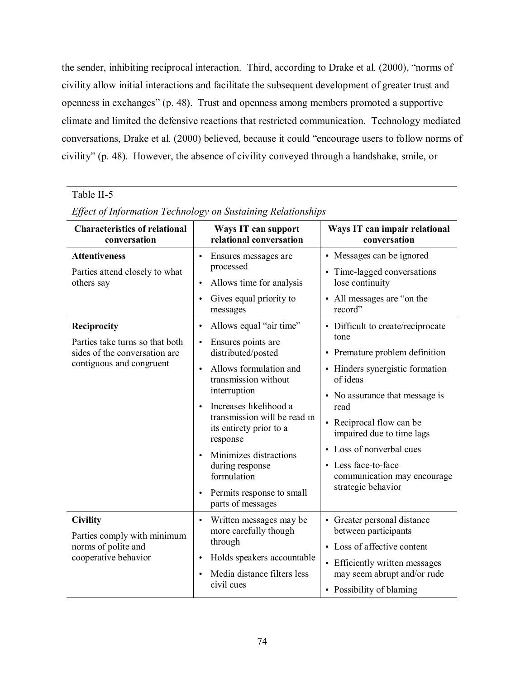the sender, inhibiting reciprocal interaction. Third, according to Drake et al. (2000), "norms of civility allow initial interactions and facilitate the subsequent development of greater trust and openness in exchanges" (p. 48). Trust and openness among members promoted a supportive climate and limited the defensive reactions that restricted communication. Technology mediated conversations, Drake et al. (2000) believed, because it could "encourage users to follow norms of civility" (p. 48). However, the absence of civility conveyed through a handshake, smile, or

# Table II-5

| <b>Characteristics of relational</b><br>conversation                                                        | Ways IT can support<br>relational conversation                                                                                                                                                                                                                                                                                                                                                                                     | Ways IT can impair relational<br>conversation                                                                                                                                                                                                                                                                                         |
|-------------------------------------------------------------------------------------------------------------|------------------------------------------------------------------------------------------------------------------------------------------------------------------------------------------------------------------------------------------------------------------------------------------------------------------------------------------------------------------------------------------------------------------------------------|---------------------------------------------------------------------------------------------------------------------------------------------------------------------------------------------------------------------------------------------------------------------------------------------------------------------------------------|
| <b>Attentiveness</b><br>Parties attend closely to what<br>others say                                        | Ensures messages are<br>$\bullet$<br>processed<br>Allows time for analysis<br>$\bullet$<br>Gives equal priority to<br>$\bullet$<br>messages                                                                                                                                                                                                                                                                                        | • Messages can be ignored<br>• Time-lagged conversations<br>lose continuity<br>• All messages are "on the<br>record"                                                                                                                                                                                                                  |
| Reciprocity<br>Parties take turns so that both<br>sides of the conversation are<br>contiguous and congruent | Allows equal "air time"<br>$\bullet$<br>Ensures points are<br>$\bullet$<br>distributed/posted<br>Allows formulation and<br>$\bullet$<br>transmission without<br>interruption<br>Increases likelihood a<br>$\bullet$<br>transmission will be read in<br>its entirety prior to a<br>response<br>Minimizes distractions<br>$\bullet$<br>during response<br>formulation<br>Permits response to small<br>$\bullet$<br>parts of messages | • Difficult to create/reciprocate<br>tone<br>• Premature problem definition<br>• Hinders synergistic formation<br>of ideas<br>• No assurance that message is<br>read<br>• Reciprocal flow can be<br>impaired due to time lags<br>• Loss of nonverbal cues<br>• Less face-to-face<br>communication may encourage<br>strategic behavior |
| <b>Civility</b><br>Parties comply with minimum<br>norms of polite and<br>cooperative behavior               | Written messages may be<br>$\bullet$<br>more carefully though<br>through<br>Holds speakers accountable<br>Media distance filters less<br>$\bullet$<br>civil cues                                                                                                                                                                                                                                                                   | • Greater personal distance<br>between participants<br>• Loss of affective content<br>• Efficiently written messages<br>may seem abrupt and/or rude<br>• Possibility of blaming                                                                                                                                                       |

*Effect of Information Technology on Sustaining Relationships*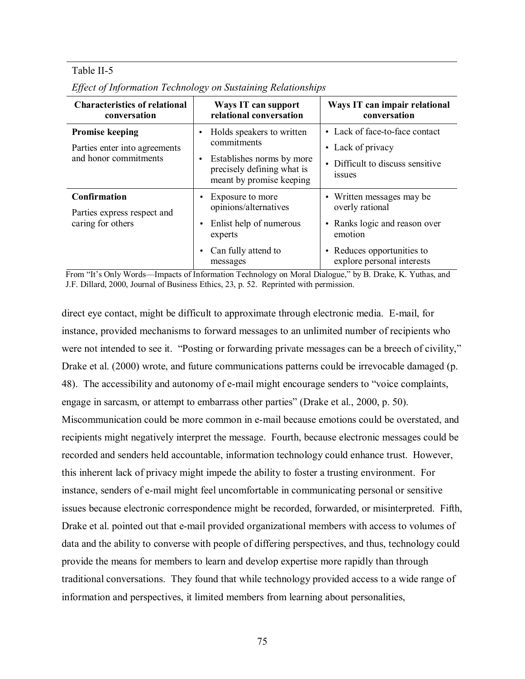## Table II-5

| <b>Characteristics of relational</b><br>conversation   | Ways IT can support<br>relational conversation                                                   | Ways IT can impair relational<br>conversation            |
|--------------------------------------------------------|--------------------------------------------------------------------------------------------------|----------------------------------------------------------|
| <b>Promise keeping</b>                                 | Holds speakers to written<br>$\bullet$                                                           | • Lack of face-to-face contact                           |
| Parties enter into agreements<br>and honor commitments | commitments                                                                                      | • Lack of privacy                                        |
|                                                        | Establishes norms by more<br>$\bullet$<br>precisely defining what is<br>meant by promise keeping | Difficult to discuss sensitive<br><i>ssues</i>           |
| <b>Confirmation</b>                                    | Exposure to more                                                                                 | • Written messages may be                                |
| Parties express respect and                            | opinions/alternatives                                                                            | overly rational                                          |
| caring for others                                      | Enlist help of numerous<br>experts                                                               | • Ranks logic and reason over<br>emotion                 |
|                                                        | Can fully attend to<br>messages                                                                  | • Reduces opportunities to<br>explore personal interests |

*Effect of Information Technology on Sustaining Relationships* 

From "It's Only Words—Impacts of Information Technology on Moral Dialogue," by B. Drake, K. Yuthas, and J.F. Dillard, 2000, Journal of Business Ethics, 23, p. 52. Reprinted with permission.

direct eye contact, might be difficult to approximate through electronic media. E-mail, for instance, provided mechanisms to forward messages to an unlimited number of recipients who were not intended to see it. "Posting or forwarding private messages can be a breech of civility," Drake et al. (2000) wrote, and future communications patterns could be irrevocable damaged (p. 48). The accessibility and autonomy of e-mail might encourage senders to "voice complaints, engage in sarcasm, or attempt to embarrass other parties" (Drake et al., 2000, p. 50). Miscommunication could be more common in e-mail because emotions could be overstated, and

recipients might negatively interpret the message. Fourth, because electronic messages could be recorded and senders held accountable, information technology could enhance trust. However, this inherent lack of privacy might impede the ability to foster a trusting environment. For instance, senders of e-mail might feel uncomfortable in communicating personal or sensitive issues because electronic correspondence might be recorded, forwarded, or misinterpreted. Fifth, Drake et al. pointed out that e-mail provided organizational members with access to volumes of data and the ability to converse with people of differing perspectives, and thus, technology could provide the means for members to learn and develop expertise more rapidly than through traditional conversations. They found that while technology provided access to a wide range of information and perspectives, it limited members from learning about personalities,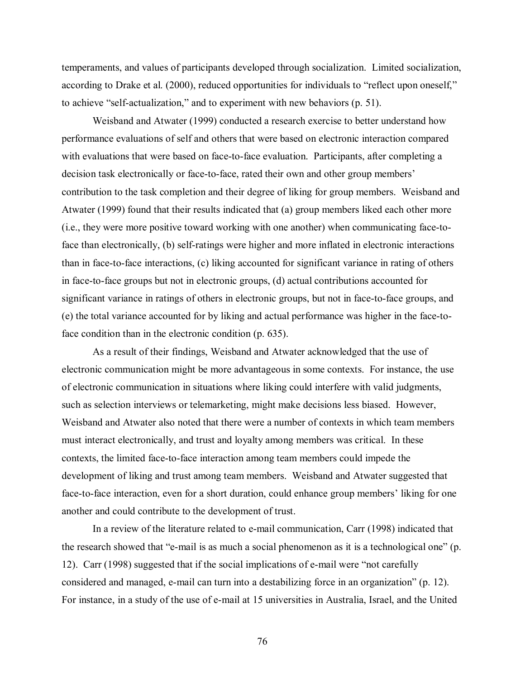temperaments, and values of participants developed through socialization. Limited socialization, according to Drake et al. (2000), reduced opportunities for individuals to "reflect upon oneself," to achieve "self-actualization," and to experiment with new behaviors (p. 51).

Weisband and Atwater (1999) conducted a research exercise to better understand how performance evaluations of self and others that were based on electronic interaction compared with evaluations that were based on face-to-face evaluation. Participants, after completing a decision task electronically or face-to-face, rated their own and other group members' contribution to the task completion and their degree of liking for group members. Weisband and Atwater (1999) found that their results indicated that (a) group members liked each other more (i.e., they were more positive toward working with one another) when communicating face-toface than electronically, (b) self-ratings were higher and more inflated in electronic interactions than in face-to-face interactions, (c) liking accounted for significant variance in rating of others in face-to-face groups but not in electronic groups, (d) actual contributions accounted for significant variance in ratings of others in electronic groups, but not in face-to-face groups, and (e) the total variance accounted for by liking and actual performance was higher in the face-toface condition than in the electronic condition (p. 635).

 As a result of their findings, Weisband and Atwater acknowledged that the use of electronic communication might be more advantageous in some contexts. For instance, the use of electronic communication in situations where liking could interfere with valid judgments, such as selection interviews or telemarketing, might make decisions less biased. However, Weisband and Atwater also noted that there were a number of contexts in which team members must interact electronically, and trust and loyalty among members was critical. In these contexts, the limited face-to-face interaction among team members could impede the development of liking and trust among team members. Weisband and Atwater suggested that face-to-face interaction, even for a short duration, could enhance group members' liking for one another and could contribute to the development of trust.

In a review of the literature related to e-mail communication, Carr (1998) indicated that the research showed that "e-mail is as much a social phenomenon as it is a technological one" (p. 12). Carr (1998) suggested that if the social implications of e-mail were "not carefully considered and managed, e-mail can turn into a destabilizing force in an organization" (p. 12). For instance, in a study of the use of e-mail at 15 universities in Australia, Israel, and the United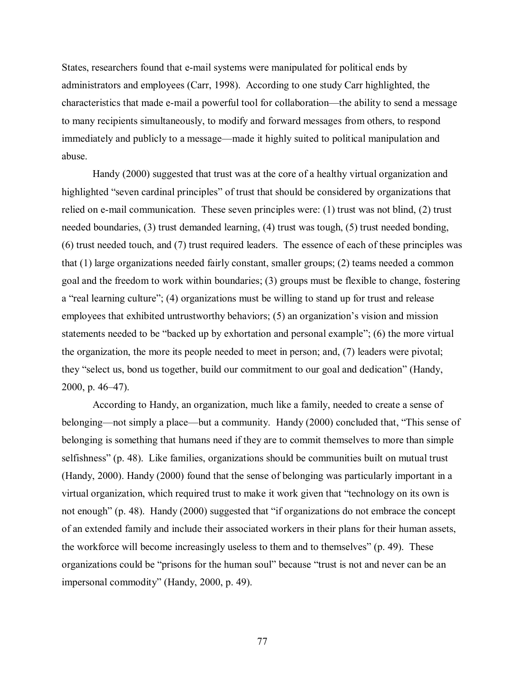States, researchers found that e-mail systems were manipulated for political ends by administrators and employees (Carr, 1998). According to one study Carr highlighted, the characteristics that made e-mail a powerful tool for collaboration—the ability to send a message to many recipients simultaneously, to modify and forward messages from others, to respond immediately and publicly to a message—made it highly suited to political manipulation and abuse.

 Handy (2000) suggested that trust was at the core of a healthy virtual organization and highlighted "seven cardinal principles" of trust that should be considered by organizations that relied on e-mail communication. These seven principles were: (1) trust was not blind, (2) trust needed boundaries, (3) trust demanded learning, (4) trust was tough, (5) trust needed bonding, (6) trust needed touch, and (7) trust required leaders. The essence of each of these principles was that (1) large organizations needed fairly constant, smaller groups; (2) teams needed a common goal and the freedom to work within boundaries; (3) groups must be flexible to change, fostering a "real learning culture"; (4) organizations must be willing to stand up for trust and release employees that exhibited untrustworthy behaviors; (5) an organization's vision and mission statements needed to be "backed up by exhortation and personal example"; (6) the more virtual the organization, the more its people needed to meet in person; and, (7) leaders were pivotal; they "select us, bond us together, build our commitment to our goal and dedication" (Handy, 2000, p. 46–47).

 According to Handy, an organization, much like a family, needed to create a sense of belonging—not simply a place—but a community. Handy (2000) concluded that, "This sense of belonging is something that humans need if they are to commit themselves to more than simple selfishness" (p. 48). Like families, organizations should be communities built on mutual trust (Handy, 2000). Handy (2000) found that the sense of belonging was particularly important in a virtual organization, which required trust to make it work given that "technology on its own is not enough" (p. 48). Handy (2000) suggested that "if organizations do not embrace the concept of an extended family and include their associated workers in their plans for their human assets, the workforce will become increasingly useless to them and to themselves" (p. 49). These organizations could be "prisons for the human soul" because "trust is not and never can be an impersonal commodity" (Handy, 2000, p. 49).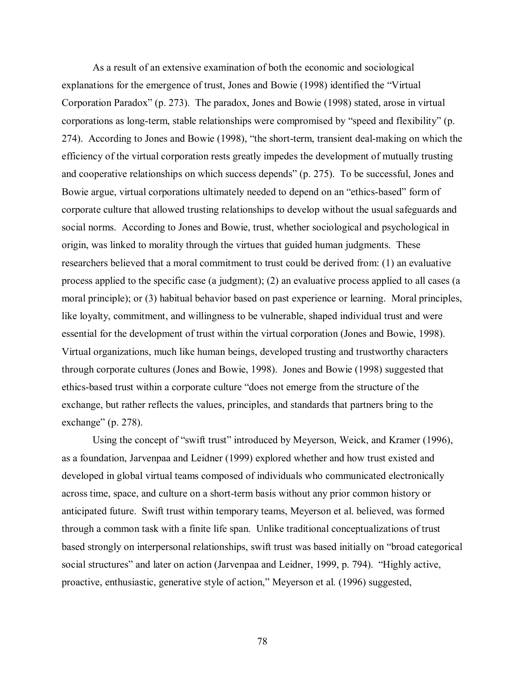As a result of an extensive examination of both the economic and sociological explanations for the emergence of trust, Jones and Bowie (1998) identified the "Virtual Corporation Paradox" (p. 273). The paradox, Jones and Bowie (1998) stated, arose in virtual corporations as long-term, stable relationships were compromised by "speed and flexibility" (p. 274). According to Jones and Bowie (1998), "the short-term, transient deal-making on which the efficiency of the virtual corporation rests greatly impedes the development of mutually trusting and cooperative relationships on which success depends" (p. 275). To be successful, Jones and Bowie argue, virtual corporations ultimately needed to depend on an "ethics-based" form of corporate culture that allowed trusting relationships to develop without the usual safeguards and social norms. According to Jones and Bowie, trust, whether sociological and psychological in origin, was linked to morality through the virtues that guided human judgments. These researchers believed that a moral commitment to trust could be derived from: (1) an evaluative process applied to the specific case (a judgment); (2) an evaluative process applied to all cases (a moral principle); or (3) habitual behavior based on past experience or learning. Moral principles, like loyalty, commitment, and willingness to be vulnerable, shaped individual trust and were essential for the development of trust within the virtual corporation (Jones and Bowie, 1998). Virtual organizations, much like human beings, developed trusting and trustworthy characters through corporate cultures (Jones and Bowie, 1998). Jones and Bowie (1998) suggested that ethics-based trust within a corporate culture "does not emerge from the structure of the exchange, but rather reflects the values, principles, and standards that partners bring to the exchange" (p. 278).

 Using the concept of "swift trust" introduced by Meyerson, Weick, and Kramer (1996), as a foundation, Jarvenpaa and Leidner (1999) explored whether and how trust existed and developed in global virtual teams composed of individuals who communicated electronically across time, space, and culture on a short-term basis without any prior common history or anticipated future. Swift trust within temporary teams, Meyerson et al. believed, was formed through a common task with a finite life span. Unlike traditional conceptualizations of trust based strongly on interpersonal relationships, swift trust was based initially on "broad categorical social structures" and later on action (Jarvenpaa and Leidner, 1999, p. 794). "Highly active, proactive, enthusiastic, generative style of action," Meyerson et al. (1996) suggested,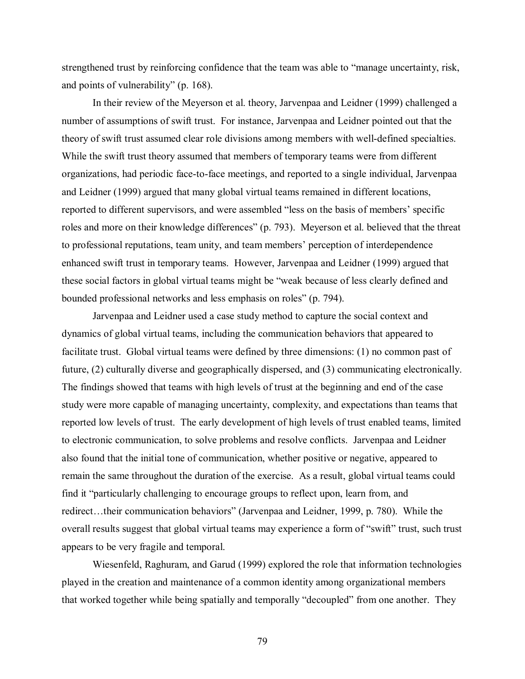strengthened trust by reinforcing confidence that the team was able to "manage uncertainty, risk, and points of vulnerability" (p. 168).

 In their review of the Meyerson et al. theory, Jarvenpaa and Leidner (1999) challenged a number of assumptions of swift trust. For instance, Jarvenpaa and Leidner pointed out that the theory of swift trust assumed clear role divisions among members with well-defined specialties. While the swift trust theory assumed that members of temporary teams were from different organizations, had periodic face-to-face meetings, and reported to a single individual, Jarvenpaa and Leidner (1999) argued that many global virtual teams remained in different locations, reported to different supervisors, and were assembled "less on the basis of members' specific roles and more on their knowledge differences" (p. 793). Meyerson et al. believed that the threat to professional reputations, team unity, and team members' perception of interdependence enhanced swift trust in temporary teams. However, Jarvenpaa and Leidner (1999) argued that these social factors in global virtual teams might be "weak because of less clearly defined and bounded professional networks and less emphasis on roles" (p. 794).

 Jarvenpaa and Leidner used a case study method to capture the social context and dynamics of global virtual teams, including the communication behaviors that appeared to facilitate trust. Global virtual teams were defined by three dimensions: (1) no common past of future, (2) culturally diverse and geographically dispersed, and (3) communicating electronically. The findings showed that teams with high levels of trust at the beginning and end of the case study were more capable of managing uncertainty, complexity, and expectations than teams that reported low levels of trust. The early development of high levels of trust enabled teams, limited to electronic communication, to solve problems and resolve conflicts. Jarvenpaa and Leidner also found that the initial tone of communication, whether positive or negative, appeared to remain the same throughout the duration of the exercise. As a result, global virtual teams could find it "particularly challenging to encourage groups to reflect upon, learn from, and redirect…their communication behaviors" (Jarvenpaa and Leidner, 1999, p. 780). While the overall results suggest that global virtual teams may experience a form of "swift" trust, such trust appears to be very fragile and temporal.

 Wiesenfeld, Raghuram, and Garud (1999) explored the role that information technologies played in the creation and maintenance of a common identity among organizational members that worked together while being spatially and temporally "decoupled" from one another. They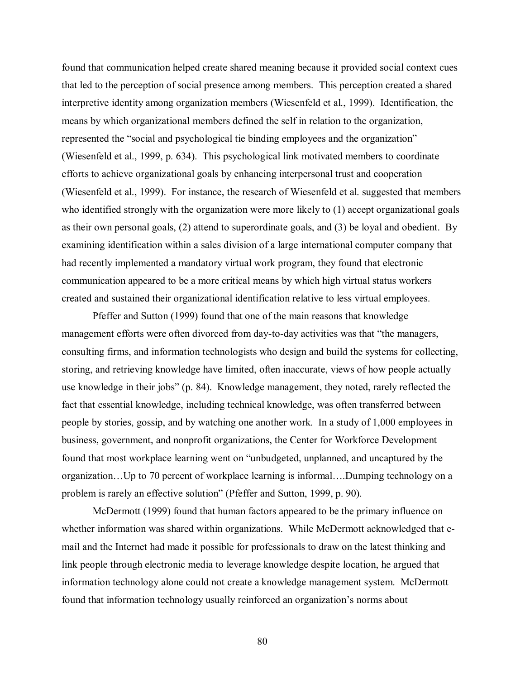found that communication helped create shared meaning because it provided social context cues that led to the perception of social presence among members. This perception created a shared interpretive identity among organization members (Wiesenfeld et al., 1999). Identification, the means by which organizational members defined the self in relation to the organization, represented the "social and psychological tie binding employees and the organization" (Wiesenfeld et al., 1999, p. 634). This psychological link motivated members to coordinate efforts to achieve organizational goals by enhancing interpersonal trust and cooperation (Wiesenfeld et al., 1999). For instance, the research of Wiesenfeld et al. suggested that members who identified strongly with the organization were more likely to (1) accept organizational goals as their own personal goals, (2) attend to superordinate goals, and (3) be loyal and obedient. By examining identification within a sales division of a large international computer company that had recently implemented a mandatory virtual work program, they found that electronic communication appeared to be a more critical means by which high virtual status workers created and sustained their organizational identification relative to less virtual employees.

Pfeffer and Sutton (1999) found that one of the main reasons that knowledge management efforts were often divorced from day-to-day activities was that "the managers, consulting firms, and information technologists who design and build the systems for collecting, storing, and retrieving knowledge have limited, often inaccurate, views of how people actually use knowledge in their jobs" (p. 84). Knowledge management, they noted, rarely reflected the fact that essential knowledge, including technical knowledge, was often transferred between people by stories, gossip, and by watching one another work. In a study of 1,000 employees in business, government, and nonprofit organizations, the Center for Workforce Development found that most workplace learning went on "unbudgeted, unplanned, and uncaptured by the organization…Up to 70 percent of workplace learning is informal….Dumping technology on a problem is rarely an effective solution" (Pfeffer and Sutton, 1999, p. 90).

McDermott (1999) found that human factors appeared to be the primary influence on whether information was shared within organizations. While McDermott acknowledged that email and the Internet had made it possible for professionals to draw on the latest thinking and link people through electronic media to leverage knowledge despite location, he argued that information technology alone could not create a knowledge management system. McDermott found that information technology usually reinforced an organization's norms about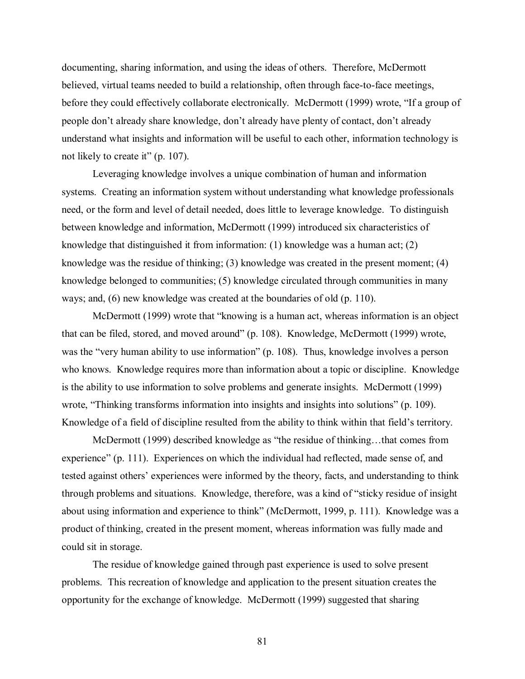documenting, sharing information, and using the ideas of others. Therefore, McDermott believed, virtual teams needed to build a relationship, often through face-to-face meetings, before they could effectively collaborate electronically. McDermott (1999) wrote, "If a group of people don't already share knowledge, don't already have plenty of contact, don't already understand what insights and information will be useful to each other, information technology is not likely to create it" (p. 107).

Leveraging knowledge involves a unique combination of human and information systems. Creating an information system without understanding what knowledge professionals need, or the form and level of detail needed, does little to leverage knowledge. To distinguish between knowledge and information, McDermott (1999) introduced six characteristics of knowledge that distinguished it from information: (1) knowledge was a human act; (2) knowledge was the residue of thinking; (3) knowledge was created in the present moment; (4) knowledge belonged to communities; (5) knowledge circulated through communities in many ways; and, (6) new knowledge was created at the boundaries of old (p. 110).

McDermott (1999) wrote that "knowing is a human act, whereas information is an object that can be filed, stored, and moved around" (p. 108). Knowledge, McDermott (1999) wrote, was the "very human ability to use information" (p. 108). Thus, knowledge involves a person who knows. Knowledge requires more than information about a topic or discipline. Knowledge is the ability to use information to solve problems and generate insights. McDermott (1999) wrote, "Thinking transforms information into insights and insights into solutions" (p. 109). Knowledge of a field of discipline resulted from the ability to think within that field's territory.

McDermott (1999) described knowledge as "the residue of thinking…that comes from experience" (p. 111). Experiences on which the individual had reflected, made sense of, and tested against others' experiences were informed by the theory, facts, and understanding to think through problems and situations. Knowledge, therefore, was a kind of "sticky residue of insight about using information and experience to think" (McDermott, 1999, p. 111). Knowledge was a product of thinking, created in the present moment, whereas information was fully made and could sit in storage.

The residue of knowledge gained through past experience is used to solve present problems. This recreation of knowledge and application to the present situation creates the opportunity for the exchange of knowledge. McDermott (1999) suggested that sharing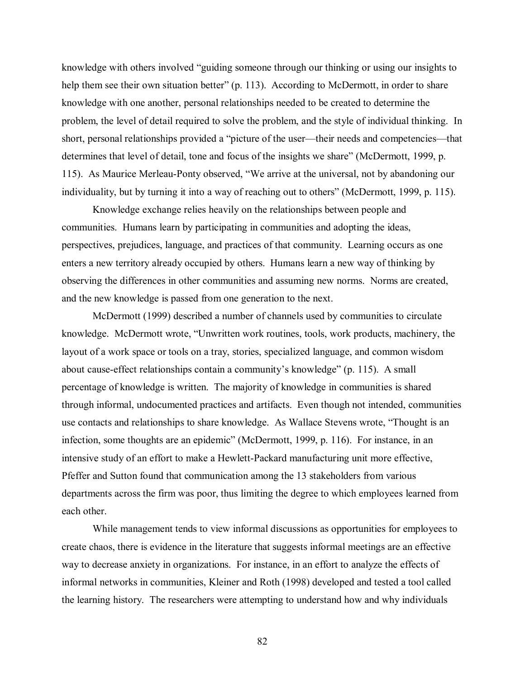knowledge with others involved "guiding someone through our thinking or using our insights to help them see their own situation better" (p. 113). According to McDermott, in order to share knowledge with one another, personal relationships needed to be created to determine the problem, the level of detail required to solve the problem, and the style of individual thinking. In short, personal relationships provided a "picture of the user—their needs and competencies—that determines that level of detail, tone and focus of the insights we share" (McDermott, 1999, p. 115). As Maurice Merleau-Ponty observed, "We arrive at the universal, not by abandoning our individuality, but by turning it into a way of reaching out to others" (McDermott, 1999, p. 115).

Knowledge exchange relies heavily on the relationships between people and communities. Humans learn by participating in communities and adopting the ideas, perspectives, prejudices, language, and practices of that community. Learning occurs as one enters a new territory already occupied by others. Humans learn a new way of thinking by observing the differences in other communities and assuming new norms. Norms are created, and the new knowledge is passed from one generation to the next.

McDermott (1999) described a number of channels used by communities to circulate knowledge. McDermott wrote, "Unwritten work routines, tools, work products, machinery, the layout of a work space or tools on a tray, stories, specialized language, and common wisdom about cause-effect relationships contain a community's knowledge" (p. 115). A small percentage of knowledge is written. The majority of knowledge in communities is shared through informal, undocumented practices and artifacts. Even though not intended, communities use contacts and relationships to share knowledge. As Wallace Stevens wrote, "Thought is an infection, some thoughts are an epidemic" (McDermott, 1999, p. 116). For instance, in an intensive study of an effort to make a Hewlett-Packard manufacturing unit more effective, Pfeffer and Sutton found that communication among the 13 stakeholders from various departments across the firm was poor, thus limiting the degree to which employees learned from each other.

While management tends to view informal discussions as opportunities for employees to create chaos, there is evidence in the literature that suggests informal meetings are an effective way to decrease anxiety in organizations. For instance, in an effort to analyze the effects of informal networks in communities, Kleiner and Roth (1998) developed and tested a tool called the learning history. The researchers were attempting to understand how and why individuals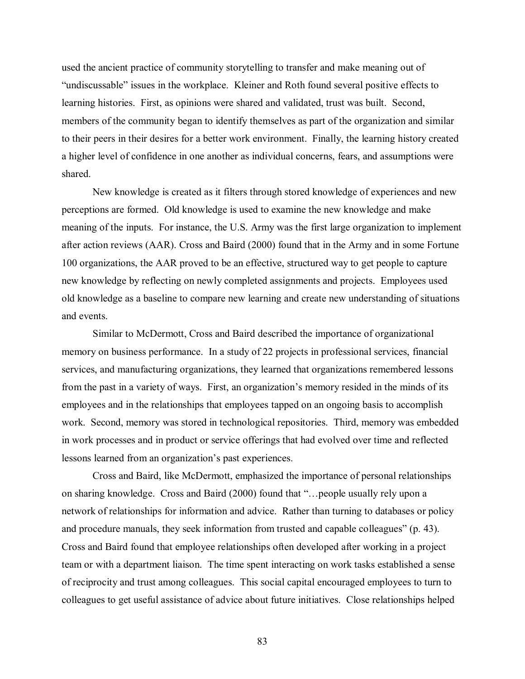used the ancient practice of community storytelling to transfer and make meaning out of "undiscussable" issues in the workplace. Kleiner and Roth found several positive effects to learning histories. First, as opinions were shared and validated, trust was built. Second, members of the community began to identify themselves as part of the organization and similar to their peers in their desires for a better work environment. Finally, the learning history created a higher level of confidence in one another as individual concerns, fears, and assumptions were shared.

New knowledge is created as it filters through stored knowledge of experiences and new perceptions are formed. Old knowledge is used to examine the new knowledge and make meaning of the inputs. For instance, the U.S. Army was the first large organization to implement after action reviews (AAR). Cross and Baird (2000) found that in the Army and in some Fortune 100 organizations, the AAR proved to be an effective, structured way to get people to capture new knowledge by reflecting on newly completed assignments and projects. Employees used old knowledge as a baseline to compare new learning and create new understanding of situations and events.

Similar to McDermott, Cross and Baird described the importance of organizational memory on business performance. In a study of 22 projects in professional services, financial services, and manufacturing organizations, they learned that organizations remembered lessons from the past in a variety of ways. First, an organization's memory resided in the minds of its employees and in the relationships that employees tapped on an ongoing basis to accomplish work. Second, memory was stored in technological repositories. Third, memory was embedded in work processes and in product or service offerings that had evolved over time and reflected lessons learned from an organization's past experiences.

Cross and Baird, like McDermott, emphasized the importance of personal relationships on sharing knowledge. Cross and Baird (2000) found that "…people usually rely upon a network of relationships for information and advice. Rather than turning to databases or policy and procedure manuals, they seek information from trusted and capable colleagues" (p. 43). Cross and Baird found that employee relationships often developed after working in a project team or with a department liaison. The time spent interacting on work tasks established a sense of reciprocity and trust among colleagues. This social capital encouraged employees to turn to colleagues to get useful assistance of advice about future initiatives. Close relationships helped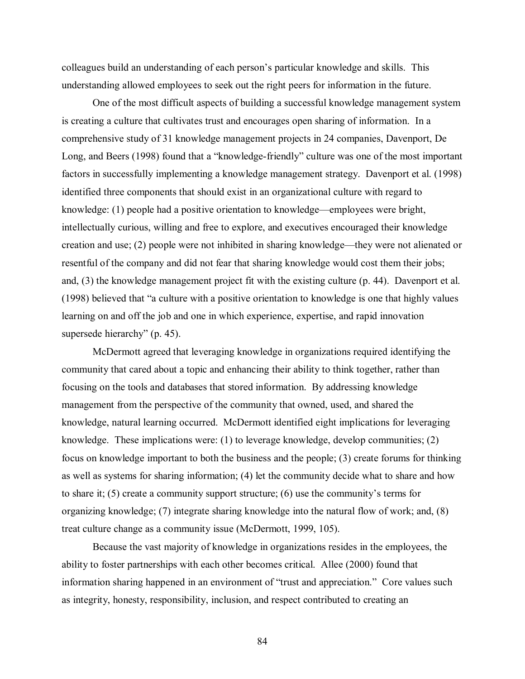colleagues build an understanding of each person's particular knowledge and skills. This understanding allowed employees to seek out the right peers for information in the future.

One of the most difficult aspects of building a successful knowledge management system is creating a culture that cultivates trust and encourages open sharing of information. In a comprehensive study of 31 knowledge management projects in 24 companies, Davenport, De Long, and Beers (1998) found that a "knowledge-friendly" culture was one of the most important factors in successfully implementing a knowledge management strategy. Davenport et al. (1998) identified three components that should exist in an organizational culture with regard to knowledge: (1) people had a positive orientation to knowledge—employees were bright, intellectually curious, willing and free to explore, and executives encouraged their knowledge creation and use; (2) people were not inhibited in sharing knowledge—they were not alienated or resentful of the company and did not fear that sharing knowledge would cost them their jobs; and, (3) the knowledge management project fit with the existing culture (p. 44). Davenport et al. (1998) believed that "a culture with a positive orientation to knowledge is one that highly values learning on and off the job and one in which experience, expertise, and rapid innovation supersede hierarchy" (p. 45).

McDermott agreed that leveraging knowledge in organizations required identifying the community that cared about a topic and enhancing their ability to think together, rather than focusing on the tools and databases that stored information. By addressing knowledge management from the perspective of the community that owned, used, and shared the knowledge, natural learning occurred. McDermott identified eight implications for leveraging knowledge. These implications were: (1) to leverage knowledge, develop communities; (2) focus on knowledge important to both the business and the people; (3) create forums for thinking as well as systems for sharing information; (4) let the community decide what to share and how to share it; (5) create a community support structure; (6) use the community's terms for organizing knowledge; (7) integrate sharing knowledge into the natural flow of work; and, (8) treat culture change as a community issue (McDermott, 1999, 105).

Because the vast majority of knowledge in organizations resides in the employees, the ability to foster partnerships with each other becomes critical. Allee (2000) found that information sharing happened in an environment of "trust and appreciation." Core values such as integrity, honesty, responsibility, inclusion, and respect contributed to creating an

84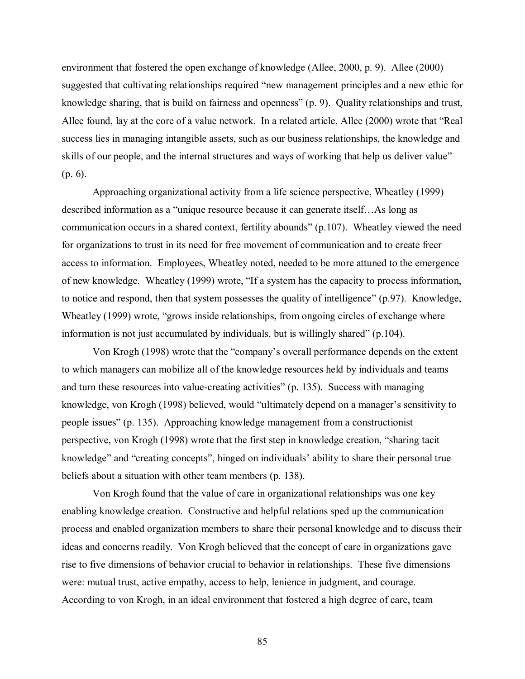environment that fostered the open exchange of knowledge (Allee, 2000, p. 9). Allee (2000) suggested that cultivating relationships required "new management principles and a new ethic for knowledge sharing, that is build on fairness and openness" (p. 9). Quality relationships and trust, Allee found, lay at the core of a value network. In a related article, Allee (2000) wrote that "Real success lies in managing intangible assets, such as our business relationships, the knowledge and skills of our people, and the internal structures and ways of working that help us deliver value" (p. 6).

Approaching organizational activity from a life science perspective, Wheatley (1999) described information as a "unique resource because it can generate itself…As long as communication occurs in a shared context, fertility abounds" (p.107). Wheatley viewed the need for organizations to trust in its need for free movement of communication and to create freer access to information. Employees, Wheatley noted, needed to be more attuned to the emergence of new knowledge. Wheatley (1999) wrote, "If a system has the capacity to process information, to notice and respond, then that system possesses the quality of intelligence" (p.97). Knowledge, Wheatley (1999) wrote, "grows inside relationships, from ongoing circles of exchange where information is not just accumulated by individuals, but is willingly shared" (p.104).

Von Krogh (1998) wrote that the "company's overall performance depends on the extent to which managers can mobilize all of the knowledge resources held by individuals and teams and turn these resources into value-creating activities" (p. 135). Success with managing knowledge, von Krogh (1998) believed, would "ultimately depend on a manager's sensitivity to people issues" (p. 135). Approaching knowledge management from a constructionist perspective, von Krogh (1998) wrote that the first step in knowledge creation, "sharing tacit knowledge" and "creating concepts", hinged on individuals' ability to share their personal true beliefs about a situation with other team members (p. 138).

Von Krogh found that the value of care in organizational relationships was one key enabling knowledge creation. Constructive and helpful relations sped up the communication process and enabled organization members to share their personal knowledge and to discuss their ideas and concerns readily. Von Krogh believed that the concept of care in organizations gave rise to five dimensions of behavior crucial to behavior in relationships. These five dimensions were: mutual trust, active empathy, access to help, lenience in judgment, and courage. According to von Krogh, in an ideal environment that fostered a high degree of care, team

85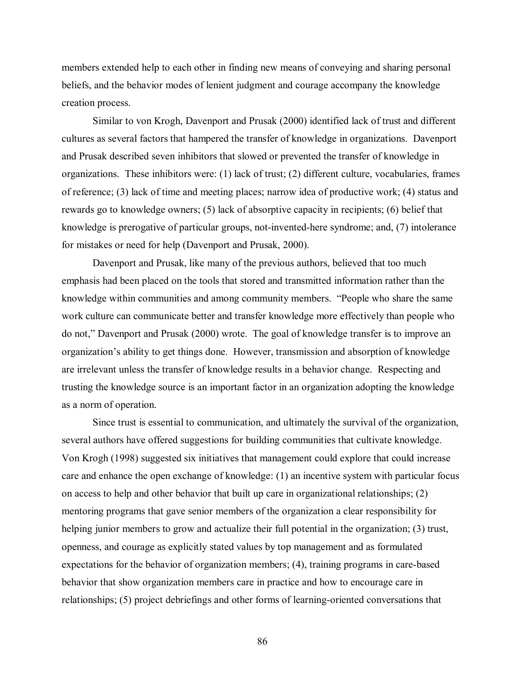members extended help to each other in finding new means of conveying and sharing personal beliefs, and the behavior modes of lenient judgment and courage accompany the knowledge creation process.

Similar to von Krogh, Davenport and Prusak (2000) identified lack of trust and different cultures as several factors that hampered the transfer of knowledge in organizations. Davenport and Prusak described seven inhibitors that slowed or prevented the transfer of knowledge in organizations. These inhibitors were: (1) lack of trust; (2) different culture, vocabularies, frames of reference; (3) lack of time and meeting places; narrow idea of productive work; (4) status and rewards go to knowledge owners; (5) lack of absorptive capacity in recipients; (6) belief that knowledge is prerogative of particular groups, not-invented-here syndrome; and, (7) intolerance for mistakes or need for help (Davenport and Prusak, 2000).

Davenport and Prusak, like many of the previous authors, believed that too much emphasis had been placed on the tools that stored and transmitted information rather than the knowledge within communities and among community members. "People who share the same work culture can communicate better and transfer knowledge more effectively than people who do not," Davenport and Prusak (2000) wrote. The goal of knowledge transfer is to improve an organization's ability to get things done. However, transmission and absorption of knowledge are irrelevant unless the transfer of knowledge results in a behavior change. Respecting and trusting the knowledge source is an important factor in an organization adopting the knowledge as a norm of operation.

Since trust is essential to communication, and ultimately the survival of the organization, several authors have offered suggestions for building communities that cultivate knowledge. Von Krogh (1998) suggested six initiatives that management could explore that could increase care and enhance the open exchange of knowledge: (1) an incentive system with particular focus on access to help and other behavior that built up care in organizational relationships; (2) mentoring programs that gave senior members of the organization a clear responsibility for helping junior members to grow and actualize their full potential in the organization; (3) trust, openness, and courage as explicitly stated values by top management and as formulated expectations for the behavior of organization members; (4), training programs in care-based behavior that show organization members care in practice and how to encourage care in relationships; (5) project debriefings and other forms of learning-oriented conversations that

86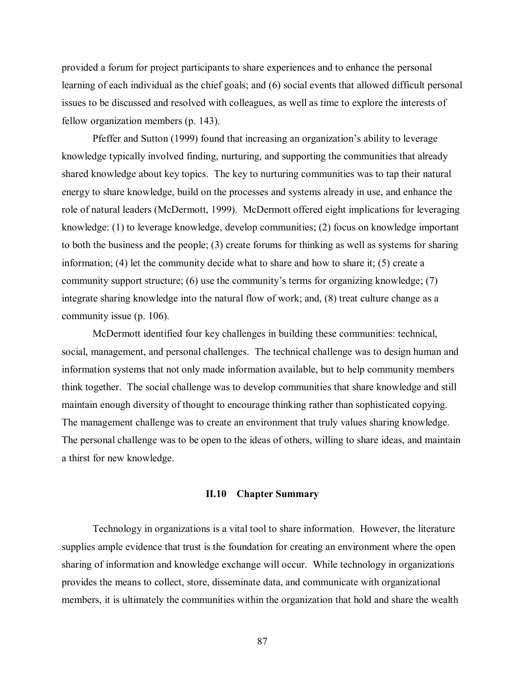provided a forum for project participants to share experiences and to enhance the personal learning of each individual as the chief goals; and (6) social events that allowed difficult personal issues to be discussed and resolved with colleagues, as well as time to explore the interests of fellow organization members (p. 143).

Pfeffer and Sutton (1999) found that increasing an organization's ability to leverage knowledge typically involved finding, nurturing, and supporting the communities that already shared knowledge about key topics. The key to nurturing communities was to tap their natural energy to share knowledge, build on the processes and systems already in use, and enhance the role of natural leaders (McDermott, 1999). McDermott offered eight implications for leveraging knowledge: (1) to leverage knowledge, develop communities; (2) focus on knowledge important to both the business and the people; (3) create forums for thinking as well as systems for sharing information; (4) let the community decide what to share and how to share it;  $(5)$  create a community support structure; (6) use the community's terms for organizing knowledge; (7) integrate sharing knowledge into the natural flow of work; and, (8) treat culture change as a community issue (p. 106).

McDermott identified four key challenges in building these communities: technical, social, management, and personal challenges. The technical challenge was to design human and information systems that not only made information available, but to help community members think together. The social challenge was to develop communities that share knowledge and still maintain enough diversity of thought to encourage thinking rather than sophisticated copying. The management challenge was to create an environment that truly values sharing knowledge. The personal challenge was to be open to the ideas of others, willing to share ideas, and maintain a thirst for new knowledge.

## **II.10 Chapter Summary**

Technology in organizations is a vital tool to share information. However, the literature supplies ample evidence that trust is the foundation for creating an environment where the open sharing of information and knowledge exchange will occur. While technology in organizations provides the means to collect, store, disseminate data, and communicate with organizational members, it is ultimately the communities within the organization that hold and share the wealth